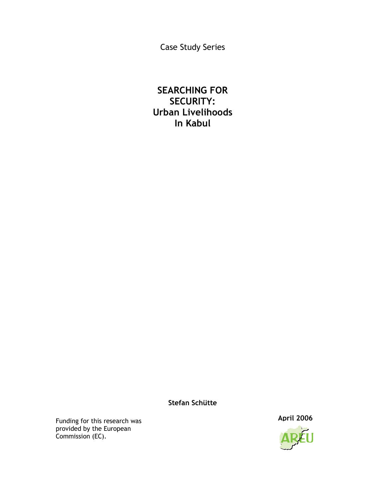Case Study Series

# SEARCHING FOR SECURITY: Urban Livelihoods In Kabul

## Stefan Schütte

Funding for this research was **April 2006** provided by the European Commission (EC).

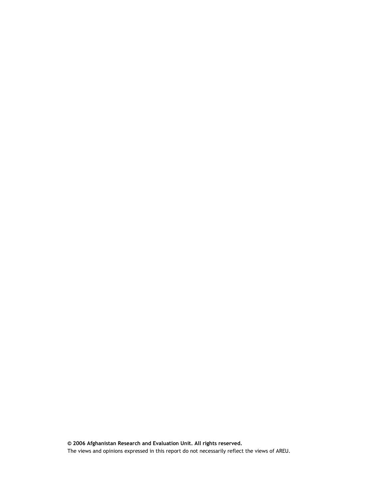© 2006 Afghanistan Research and Evaluation Unit. All rights reserved. The views and opinions expressed in this report do not necessarily reflect the views of AREU.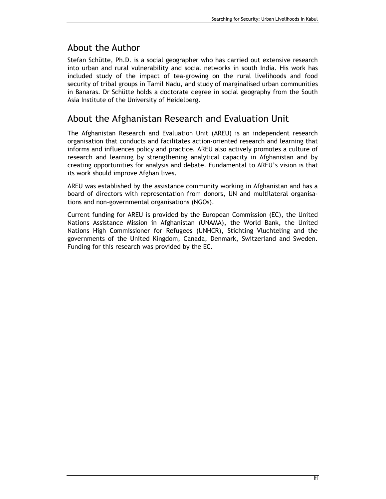## About the Author

Stefan Schütte, Ph.D. is a social geographer who has carried out extensive research into urban and rural vulnerability and social networks in south India. His work has included study of the impact of tea-growing on the rural livelihoods and food security of tribal groups in Tamil Nadu, and study of marginalised urban communities in Banaras. Dr Schütte holds a doctorate degree in social geography from the South Asia Institute of the University of Heidelberg.

## About the Afghanistan Research and Evaluation Unit

The Afghanistan Research and Evaluation Unit (AREU) is an independent research organisation that conducts and facilitates action-oriented research and learning that informs and influences policy and practice. AREU also actively promotes a culture of research and learning by strengthening analytical capacity in Afghanistan and by creating opportunities for analysis and debate. Fundamental to AREU's vision is that its work should improve Afghan lives.

AREU was established by the assistance community working in Afghanistan and has a board of directors with representation from donors, UN and multilateral organisations and non-governmental organisations (NGOs).

Current funding for AREU is provided by the European Commission (EC), the United Nations Assistance Mission in Afghanistan (UNAMA), the World Bank, the United Nations High Commissioner for Refugees (UNHCR), Stichting Vluchteling and the governments of the United Kingdom, Canada, Denmark, Switzerland and Sweden. Funding for this research was provided by the EC.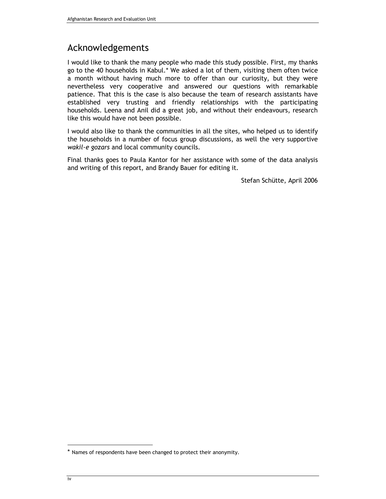# Acknowledgements

I would like to thank the many people who made this study possible. First, my thanks go to the 40 households in Kabul.\* We asked a lot of them, visiting them often twice a month without having much more to offer than our curiosity, but they were nevertheless very cooperative and answered our questions with remarkable patience. That this is the case is also because the team of research assistants have established very trusting and friendly relationships with the participating households. Leena and Anil did a great job, and without their endeavours, research like this would have not been possible.

I would also like to thank the communities in all the sites, who helped us to identify the households in a number of focus group discussions, as well the very supportive wakil-e gozars and local community councils.

Final thanks goes to Paula Kantor for her assistance with some of the data analysis and writing of this report, and Brandy Bauer for editing it.

Stefan Schütte, April 2006

<sup>\*</sup> Names of respondents have been changed to protect their anonymity.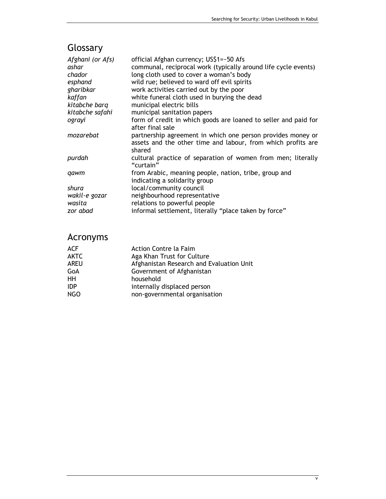# Glossary

| Afghani (or Afs) | official Afghan currency; US\$1=~50 Afs                                                                                               |
|------------------|---------------------------------------------------------------------------------------------------------------------------------------|
| ashar            | communal, reciprocal work (typically around life cycle events)                                                                        |
| chador           | long cloth used to cover a woman's body                                                                                               |
| esphand          | wild rue; believed to ward off evil spirits                                                                                           |
| gharibkar        | work activities carried out by the poor                                                                                               |
| kaffan           | white funeral cloth used in burying the dead                                                                                          |
| kitabche barq    | municipal electric bills                                                                                                              |
| kitabche safahi  | municipal sanitation papers                                                                                                           |
| ograyi           | form of credit in which goods are loaned to seller and paid for<br>after final sale                                                   |
| mozarebat        | partnership agreement in which one person provides money or<br>assets and the other time and labour, from which profits are<br>shared |
| purdah           | cultural practice of separation of women from men; literally<br>"curtain"                                                             |
| qawm             | from Arabic, meaning people, nation, tribe, group and<br>indicating a solidarity group                                                |
| shura            | local/community council                                                                                                               |
| wakil-e gozar    | neighbourhood representative                                                                                                          |
| wasita           | relations to powerful people                                                                                                          |
| zor abad         | informal settlement, literally "place taken by force"                                                                                 |

# Acronyms

| <b>ACF</b>  | Action Contre la Faim                    |
|-------------|------------------------------------------|
| <b>AKTC</b> | Aga Khan Trust for Culture               |
| <b>AREU</b> | Afghanistan Research and Evaluation Unit |
| GoA         | Government of Afghanistan                |
| HH          | household                                |
| <b>IDP</b>  | internally displaced person              |
| <b>NGO</b>  | non-governmental organisation            |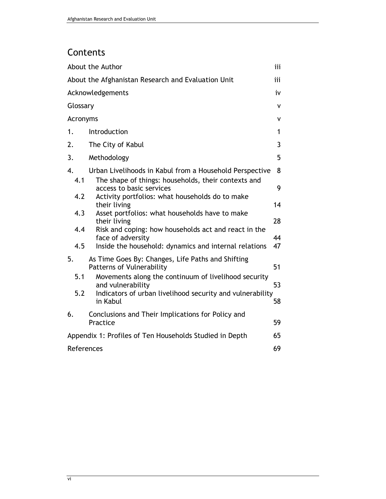# Contents

|            | About the Author                                                                | iii |  |  |
|------------|---------------------------------------------------------------------------------|-----|--|--|
|            | About the Afghanistan Research and Evaluation Unit<br>iii                       |     |  |  |
|            | Acknowledgements                                                                | iv  |  |  |
| Glossary   |                                                                                 | ٧   |  |  |
| Acronyms   |                                                                                 | ۷   |  |  |
| 1.         | Introduction                                                                    | 1   |  |  |
| 2.         | The City of Kabul                                                               | 3   |  |  |
| 3.         | Methodology                                                                     | 5   |  |  |
| 4.         | Urban Livelihoods in Kabul from a Household Perspective                         | 8   |  |  |
| 4.1<br>4.2 | The shape of things: households, their contexts and<br>access to basic services | 9   |  |  |
|            | Activity portfolios: what households do to make<br>their living                 | 14  |  |  |
| 4.3        | Asset portfolios: what households have to make<br>their living                  | 28  |  |  |
| 4.4        | Risk and coping: how households act and react in the<br>face of adversity       | 44  |  |  |
| 4.5        | Inside the household: dynamics and internal relations                           | 47  |  |  |
| 5.         | As Time Goes By: Changes, Life Paths and Shifting<br>Patterns of Vulnerability  | 51  |  |  |
| 5.1        | Movements along the continuum of livelihood security<br>and vulnerability       | 53  |  |  |
| 5.2        | Indicators of urban livelihood security and vulnerability<br>in Kabul           | 58  |  |  |
| 6.         | Conclusions and Their Implications for Policy and<br>Practice                   | 59  |  |  |
|            | Appendix 1: Profiles of Ten Households Studied in Depth                         | 65  |  |  |
| References |                                                                                 | 69  |  |  |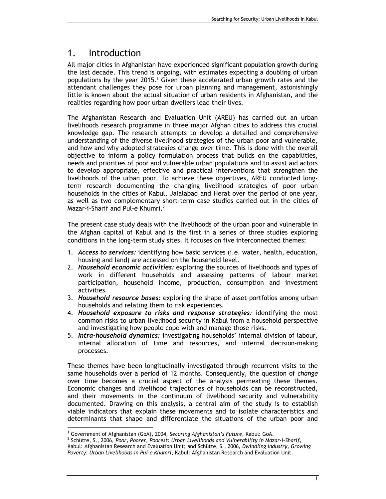## 1. Introduction

All major cities in Afghanistan have experienced significant population growth during the last decade. This trend is ongoing, with estimates expecting a doubling of urban populations by the year 2015.<sup>1</sup> Given these accelerated urban growth rates and the attendant challenges they pose for urban planning and management, astonishingly little is known about the actual situation of urban residents in Afghanistan, and the realities regarding how poor urban dwellers lead their lives.

The Afghanistan Research and Evaluation Unit (AREU) has carried out an urban livelihoods research programme in three major Afghan cities to address this crucial knowledge gap. The research attempts to develop a detailed and comprehensive understanding of the diverse livelihood strategies of the urban poor and vulnerable, and how and why adopted strategies change over time. This is done with the overall objective to inform a policy formulation process that builds on the capabilities, needs and priorities of poor and vulnerable urban populations and to assist aid actors to develop appropriate, effective and practical interventions that strengthen the livelihoods of the urban poor. To achieve these objectives, AREU conducted longterm research documenting the changing livelihood strategies of poor urban households in the cities of Kabul, Jalalabad and Herat over the period of one year, as well as two complementary short-term case studies carried out in the cities of Mazar-i-Sharif and Pul-e Khumri.<sup>2</sup>

The present case study deals with the livelihoods of the urban poor and vulnerable in the Afghan capital of Kabul and is the first in a series of three studies exploring conditions in the long-term study sites. It focuses on five interconnected themes:

- 1. Access to services: identifying how basic services (i.e. water, health, education, housing and land) are accessed on the household level.
- 2. Household economic activities: exploring the sources of livelihoods and types of work in different households and assessing patterns of labour market participation, household income, production, consumption and investment activities.
- 3. Household resource bases: exploring the shape of asset portfolios among urban households and relating them to risk experiences.
- 4. Household exposure to risks and response strategies: identifying the most common risks to urban livelihood security in Kabul from a household perspective and investigating how people cope with and manage those risks.
- 5. Intra-household dynamics: investigating households' internal division of labour, internal allocation of time and resources, and internal decision-making processes.

These themes have been longitudinally investigated through recurrent visits to the same households over a period of 12 months. Consequently, the question of change over time becomes a crucial aspect of the analysis permeating these themes. Economic changes and livelihood trajectories of households can be reconstructed, and their movements in the continuum of livelihood security and vulnerability documented. Drawing on this analysis, a central aim of the study is to establish viable indicators that explain these movements and to isolate characteristics and determinants that shape and differentiate the situations of the urban poor and

<sup>&</sup>lt;sup>1</sup> Government of Afghanistan (GoA), 2004, Securing Afghanistan's Future, Kabul: GoA.

 $^2$  Schütte, S., 2006, Poor, Poorer, Poorest: Urban Livelihoods and Vulnerability in Mazar-i-Sharif, Kabul: Afghanistan Research and Evaluation Unit; and Schütte, S., 2006, Dwindling Industry, Growing Poverty: Urban Livelihoods in Pul-e Khumri, Kabul: Afghanistan Research and Evaluation Unit.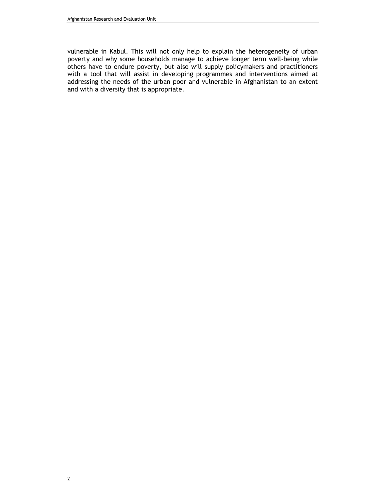vulnerable in Kabul. This will not only help to explain the heterogeneity of urban poverty and why some households manage to achieve longer term well-being while others have to endure poverty, but also will supply policymakers and practitioners with a tool that will assist in developing programmes and interventions aimed at addressing the needs of the urban poor and vulnerable in Afghanistan to an extent and with a diversity that is appropriate.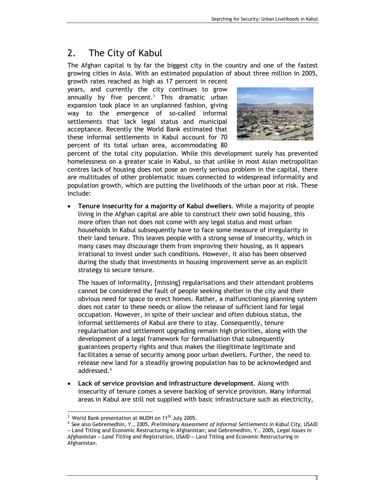# 2. The City of Kabul

The Afghan capital is by far the biggest city in the country and one of the fastest growing cities in Asia. With an estimated population of about three million in 2005,

growth rates reached as high as 17 percent in recent years, and currently the city continues to grow annually by five percent.<sup>3</sup> This dramatic urban expansion took place in an unplanned fashion, giving way to the emergence of so-called informal settlements that lack legal status and municipal acceptance. Recently the World Bank estimated that these informal settlements in Kabul account for 70 percent of its total urban area, accommodating 80



percent of the total city population. While this development surely has prevented homelessness on a greater scale in Kabul, so that unlike in most Asian metropolitan centres lack of housing does not pose an overly serious problem in the capital, there are multitudes of other problematic issues connected to widespread informality and population growth, which are putting the livelihoods of the urban poor at risk. These include:

• Tenure insecurity for a majority of Kabul dwellers. While a majority of people living in the Afghan capital are able to construct their own solid housing, this more often than not does not come with any legal status and most urban households in Kabul subsequently have to face some measure of irregularity in their land tenure. This leaves people with a strong sense of insecurity, which in many cases may discourage them from improving their housing, as it appears irrational to invest under such conditions. However, it also has been observed during the study that investments in housing improvement serve as an explicit strategy to secure tenure.

The issues of informality, [missing] regularisations and their attendant problems cannot be considered the fault of people seeking shelter in the city and their obvious need for space to erect homes. Rather, a malfunctioning planning system does not cater to these needs or allow the release of sufficient land for legal occupation. However, in spite of their unclear and often dubious status, the informal settlements of Kabul are there to stay. Consequently, tenure regularisation and settlement upgrading remain high priorities, along with the development of a legal framework for formalisation that subsequently guarantees property rights and thus makes the illegitimate legitimate and facilitates a sense of security among poor urban dwellers. Further, the need to release new land for a steadily growing population has to be acknowledged and addressed.<sup>4</sup>

Lack of service provision and infrastructure development. Along with insecurity of tenure comes a severe backlog of service provision. Many informal areas in Kabul are still not supplied with basic infrastructure such as electricity,

 $3$  World Bank presentation at MUDH on 11<sup>th</sup> July 2005.

<sup>4</sup> See also Gebremedhin, Y., 2005, Preliminary Assessment of Informal Settlements in Kabul City, USAID

<sup>–</sup> Land Titling and Economic Restructuring in Afghanistan; and Gebremedhin, Y., 2005, Legal Issues in Afghanistan – Land Titling and Registration, USAID – Land Titling and Economic Restructuring in Afghanistan.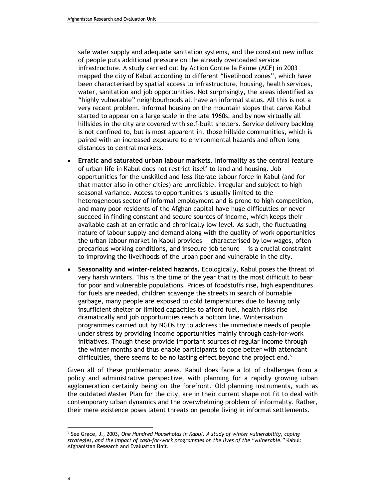safe water supply and adequate sanitation systems, and the constant new influx of people puts additional pressure on the already overloaded service infrastructure. A study carried out by Action Contre la Faime (ACF) in 2003 mapped the city of Kabul according to different "livelihood zones", which have been characterised by spatial access to infrastructure, housing, health services, water, sanitation and job opportunities. Not surprisingly, the areas identified as "highly vulnerable" neighbourhoods all have an informal status. All this is not a very recent problem. Informal housing on the mountain slopes that carve Kabul started to appear on a large scale in the late 1960s, and by now virtually all hillsides in the city are covered with self-built shelters. Service delivery backlog is not confined to, but is most apparent in, those hillside communities, which is paired with an increased exposure to environmental hazards and often long distances to central markets.

- Erratic and saturated urban labour markets. Informality as the central feature of urban life in Kabul does not restrict itself to land and housing. Job opportunities for the unskilled and less literate labour force in Kabul (and for that matter also in other cities) are unreliable, irregular and subject to high seasonal variance. Access to opportunities is usually limited to the heterogeneous sector of informal employment and is prone to high competition, and many poor residents of the Afghan capital have huge difficulties or never succeed in finding constant and secure sources of income, which keeps their available cash at an erratic and chronically low level. As such, the fluctuating nature of labour supply and demand along with the quality of work opportunities the urban labour market in Kabul provides — characterised by low wages, often precarious working conditions, and insecure job tenure  $-$  is a crucial constraint to improving the livelihoods of the urban poor and vulnerable in the city.
- Seasonality and winter-related hazards. Ecologically, Kabul poses the threat of very harsh winters. This is the time of the year that is the most difficult to bear for poor and vulnerable populations. Prices of foodstuffs rise, high expenditures for fuels are needed, children scavenge the streets in search of burnable garbage, many people are exposed to cold temperatures due to having only insufficient shelter or limited capacities to afford fuel, health risks rise dramatically and job opportunities reach a bottom line. Winterisation programmes carried out by NGOs try to address the immediate needs of people under stress by providing income opportunities mainly through cash-for-work initiatives. Though these provide important sources of regular income through the winter months and thus enable participants to cope better with attendant difficulties, there seems to be no lasting effect beyond the project end.<sup>5</sup>

Given all of these problematic areas, Kabul does face a lot of challenges from a policy and administrative perspective, with planning for a rapidly growing urban agglomeration certainly being on the forefront. Old planning instruments, such as the outdated Master Plan for the city, are in their current shape not fit to deal with contemporary urban dynamics and the overwhelming problem of informality. Rather, their mere existence poses latent threats on people living in informal settlements.

<sup>&</sup>lt;sup>5</sup> See Grace, J., 2003, One Hundred Households in Kabul. A study of winter vulnerability, coping strategies, and the impact of cash-for-work programmes on the lives of the "vulnerable." Kabul: Afghanistan Research and Evaluation Unit.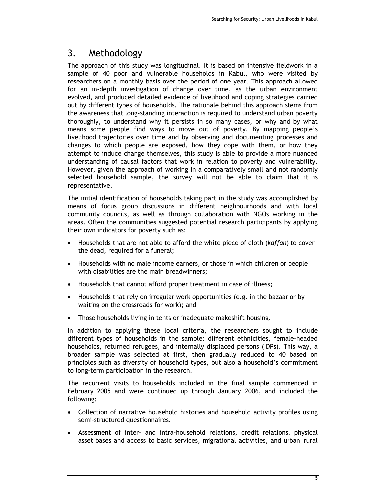# 3. Methodology

The approach of this study was longitudinal. It is based on intensive fieldwork in a sample of 40 poor and vulnerable households in Kabul, who were visited by researchers on a monthly basis over the period of one year. This approach allowed for an in-depth investigation of change over time, as the urban environment evolved, and produced detailed evidence of livelihood and coping strategies carried out by different types of households. The rationale behind this approach stems from the awareness that long-standing interaction is required to understand urban poverty thoroughly, to understand why it persists in so many cases, or why and by what means some people find ways to move out of poverty. By mapping people's livelihood trajectories over time and by observing and documenting processes and changes to which people are exposed, how they cope with them, or how they attempt to induce change themselves, this study is able to provide a more nuanced understanding of causal factors that work in relation to poverty and vulnerability. However, given the approach of working in a comparatively small and not randomly selected household sample, the survey will not be able to claim that it is representative.

The initial identification of households taking part in the study was accomplished by means of focus group discussions in different neighbourhoods and with local community councils, as well as through collaboration with NGOs working in the areas. Often the communities suggested potential research participants by applying their own indicators for poverty such as:

- Households that are not able to afford the white piece of cloth (kaffan) to cover the dead, required for a funeral;
- Households with no male income earners, or those in which children or people with disabilities are the main breadwinners;
- Households that cannot afford proper treatment in case of illness;
- Households that rely on irregular work opportunities (e.g. in the bazaar or by waiting on the crossroads for work); and
- Those households living in tents or inadequate makeshift housing.

In addition to applying these local criteria, the researchers sought to include different types of households in the sample: different ethnicities, female-headed households, returned refugees, and internally displaced persons (IDPs). This way, a broader sample was selected at first, then gradually reduced to 40 based on principles such as diversity of household types, but also a household's commitment to long-term participation in the research.

The recurrent visits to households included in the final sample commenced in February 2005 and were continued up through January 2006, and included the following:

- Collection of narrative household histories and household activity profiles using semi-structured questionnaires.
- Assessment of inter- and intra-household relations, credit relations, physical asset bases and access to basic services, migrational activities, and urban–rural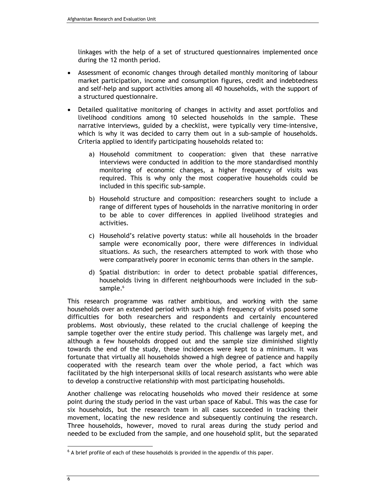linkages with the help of a set of structured questionnaires implemented once during the 12 month period.

- Assessment of economic changes through detailed monthly monitoring of labour market participation, income and consumption figures, credit and indebtedness and self-help and support activities among all 40 households, with the support of a structured questionnaire.
- Detailed qualitative monitoring of changes in activity and asset portfolios and livelihood conditions among 10 selected households in the sample. These narrative interviews, guided by a checklist, were typically very time-intensive, which is why it was decided to carry them out in a sub-sample of households. Criteria applied to identify participating households related to:
	- a) Household commitment to cooperation: given that these narrative interviews were conducted in addition to the more standardised monthly monitoring of economic changes, a higher frequency of visits was required. This is why only the most cooperative households could be included in this specific sub-sample.
	- b) Household structure and composition: researchers sought to include a range of different types of households in the narrative monitoring in order to be able to cover differences in applied livelihood strategies and activities.
	- c) Household's relative poverty status: while all households in the broader sample were economically poor, there were differences in individual situations. As such, the researchers attempted to work with those who were comparatively poorer in economic terms than others in the sample.
	- d) Spatial distribution: in order to detect probable spatial differences, households living in different neighbourhoods were included in the subsample.<sup>6</sup>

This research programme was rather ambitious, and working with the same households over an extended period with such a high frequency of visits posed some difficulties for both researchers and respondents and certainly encountered problems. Most obviously, these related to the crucial challenge of keeping the sample together over the entire study period. This challenge was largely met, and although a few households dropped out and the sample size diminished slightly towards the end of the study, these incidences were kept to a minimum. It was fortunate that virtually all households showed a high degree of patience and happily cooperated with the research team over the whole period, a fact which was facilitated by the high interpersonal skills of local research assistants who were able to develop a constructive relationship with most participating households.

Another challenge was relocating households who moved their residence at some point during the study period in the vast urban space of Kabul. This was the case for six households, but the research team in all cases succeeded in tracking their movement, locating the new residence and subsequently continuing the research. Three households, however, moved to rural areas during the study period and needed to be excluded from the sample, and one household split, but the separated

 $<sup>6</sup>$  A brief profile of each of these households is provided in the appendix of this paper.</sup>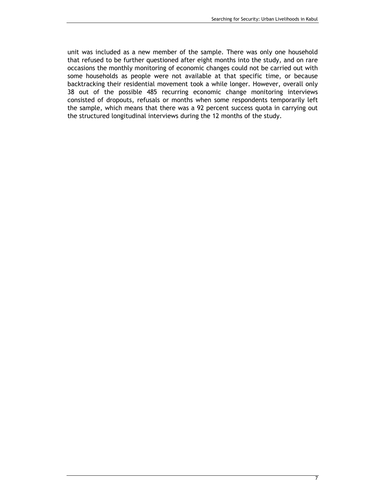unit was included as a new member of the sample. There was only one household that refused to be further questioned after eight months into the study, and on rare occasions the monthly monitoring of economic changes could not be carried out with some households as people were not available at that specific time, or because backtracking their residential movement took a while longer. However, overall only 38 out of the possible 485 recurring economic change monitoring interviews consisted of dropouts, refusals or months when some respondents temporarily left the sample, which means that there was a 92 percent success quota in carrying out the structured longitudinal interviews during the 12 months of the study.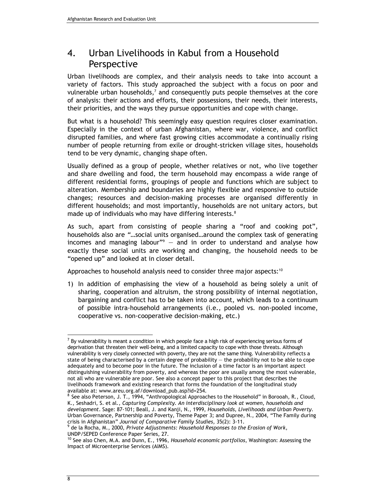# 4. Urban Livelihoods in Kabul from a Household **Perspective**

Urban livelihoods are complex, and their analysis needs to take into account a variety of factors. This study approached the subject with a focus on poor and vulnerable urban households,<sup>7</sup> and consequently puts people themselves at the core of analysis: their actions and efforts, their possessions, their needs, their interests, their priorities, and the ways they pursue opportunities and cope with change.

But what is a household? This seemingly easy question requires closer examination. Especially in the context of urban Afghanistan, where war, violence, and conflict disrupted families, and where fast growing cities accommodate a continually rising number of people returning from exile or drought-stricken village sites, households tend to be very dynamic, changing shape often.

Usually defined as a group of people, whether relatives or not, who live together and share dwelling and food, the term household may encompass a wide range of different residential forms, groupings of people and functions which are subject to alteration. Membership and boundaries are highly flexible and responsive to outside changes; resources and decision-making processes are organised differently in different households; and most importantly, households are not unitary actors, but made up of individuals who may have differing interests.<sup>8</sup>

As such, apart from consisting of people sharing a "roof and cooking pot", households also are "…social units organised…around the complex task of generating incomes and managing labour"<sup>9</sup> — and in order to understand and analyse how exactly these social units are working and changing, the household needs to be "opened up" and looked at in closer detail.

Approaches to household analysis need to consider three major aspects: $10$ 

1) In addition of emphasising the view of a household as being solely a unit of sharing, cooperation and altruism, the strong possibility of internal negotiation, bargaining and conflict has to be taken into account, which leads to a continuum of possible intra-household arrangements (i.e., pooled vs. non-pooled income, cooperative vs. non-cooperative decision-making, etc.)

 $^7$  By vulnerability is meant a condition in which people face a high risk of experiencing serious forms of deprivation that threaten their well-being, and a limited capacity to cope with those threats. Although vulnerability is very closely connected with poverty, they are not the same thing. Vulnerability reflects a state of being characterised by a certain degree of probability — the probability not to be able to cope adequately and to become poor in the future. The inclusion of a time factor is an important aspect distinguishing vulnerability from poverty, and whereas the poor are usually among the most vulnerable, not all who are vulnerable are poor. See also a concept paper to this project that describes the livelihoods framework and existing research that forms the foundation of the longitudinal study available at: www.areu.org.af/download\_pub.asp?id=254.

<sup>&</sup>lt;sup>8</sup> See also Peterson, J. T., 1994, "Anthropological Approaches to the Household" in Borooah, R., Cloud, K., Seshadri, S. et al., Capturing Complexity. An interdisciplinary look at women, households and development. Sage: 87-101; Beall, J. and Kanji, N., 1999, Households, Livelihoods and Urban Poverty. Urban Governance, Partnership and Poverty, Theme Paper 3; and Dupree, N., 2004, "The Family during

crisis in Afghanistan" Journal of Comparative Family Studies, 35(2): 3-11.<br><sup>9</sup> de la Rocha, M., 2000, Private Adjustments: Household Responses to the Erosion of Work, UNDP/SEPED Conference Paper Series, 27.

 $10$  See also Chen, M.A. and Dunn, E., 1996, Household economic portfolios, Washington: Assessing the Impact of Microenterprise Services (AIMS).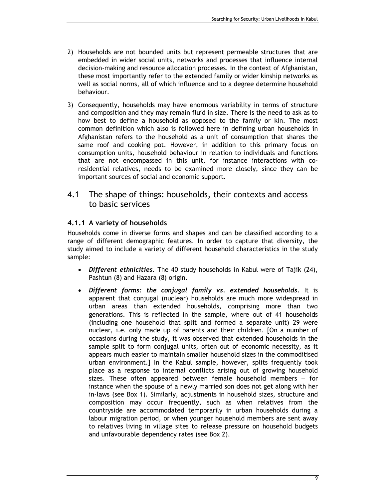- 2) Households are not bounded units but represent permeable structures that are embedded in wider social units, networks and processes that influence internal decision-making and resource allocation processes. In the context of Afghanistan, these most importantly refer to the extended family or wider kinship networks as well as social norms, all of which influence and to a degree determine household behaviour.
- 3) Consequently, households may have enormous variability in terms of structure and composition and they may remain fluid in size. There is the need to ask as to how best to define a household as opposed to the family or kin. The most common definition which also is followed here in defining urban households in Afghanistan refers to the household as a unit of consumption that shares the same roof and cooking pot. However, in addition to this primary focus on consumption units, household behaviour in relation to individuals and functions that are not encompassed in this unit, for instance interactions with coresidential relatives, needs to be examined more closely, since they can be important sources of social and economic support.

## 4.1 The shape of things: households, their contexts and access to basic services

## 4.1.1 A variety of households

Households come in diverse forms and shapes and can be classified according to a range of different demographic features. In order to capture that diversity, the study aimed to include a variety of different household characteristics in the study sample:

- Different ethnicities. The 40 study households in Kabul were of Tajik (24), Pashtun (8) and Hazara (8) origin.
- Different forms: the conjugal family vs. extended households. It is apparent that conjugal (nuclear) households are much more widespread in urban areas than extended households, comprising more than two generations. This is reflected in the sample, where out of 41 households (including one household that split and formed a separate unit) 29 were nuclear, i.e. only made up of parents and their children. [On a number of occasions during the study, it was observed that extended households in the sample split to form conjugal units, often out of economic necessity, as it appears much easier to maintain smaller household sizes in the commoditised urban environment.] In the Kabul sample, however, splits frequently took place as a response to internal conflicts arising out of growing household sizes. These often appeared between female household members – for instance when the spouse of a newly married son does not get along with her in-laws (see Box 1). Similarly, adjustments in household sizes, structure and composition may occur frequently, such as when relatives from the countryside are accommodated temporarily in urban households during a labour migration period, or when younger household members are sent away to relatives living in village sites to release pressure on household budgets and unfavourable dependency rates (see Box 2).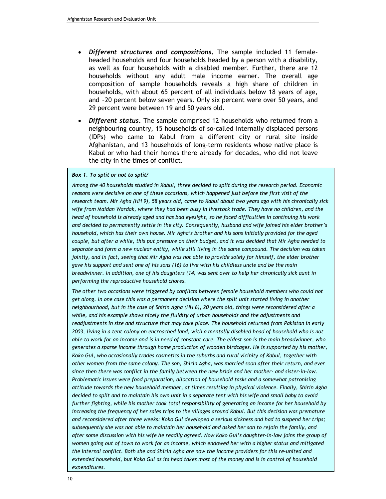- Different structures and compositions. The sample included 11 femaleheaded households and four households headed by a person with a disability, as well as four households with a disabled member. Further, there are 12 households without any adult male income earner. The overall age composition of sample households reveals a high share of children in households, with about 65 percent of all individuals below 18 years of age, and ~20 percent below seven years. Only six percent were over 50 years, and 29 percent were between 19 and 50 years old.
- Different status. The sample comprised 12 households who returned from a neighbouring country, 15 households of so-called internally displaced persons (IDPs) who came to Kabul from a different city or rural site inside Afghanistan, and 13 households of long-term residents whose native place is Kabul or who had their homes there already for decades, who did not leave the city in the times of conflict.

#### Box 1. To split or not to split?

Among the 40 households studied in Kabul, three decided to split during the research period. Economic reasons were decisive on one of these occasions, which happened just before the first visit of the research team. Mir Agha (HH 9), 58 years old, came to Kabul about two years ago with his chronically sick wife from Maidan Wardak, where they had been busy in livestock trade. They have no children, and the head of household is already aged and has bad eyesight, so he faced difficulties in continuing his work and decided to permanently settle in the city. Consequently, husband and wife joined his elder brother's household, which has their own house. Mir Agha's brother and his sons initially provided for the aged couple, but after a while, this put pressure on their budget, and it was decided that Mir Agha needed to separate and form a new nuclear entity, while still living in the same compound. The decision was taken jointly, and in fact, seeing that Mir Agha was not able to provide solely for himself, the elder brother gave his support and sent one of his sons (16) to live with his childless uncle and be the main breadwinner. In addition, one of his daughters (14) was sent over to help her chronically sick aunt in performing the reproductive household chores.

The other two occasions were triggered by conflicts between female household members who could not get along. In one case this was a permanent decision where the split unit started living in another neighbourhood, but in the case of Shirin Agha (HH 6), 20 years old, things were reconsidered after a while, and his example shows nicely the fluidity of urban households and the adjustments and readjustments in size and structure that may take place. The household returned from Pakistan in early 2003, living in a tent colony on encroached land, with a mentally disabled head of household who is not able to work for an income and is in need of constant care. The eldest son is the main breadwinner, who generates a sparse income through home production of wooden birdcages. He is supported by his mother, Koko Gul, who occasionally trades cosmetics in the suburbs and rural vicinity of Kabul, together with other women from the same colony. The son, Shirin Agha, was married soon after their return, and ever since then there was conflict in the family between the new bride and her mother- and sister-in-law. Problematic issues were food preparation, allocation of household tasks and a somewhat patronising attitude towards the new household member, at times resulting in physical violence. Finally, Shirin Agha decided to split and to maintain his own unit in a separate tent with his wife and small baby to avoid further fighting, while his mother took total responsibility of generating an income for her household by increasing the frequency of her sales trips to the villages around Kabul. But this decision was premature and reconsidered after three weeks: Koko Gul developed a serious sickness and had to suspend her trips; subsequently she was not able to maintain her household and asked her son to rejoin the family, and after some discussion with his wife he readily agreed. Now Koko Gul's daughter-in-law joins the group of women going out of town to work for an income, which endowed her with a higher status and mitigated the internal conflict. Both she and Shirin Agha are now the income providers for this re-united and extended household, but Koko Gul as its head takes most of the money and is in control of household expenditures.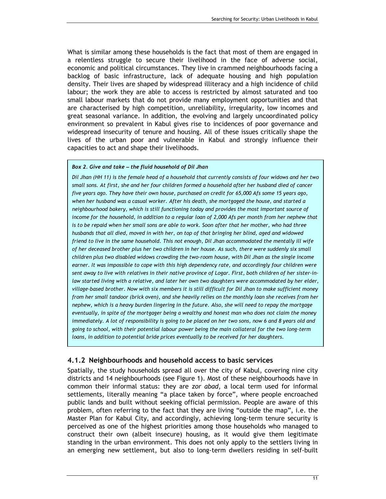What is similar among these households is the fact that most of them are engaged in a relentless struggle to secure their livelihood in the face of adverse social, economic and political circumstances. They live in crammed neighbourhoods facing a backlog of basic infrastructure, lack of adequate housing and high population density. Their lives are shaped by widespread illiteracy and a high incidence of child labour; the work they are able to access is restricted by almost saturated and too small labour markets that do not provide many employment opportunities and that are characterised by high competition, unreliability, irregularity, low incomes and great seasonal variance. In addition, the evolving and largely uncoordinated policy environment so prevalent in Kabul gives rise to incidences of poor governance and widespread insecurity of tenure and housing. All of these issues critically shape the lives of the urban poor and vulnerable in Kabul and strongly influence their capacities to act and shape their livelihoods.

#### Box 2. Give and take – the fluid household of Dil Jhan

Dil Jhan (HH 11) is the female head of a household that currently consists of four widows and her two small sons. At first, she and her four children formed a household after her husband died of cancer five years ago. They have their own house, purchased on credit for 65,000 Afs some 15 years ago, when her husband was a casual worker. After his death, she mortgaged the house, and started a neighbourhood bakery, which is still functioning today and provides the most important source of income for the household, in addition to a regular loan of 2,000 Afs per month from her nephew that is to be repaid when her small sons are able to work. Soon after that her mother, who had three husbands that all died, moved in with her, on top of that bringing her blind, aged and widowed friend to live in the same household. This not enough, Dil Jhan accommodated the mentally ill wife of her deceased brother plus her two children in her house. As such, there were suddenly six small children plus two disabled widows crowding the two-room house, with Dil Jhan as the single income earner. It was impossible to cope with this high dependency rate, and accordingly four children were sent away to live with relatives in their native province of Logar. First, both children of her sister-inlaw started living with a relative, and later her own two daughters were accommodated by her elder, village-based brother. Now with six members it is still difficult for Dil Jhan to make sufficient money from her small tandoor (brick oven), and she heavily relies on the monthly loan she receives from her nephew, which is a heavy burden lingering in the future. Also, she will need to repay the mortgage eventually, in spite of the mortgager being a wealthy and honest man who does not claim the money immediately. A lot of responsibility is going to be placed on her two sons, now 6 and 8 years old and going to school, with their potential labour power being the main collateral for the two long-term loans, in addition to potential bride prices eventually to be received for her daughters.

#### 4.1.2 Neighbourhoods and household access to basic services

Spatially, the study households spread all over the city of Kabul, covering nine city districts and 14 neighbourhoods (see Figure 1). Most of these neighbourhoods have in common their informal status: they are zor abad, a local term used for informal settlements, literally meaning "a place taken by force", where people encroached public lands and built without seeking official permission. People are aware of this problem, often referring to the fact that they are living "outside the map", i.e. the Master Plan for Kabul City, and accordingly, achieving long-term tenure security is perceived as one of the highest priorities among those households who managed to construct their own (albeit insecure) housing, as it would give them legitimate standing in the urban environment. This does not only apply to the settlers living in an emerging new settlement, but also to long-term dwellers residing in self-built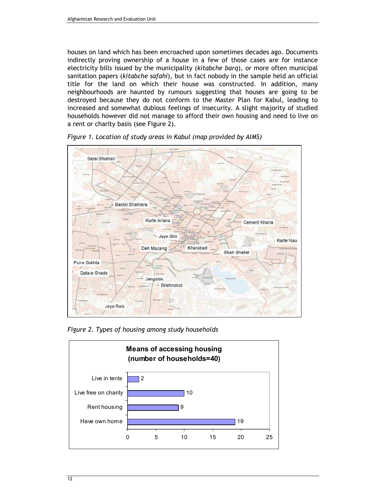houses on land which has been encroached upon sometimes decades ago. Documents indirectly proving ownership of a house in a few of those cases are for instance electricity bills issued by the municipality (kitabche barq), or more often municipal sanitation papers (kitabche safahi), but in fact nobody in the sample held an official title for the land on which their house was constructed. In addition, many neighbourhoods are haunted by rumours suggesting that houses are going to be destroyed because they do not conform to the Master Plan for Kabul, leading to increased and somewhat dubious feelings of insecurity. A slight majority of studied households however did not manage to afford their own housing and need to live on a rent or charity basis (see Figure 2).



Figure 1. Location of study areas in Kabul (map provided by AIMS)

Figure 2. Types of housing among study households

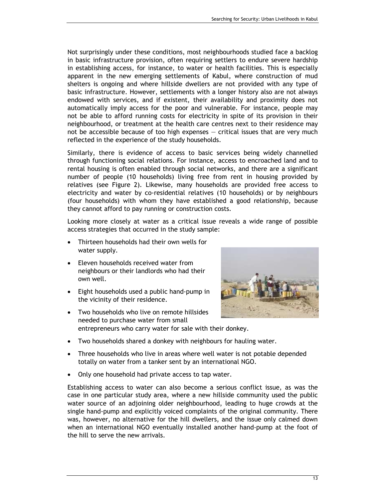Not surprisingly under these conditions, most neighbourhoods studied face a backlog in basic infrastructure provision, often requiring settlers to endure severe hardship in establishing access, for instance, to water or health facilities. This is especially apparent in the new emerging settlements of Kabul, where construction of mud shelters is ongoing and where hillside dwellers are not provided with any type of basic infrastructure. However, settlements with a longer history also are not always endowed with services, and if existent, their availability and proximity does not automatically imply access for the poor and vulnerable. For instance, people may not be able to afford running costs for electricity in spite of its provision in their neighbourhood, or treatment at the health care centres next to their residence may not be accessible because of too high expenses — critical issues that are very much reflected in the experience of the study households.

Similarly, there is evidence of access to basic services being widely channelled through functioning social relations. For instance, access to encroached land and to rental housing is often enabled through social networks, and there are a significant number of people (10 households) living free from rent in housing provided by relatives (see Figure 2). Likewise, many households are provided free access to electricity and water by co-residential relatives (10 households) or by neighbours (four households) with whom they have established a good relationship, because they cannot afford to pay running or construction costs.

Looking more closely at water as a critical issue reveals a wide range of possible access strategies that occurred in the study sample:

- Thirteen households had their own wells for water supply.
- Eleven households received water from neighbours or their landlords who had their own well.
- Eight households used a public hand-pump in the vicinity of their residence.
- Two households who live on remote hillsides needed to purchase water from small entrepreneurs who carry water for sale with their donkey.



- Two households shared a donkey with neighbours for hauling water.
- Three households who live in areas where well water is not potable depended totally on water from a tanker sent by an international NGO.
- Only one household had private access to tap water.

Establishing access to water can also become a serious conflict issue, as was the case in one particular study area, where a new hillside community used the public water source of an adjoining older neighbourhood, leading to huge crowds at the single hand-pump and explicitly voiced complaints of the original community. There was, however, no alternative for the hill dwellers, and the issue only calmed down when an international NGO eventually installed another hand-pump at the foot of the hill to serve the new arrivals.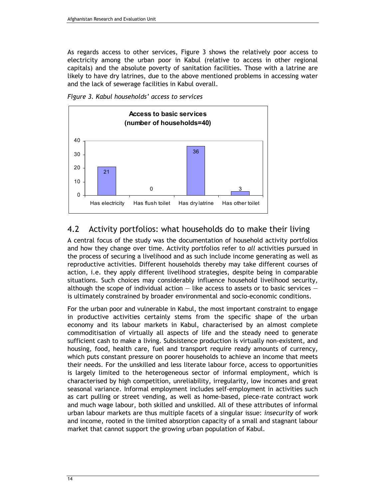As regards access to other services, Figure 3 shows the relatively poor access to electricity among the urban poor in Kabul (relative to access in other regional capitals) and the absolute poverty of sanitation facilities. Those with a latrine are likely to have dry latrines, due to the above mentioned problems in accessing water and the lack of sewerage facilities in Kabul overall.





## 4.2 Activity portfolios: what households do to make their living

A central focus of the study was the documentation of household activity portfolios and how they change over time. Activity portfolios refer to all activities pursued in the process of securing a livelihood and as such include income generating as well as reproductive activities. Different households thereby may take different courses of action, i.e. they apply different livelihood strategies, despite being in comparable situations. Such choices may considerably influence household livelihood security, although the scope of individual action  $-$  like access to assets or to basic services  $$ is ultimately constrained by broader environmental and socio-economic conditions.

For the urban poor and vulnerable in Kabul, the most important constraint to engage in productive activities certainly stems from the specific shape of the urban economy and its labour markets in Kabul, characterised by an almost complete commoditisation of virtually all aspects of life and the steady need to generate sufficient cash to make a living. Subsistence production is virtually non-existent, and housing, food, health care, fuel and transport require ready amounts of currency, which puts constant pressure on poorer households to achieve an income that meets their needs. For the unskilled and less literate labour force, access to opportunities is largely limited to the heterogeneous sector of informal employment, which is characterised by high competition, unreliability, irregularity, low incomes and great seasonal variance. Informal employment includes self-employment in activities such as cart pulling or street vending, as well as home-based, piece-rate contract work and much wage labour, both skilled and unskilled. All of these attributes of informal urban labour markets are thus multiple facets of a singular issue: insecurity of work and income, rooted in the limited absorption capacity of a small and stagnant labour market that cannot support the growing urban population of Kabul.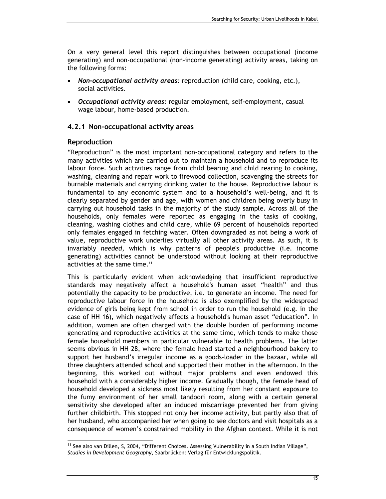On a very general level this report distinguishes between occupational (income generating) and non-occupational (non-income generating) activity areas, taking on the following forms:

- Non-occupational activity areas: reproduction (child care, cooking, etc.), social activities.
- Occupational activity areas: regular employment, self-employment, casual wage labour, home-based production.

### 4.2.1 Non-occupational activity areas

#### Reproduction

 $\overline{a}$ 

"Reproduction" is the most important non-occupational category and refers to the many activities which are carried out to maintain a household and to reproduce its labour force. Such activities range from child bearing and child rearing to cooking, washing, cleaning and repair work to firewood collection, scavenging the streets for burnable materials and carrying drinking water to the house. Reproductive labour is fundamental to any economic system and to a household's well-being, and it is clearly separated by gender and age, with women and children being overly busy in carrying out household tasks in the majority of the study sample. Across all of the households, only females were reported as engaging in the tasks of cooking, cleaning, washing clothes and child care, while 69 percent of households reported only females engaged in fetching water. Often downgraded as not being a work of value, reproductive work underlies virtually all other activity areas. As such, it is invariably needed, which is why patterns of people's productive (i.e. income generating) activities cannot be understood without looking at their reproductive activities at the same time.<sup>11</sup>

This is particularly evident when acknowledging that insufficient reproductive standards may negatively affect a household's human asset "health" and thus potentially the capacity to be productive, i.e. to generate an income. The need for reproductive labour force in the household is also exemplified by the widespread evidence of girls being kept from school in order to run the household (e.g. in the case of HH 16), which negatively affects a household's human asset "education". In addition, women are often charged with the double burden of performing income generating and reproductive activities at the same time, which tends to make those female household members in particular vulnerable to health problems. The latter seems obvious in HH 28, where the female head started a neighbourhood bakery to support her husband's irregular income as a goods-loader in the bazaar, while all three daughters attended school and supported their mother in the afternoon. In the beginning, this worked out without major problems and even endowed this household with a considerably higher income. Gradually though, the female head of household developed a sickness most likely resulting from her constant exposure to the fumy environment of her small tandoori room, along with a certain general sensitivity she developed after an induced miscarriage prevented her from giving further childbirth. This stopped not only her income activity, but partly also that of her husband, who accompanied her when going to see doctors and visit hospitals as a consequence of women's constrained mobility in the Afghan context. While it is not

<sup>&</sup>lt;sup>11</sup> See also van Dillen, S, 2004, "Different Choices. Assessing Vulnerability in a South Indian Village", Studies in Development Geography, Saarbrücken: Verlag für Entwicklungspolitik.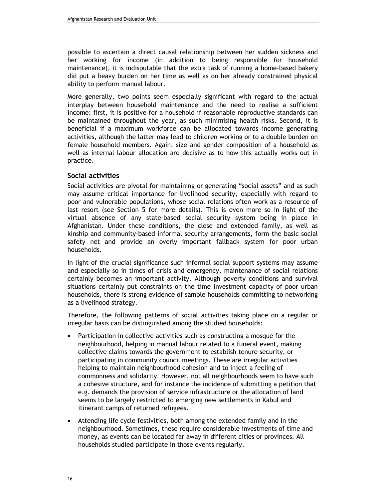possible to ascertain a direct causal relationship between her sudden sickness and her working for income (in addition to being responsible for household maintenance), it is indisputable that the extra task of running a home-based bakery did put a heavy burden on her time as well as on her already constrained physical ability to perform manual labour.

More generally, two points seem especially significant with regard to the actual interplay between household maintenance and the need to realise a sufficient income: first, it is positive for a household if reasonable reproductive standards can be maintained throughout the year, as such minimising health risks. Second, it is beneficial if a maximum workforce can be allocated towards income generating activities, although the latter may lead to children working or to a double burden on female household members. Again, size and gender composition of a household as well as internal labour allocation are decisive as to how this actually works out in practice.

### Social activities

Social activities are pivotal for maintaining or generating "social assets" and as such may assume critical importance for livelihood security, especially with regard to poor and vulnerable populations, whose social relations often work as a resource of last resort (see Section 5 for more details). This is even more so in light of the virtual absence of any state-based social security system being in place in Afghanistan. Under these conditions, the close and extended family, as well as kinship and community-based informal security arrangements, form the basic social safety net and provide an overly important fallback system for poor urban households.

In light of the crucial significance such informal social support systems may assume and especially so in times of crisis and emergency, maintenance of social relations certainly becomes an important activity. Although poverty conditions and survival situations certainly put constraints on the time investment capacity of poor urban households, there is strong evidence of sample households committing to networking as a livelihood strategy.

Therefore, the following patterns of social activities taking place on a regular or irregular basis can be distinguished among the studied households:

- Participation in collective activities such as constructing a mosque for the neighbourhood, helping in manual labour related to a funeral event, making collective claims towards the government to establish tenure security, or participating in community council meetings. These are irregular activities helping to maintain neighbourhood cohesion and to inject a feeling of commonness and solidarity. However, not all neighbourhoods seem to have such a cohesive structure, and for instance the incidence of submitting a petition that e.g. demands the provision of service infrastructure or the allocation of land seems to be largely restricted to emerging new settlements in Kabul and itinerant camps of returned refugees.
- Attending life cycle festivities, both among the extended family and in the neighbourhood. Sometimes, these require considerable investments of time and money, as events can be located far away in different cities or provinces. All households studied participate in those events regularly.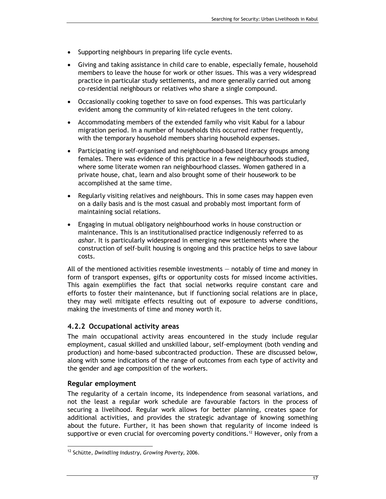- Supporting neighbours in preparing life cycle events.
- Giving and taking assistance in child care to enable, especially female, household members to leave the house for work or other issues. This was a very widespread practice in particular study settlements, and more generally carried out among co-residential neighbours or relatives who share a single compound.
- Occasionally cooking together to save on food expenses. This was particularly evident among the community of kin-related refugees in the tent colony.
- Accommodating members of the extended family who visit Kabul for a labour migration period. In a number of households this occurred rather frequently, with the temporary household members sharing household expenses.
- Participating in self-organised and neighbourhood-based literacy groups among females. There was evidence of this practice in a few neighbourhoods studied, where some literate women ran neighbourhood classes. Women gathered in a private house, chat, learn and also brought some of their housework to be accomplished at the same time.
- Regularly visiting relatives and neighbours. This in some cases may happen even on a daily basis and is the most casual and probably most important form of maintaining social relations.
- Engaging in mutual obligatory neighbourhood works in house construction or maintenance. This is an institutionalised practice indigenously referred to as ashar. It is particularly widespread in emerging new settlements where the construction of self-built housing is ongoing and this practice helps to save labour costs.

All of the mentioned activities resemble investments — notably of time and money in form of transport expenses, gifts or opportunity costs for missed income activities. This again exemplifies the fact that social networks require constant care and efforts to foster their maintenance, but if functioning social relations are in place, they may well mitigate effects resulting out of exposure to adverse conditions, making the investments of time and money worth it.

### 4.2.2 Occupational activity areas

The main occupational activity areas encountered in the study include regular employment, casual skilled and unskilled labour, self-employment (both vending and production) and home-based subcontracted production. These are discussed below, along with some indications of the range of outcomes from each type of activity and the gender and age composition of the workers.

### Regular employment

 $\overline{a}$ 

The regularity of a certain income, its independence from seasonal variations, and not the least a regular work schedule are favourable factors in the process of securing a livelihood. Regular work allows for better planning, creates space for additional activities, and provides the strategic advantage of knowing something about the future. Further, it has been shown that regularity of income indeed is supportive or even crucial for overcoming poverty conditions.<sup>12</sup> However, only from a

<sup>&</sup>lt;sup>12</sup> Schütte, Dwindling Industry, Growing Poverty, 2006.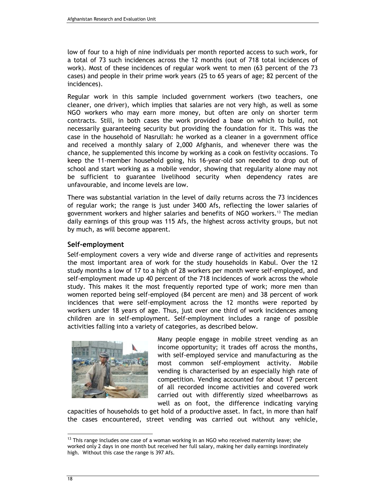low of four to a high of nine individuals per month reported access to such work, for a total of 73 such incidences across the 12 months (out of 718 total incidences of work). Most of these incidences of regular work went to men (63 percent of the 73 cases) and people in their prime work years (25 to 65 years of age; 82 percent of the incidences).

Regular work in this sample included government workers (two teachers, one cleaner, one driver), which implies that salaries are not very high, as well as some NGO workers who may earn more money, but often are only on shorter term contracts. Still, in both cases the work provided a base on which to build, not necessarily guaranteeing security but providing the foundation for it. This was the case in the household of Nasrullah: he worked as a cleaner in a government office and received a monthly salary of 2,000 Afghanis, and whenever there was the chance, he supplemented this income by working as a cook on festivity occasions. To keep the 11-member household going, his 16-year-old son needed to drop out of school and start working as a mobile vendor, showing that regularity alone may not be sufficient to guarantee livelihood security when dependency rates are unfavourable, and income levels are low.

There was substantial variation in the level of daily returns across the 73 incidences of regular work; the range is just under 3400 Afs, reflecting the lower salaries of government workers and higher salaries and benefits of NGO workers.<sup>13</sup> The median daily earnings of this group was 115 Afs, the highest across activity groups, but not by much, as will become apparent.

### Self-employment

Self-employment covers a very wide and diverse range of activities and represents the most important area of work for the study households in Kabul. Over the 12 study months a low of 17 to a high of 28 workers per month were self-employed, and self-employment made up 40 percent of the 718 incidences of work across the whole study. This makes it the most frequently reported type of work; more men than women reported being self-employed (84 percent are men) and 38 percent of work incidences that were self-employment across the 12 months were reported by workers under 18 years of age. Thus, just over one third of work incidences among children are in self-employment. Self-employment includes a range of possible activities falling into a variety of categories, as described below.



Many people engage in mobile street vending as an income opportunity; it trades off across the months, with self-employed service and manufacturing as the most common self-employment activity. Mobile vending is characterised by an especially high rate of competition. Vending accounted for about 17 percent of all recorded income activities and covered work carried out with differently sized wheelbarrows as well as on foot, the difference indicating varying

capacities of households to get hold of a productive asset. In fact, in more than half the cases encountered, street vending was carried out without any vehicle,

 $13$  This range includes one case of a woman working in an NGO who received maternity leave; she worked only 2 days in one month but received her full salary, making her daily earnings inordinately high. Without this case the range is 397 Afs.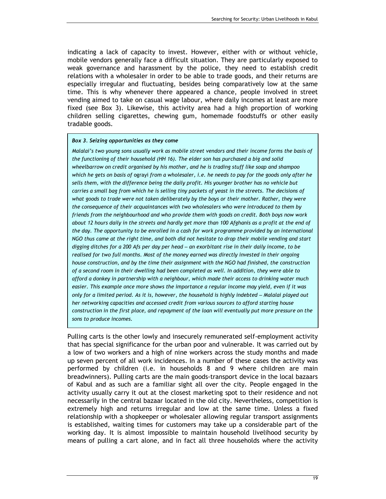indicating a lack of capacity to invest. However, either with or without vehicle, mobile vendors generally face a difficult situation. They are particularly exposed to weak governance and harassment by the police, they need to establish credit relations with a wholesaler in order to be able to trade goods, and their returns are especially irregular and fluctuating, besides being comparatively low at the same time. This is why whenever there appeared a chance, people involved in street vending aimed to take on casual wage labour, where daily incomes at least are more fixed (see Box 3). Likewise, this activity area had a high proportion of working children selling cigarettes, chewing gum, homemade foodstuffs or other easily tradable goods.

#### Box 3. Seizing opportunities as they come

Malalai's two young sons usually work as mobile street vendors and their income forms the basis of the functioning of their household (HH 16). The elder son has purchased a big and solid wheelbarrow on credit organised by his mother, and he is trading stuff like soap and shampoo which he gets on basis of ograyi from a wholesaler, i.e. he needs to pay for the goods only after he sells them, with the difference being the daily profit. His younger brother has no vehicle but carries a small bag from which he is selling tiny packets of yeast in the streets. The decisions of what goods to trade were not taken deliberately by the boys or their mother. Rather, they were the consequence of their acquaintances with two wholesalers who were introduced to them by friends from the neighbourhood and who provide them with goods on credit. Both boys now work about 12 hours daily in the streets and hardly get more than 100 Afghanis as a profit at the end of the day. The opportunity to be enrolled in a cash for work programme provided by an international NGO thus came at the right time, and both did not hesitate to drop their mobile vending and start digging ditches for a 200 Afs per day per head – an exorbitant rise in their daily income, to be realised for two full months. Most of the money earned was directly invested in their ongoing house construction, and by the time their assignment with the NGO had finished, the construction of a second room in their dwelling had been completed as well. In addition, they were able to afford a donkey in partnership with a neighbour, which made their access to drinking water much easier. This example once more shows the importance a regular income may yield, even if it was only for a limited period. As it is, however, the household is highly indebted – Malalai played out her networking capacities and accessed credit from various sources to afford starting house construction in the first place, and repayment of the loan will eventually put more pressure on the sons to produce incomes.

Pulling carts is the other lowly and insecurely remunerated self-employment activity that has special significance for the urban poor and vulnerable. It was carried out by a low of two workers and a high of nine workers across the study months and made up seven percent of all work incidences. In a number of these cases the activity was performed by children (i.e. in households 8 and 9 where children are main breadwinners). Pulling carts are the main goods-transport device in the local bazaars of Kabul and as such are a familiar sight all over the city. People engaged in the activity usually carry it out at the closest marketing spot to their residence and not necessarily in the central bazaar located in the old city. Nevertheless, competition is extremely high and returns irregular and low at the same time. Unless a fixed relationship with a shopkeeper or wholesaler allowing regular transport assignments is established, waiting times for customers may take up a considerable part of the working day. It is almost impossible to maintain household livelihood security by means of pulling a cart alone, and in fact all three households where the activity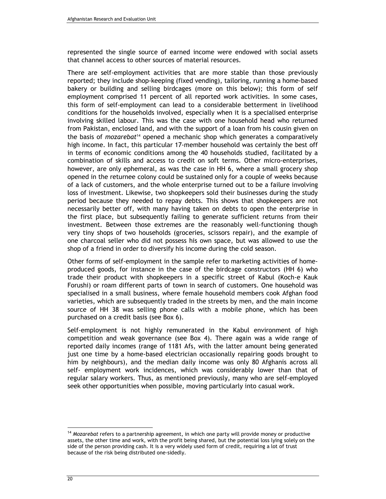represented the single source of earned income were endowed with social assets that channel access to other sources of material resources.

There are self-employment activities that are more stable than those previously reported; they include shop-keeping (fixed vending), tailoring, running a home-based bakery or building and selling birdcages (more on this below); this form of self employment comprised 11 percent of all reported work activities. In some cases, this form of self-employment can lead to a considerable betterment in livelihood conditions for the households involved, especially when it is a specialised enterprise involving skilled labour. This was the case with one household head who returned from Pakistan, enclosed land, and with the support of a loan from his cousin given on the basis of mozarebat<sup>14</sup> opened a mechanic shop which generates a comparatively high income. In fact, this particular 17-member household was certainly the best off in terms of economic conditions among the 40 households studied, facilitated by a combination of skills and access to credit on soft terms. Other micro-enterprises, however, are only ephemeral, as was the case in HH 6, where a small grocery shop opened in the returnee colony could be sustained only for a couple of weeks because of a lack of customers, and the whole enterprise turned out to be a failure involving loss of investment. Likewise, two shopkeepers sold their businesses during the study period because they needed to repay debts. This shows that shopkeepers are not necessarily better off, with many having taken on debts to open the enterprise in the first place, but subsequently failing to generate sufficient returns from their investment. Between those extremes are the reasonably well-functioning though very tiny shops of two households (groceries, scissors repair), and the example of one charcoal seller who did not possess his own space, but was allowed to use the shop of a friend in order to diversify his income during the cold season.

Other forms of self-employment in the sample refer to marketing activities of homeproduced goods, for instance in the case of the birdcage constructors (HH 6) who trade their product with shopkeepers in a specific street of Kabul (Koch-e Kauk Forushi) or roam different parts of town in search of customers. One household was specialised in a small business, where female household members cook Afghan food varieties, which are subsequently traded in the streets by men, and the main income source of HH 38 was selling phone calls with a mobile phone, which has been purchased on a credit basis (see Box 6).

Self-employment is not highly remunerated in the Kabul environment of high competition and weak governance (see Box 4). There again was a wide range of reported daily incomes (range of 1181 Afs, with the latter amount being generated just one time by a home-based electrician occasionally repairing goods brought to him by neighbours), and the median daily income was only 80 Afghanis across all self- employment work incidences, which was considerably lower than that of regular salary workers. Thus, as mentioned previously, many who are self-employed seek other opportunities when possible, moving particularly into casual work.

<sup>&</sup>lt;sup>14</sup> Mozarebat refers to a partnership agreement, in which one party will provide money or productive assets, the other time and work, with the profit being shared, but the potential loss lying solely on the side of the person providing cash. It is a very widely used form of credit, requiring a lot of trust because of the risk being distributed one-sidedly.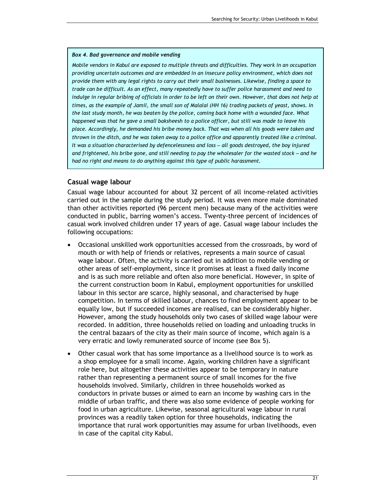#### Box 4. Bad governance and mobile vending

Mobile vendors in Kabul are exposed to multiple threats and difficulties. They work in an occupation providing uncertain outcomes and are embedded in an insecure policy environment, which does not provide them with any legal rights to carry out their small businesses. Likewise, finding a space to trade can be difficult. As an effect, many repeatedly have to suffer police harassment and need to indulge in regular bribing of officials in order to be left on their own. However, that does not help at times, as the example of Jamil, the small son of Malalai (HH 16) trading packets of yeast, shows. In the last study month, he was beaten by the police, coming back home with a wounded face. What happened was that he gave a small baksheesh to a police officer, but still was made to leave his place. Accordingly, he demanded his bribe money back. That was when all his goods were taken and thrown in the ditch, and he was taken away to a police office and apparently treated like a criminal. It was a situation characterised by defencelessness and loss – all goods destroyed, the boy injured and frightened, his bribe gone, and still needing to pay the wholesaler for the wasted stock – and he had no right and means to do anything against this type of public harassment.

#### Casual wage labour

Casual wage labour accounted for about 32 percent of all income-related activities carried out in the sample during the study period. It was even more male dominated than other activities reported (96 percent men) because many of the activities were conducted in public, barring women's access. Twenty-three percent of incidences of casual work involved children under 17 years of age. Casual wage labour includes the following occupations:

- Occasional unskilled work opportunities accessed from the crossroads, by word of mouth or with help of friends or relatives, represents a main source of casual wage labour. Often, the activity is carried out in addition to mobile vending or other areas of self-employment, since it promises at least a fixed daily income and is as such more reliable and often also more beneficial. However, in spite of the current construction boom in Kabul, employment opportunities for unskilled labour in this sector are scarce, highly seasonal, and characterised by huge competition. In terms of skilled labour, chances to find employment appear to be equally low, but if succeeded incomes are realised, can be considerably higher. However, among the study households only two cases of skilled wage labour were recorded. In addition, three households relied on loading and unloading trucks in the central bazaars of the city as their main source of income, which again is a very erratic and lowly remunerated source of income (see Box 5).
- Other casual work that has some importance as a livelihood source is to work as a shop employee for a small income. Again, working children have a significant role here, but altogether these activities appear to be temporary in nature rather than representing a permanent source of small incomes for the five households involved. Similarly, children in three households worked as conductors in private busses or aimed to earn an income by washing cars in the middle of urban traffic, and there was also some evidence of people working for food in urban agriculture. Likewise, seasonal agricultural wage labour in rural provinces was a readily taken option for three households, indicating the importance that rural work opportunities may assume for urban livelihoods, even in case of the capital city Kabul.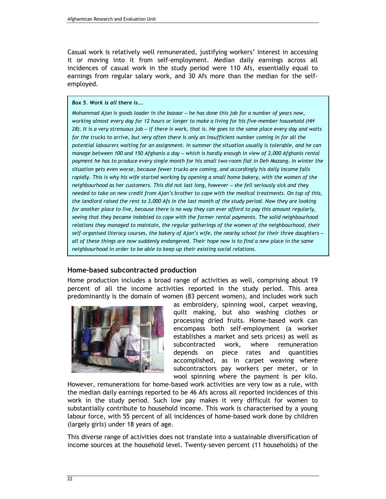Casual work is relatively well remunerated, justifying workers' interest in accessing it or moving into it from self-employment. Median daily earnings across all incidences of casual work in the study period were 110 Afs, essentially equal to earnings from regular salary work, and 30 Afs more than the median for the selfemployed.

#### Box 5. Work is all there is….

Mohammad Ajan is goods loader in the bazaar – he has done this job for a number of years now, working almost every day for 12 hours or longer to make a living for his five-member household (HH 28). It is a very strenuous job – if there is work, that is. He goes to the same place every day and waits for the trucks to arrive, but very often there is only an insufficient number coming in for all the potential labourers waiting for an assignment. In summer the situation usually is tolerable, and he can manage between 100 and 150 Afghanis a day – which is hardly enough in view of 2,000 Afghanis rental payment he has to produce every single month for his small two-room flat in Deh Mazang. In winter the situation gets even worse, because fewer trucks are coming, and accordingly his daily income falls rapidly. This is why his wife started working by opening a small home bakery, with the women of the neighbourhood as her customers. This did not last long, however – she fell seriously sick and they needed to take on new credit from Ajan's brother to cope with the medical treatments. On top of this, the landlord raised the rent to 3,000 Afs in the last month of the study period. Now they are looking for another place to live, because there is no way they can ever afford to pay this amount regularly, seeing that they became indebted to cope with the former rental payments. The solid neighbourhood relations they managed to maintain, the regular gatherings of the women of the neighbourhood, their self-organised literacy courses, the bakery of Ajan's wife, the nearby school for their three daughters – all of these things are now suddenly endangered. Their hope now is to find a new place in the same neighbourhood in order to be able to keep up their existing social relations.

#### Home-based subcontracted production

Home production includes a broad range of activities as well, comprising about 19 percent of all the income activities reported in the study period. This area predominantly is the domain of women (83 percent women), and includes work such



as embroidery, spinning wool, carpet weaving, quilt making, but also washing clothes or processing dried fruits. Home-based work can encompass both self-employment (a worker establishes a market and sets prices) as well as subcontracted work, where remuneration depends on piece rates and quantities accomplished, as in carpet weaving where subcontractors pay workers per meter, or in wool spinning where the payment is per kilo.

However, remunerations for home-based work activities are very low as a rule, with the median daily earnings reported to be 46 Afs across all reported incidences of this work in the study period. Such low pay makes it very difficult for women to substantially contribute to household income. This work is characterised by a young labour force, with 55 percent of all incidences of home-based work done by children (largely girls) under 18 years of age.

This diverse range of activities does not translate into a sustainable diversification of income sources at the household level. Twenty-seven percent (11 households) of the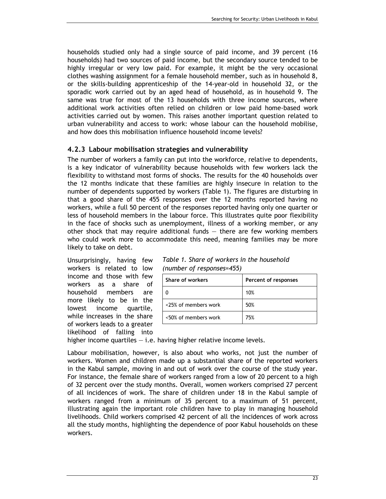households studied only had a single source of paid income, and 39 percent (16 households) had two sources of paid income, but the secondary source tended to be highly irregular or very low paid. For example, it might be the very occasional clothes washing assignment for a female household member, such as in household 8, or the skills-building apprenticeship of the 14-year-old in household 32, or the sporadic work carried out by an aged head of household, as in household 9. The same was true for most of the 13 households with three income sources, where additional work activities often relied on children or low paid home-based work activities carried out by women. This raises another important question related to urban vulnerability and access to work: whose labour can the household mobilise, and how does this mobilisation influence household income levels?

### 4.2.3 Labour mobilisation strategies and vulnerability

The number of workers a family can put into the workforce, relative to dependents, is a key indicator of vulnerability because households with few workers lack the flexibility to withstand most forms of shocks. The results for the 40 households over the 12 months indicate that these families are highly insecure in relation to the number of dependents supported by workers (Table 1). The figures are disturbing in that a good share of the 455 responses over the 12 months reported having no workers, while a full 50 percent of the responses reported having only one quarter or less of household members in the labour force. This illustrates quite poor flexibility in the face of shocks such as unemployment, illness of a working member, or any other shock that may require additional funds — there are few working members who could work more to accommodate this need, meaning families may be more likely to take on debt.

Unsurprisingly, having few workers is related to low income and those with few workers as a share of household members are more likely to be in the lowest income quartile, while increases in the share of workers leads to a greater likelihood of falling into

| Table 1. Share of workers in the household |  |
|--------------------------------------------|--|
| (number of responses=455)                  |  |

| Share of workers     | Percent of responses |  |
|----------------------|----------------------|--|
|                      | 10%                  |  |
| <25% of members work | 50%                  |  |
| <50% of members work | 75%                  |  |

higher income quartiles  $-$  i.e. having higher relative income levels.

Labour mobilisation, however, is also about who works, not just the number of workers. Women and children made up a substantial share of the reported workers in the Kabul sample, moving in and out of work over the course of the study year. For instance, the female share of workers ranged from a low of 20 percent to a high of 32 percent over the study months. Overall, women workers comprised 27 percent of all incidences of work. The share of children under 18 in the Kabul sample of workers ranged from a minimum of 35 percent to a maximum of 51 percent, illustrating again the important role children have to play in managing household livelihoods. Child workers comprised 42 percent of all the incidences of work across all the study months, highlighting the dependence of poor Kabul households on these workers.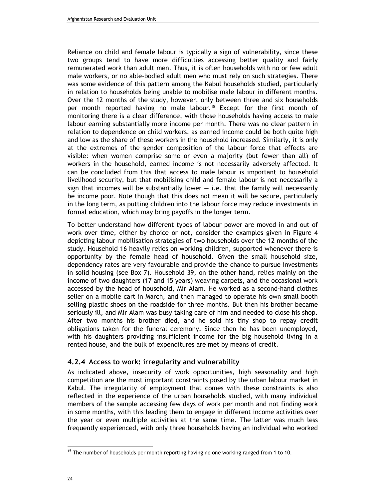Reliance on child and female labour is typically a sign of vulnerability, since these two groups tend to have more difficulties accessing better quality and fairly remunerated work than adult men. Thus, it is often households with no or few adult male workers, or no able-bodied adult men who must rely on such strategies. There was some evidence of this pattern among the Kabul households studied, particularly in relation to households being unable to mobilise male labour in different months. Over the 12 months of the study, however, only between three and six households per month reported having no male labour.15 Except for the first month of monitoring there is a clear difference, with those households having access to male labour earning substantially more income per month. There was no clear pattern in relation to dependence on child workers, as earned income could be both quite high and low as the share of these workers in the household increased. Similarly, it is only at the extremes of the gender composition of the labour force that effects are visible: when women comprise some or even a majority (but fewer than all) of workers in the household, earned income is not necessarily adversely affected. It can be concluded from this that access to male labour is important to household livelihood security, but that mobilising child and female labour is not necessarily a sign that incomes will be substantially lower  $-$  i.e. that the family will necessarily be income poor. Note though that this does not mean it will be secure, particularly in the long term, as putting children into the labour force may reduce investments in formal education, which may bring payoffs in the longer term.

To better understand how different types of labour power are moved in and out of work over time, either by choice or not, consider the examples given in Figure 4 depicting labour mobilisation strategies of two households over the 12 months of the study. Household 16 heavily relies on working children, supported whenever there is opportunity by the female head of household. Given the small household size, dependency rates are very favourable and provide the chance to pursue investments in solid housing (see Box 7). Household 39, on the other hand, relies mainly on the income of two daughters (17 and 15 years) weaving carpets, and the occasional work accessed by the head of household, Mir Alam. He worked as a second-hand clothes seller on a mobile cart in March, and then managed to operate his own small booth selling plastic shoes on the roadside for three months. But then his brother became seriously ill, and Mir Alam was busy taking care of him and needed to close his shop. After two months his brother died, and he sold his tiny shop to repay credit obligations taken for the funeral ceremony. Since then he has been unemployed, with his daughters providing insufficient income for the big household living in a rented house, and the bulk of expenditures are met by means of credit.

### 4.2.4 Access to work: irregularity and vulnerability

As indicated above, insecurity of work opportunities, high seasonality and high competition are the most important constraints posed by the urban labour market in Kabul. The irregularity of employment that comes with these constraints is also reflected in the experience of the urban households studied, with many individual members of the sample accessing few days of work per month and not finding work in some months, with this leading them to engage in different income activities over the year or even multiple activities at the same time. The latter was much less frequently experienced, with only three households having an individual who worked

 $15$  The number of households per month reporting having no one working ranged from 1 to 10.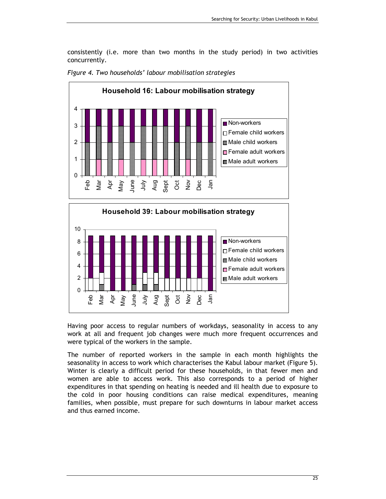consistently (i.e. more than two months in the study period) in two activities concurrently.







Having poor access to regular numbers of workdays, seasonality in access to any work at all and frequent job changes were much more frequent occurrences and were typical of the workers in the sample.

The number of reported workers in the sample in each month highlights the seasonality in access to work which characterises the Kabul labour market (Figure 5). Winter is clearly a difficult period for these households, in that fewer men and women are able to access work. This also corresponds to a period of higher expenditures in that spending on heating is needed and ill health due to exposure to the cold in poor housing conditions can raise medical expenditures, meaning families, when possible, must prepare for such downturns in labour market access and thus earned income.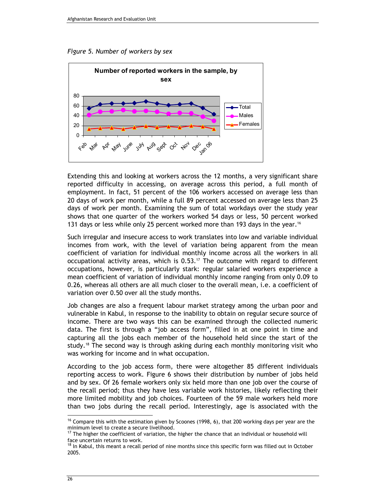Figure 5. Number of workers by sex



Extending this and looking at workers across the 12 months, a very significant share reported difficulty in accessing, on average across this period, a full month of employment. In fact, 51 percent of the 106 workers accessed on average less than 20 days of work per month, while a full 89 percent accessed on average less than 25 days of work per month. Examining the sum of total workdays over the study year shows that one quarter of the workers worked 54 days or less, 50 percent worked 131 days or less while only 25 percent worked more than 193 days in the year.<sup>16</sup>

Such irregular and insecure access to work translates into low and variable individual incomes from work, with the level of variation being apparent from the mean coefficient of variation for individual monthly income across all the workers in all occupational activity areas, which is 0.53.17 The outcome with regard to different occupations, however, is particularly stark: regular salaried workers experience a mean coefficient of variation of individual monthly income ranging from only 0.09 to 0.26, whereas all others are all much closer to the overall mean, i.e. a coefficient of variation over 0.50 over all the study months.

Job changes are also a frequent labour market strategy among the urban poor and vulnerable in Kabul, in response to the inability to obtain on regular secure source of income. There are two ways this can be examined through the collected numeric data. The first is through a "job access form", filled in at one point in time and capturing all the jobs each member of the household held since the start of the study.<sup>18</sup> The second way is through asking during each monthly monitoring visit who was working for income and in what occupation.

According to the job access form, there were altogether 85 different individuals reporting access to work. Figure 6 shows their distribution by number of jobs held and by sex. Of 26 female workers only six held more than one job over the course of the recall period; thus they have less variable work histories, likely reflecting their more limited mobility and job choices. Fourteen of the 59 male workers held more than two jobs during the recall period. Interestingly, age is associated with the  $\overline{a}$ 

<sup>&</sup>lt;sup>16</sup> Compare this with the estimation given by Scoones (1998, 6), that 200 working days per year are the minimum level to create a secure livelihood.

 $17$  The higher the coefficient of variation, the higher the chance that an individual or household will face uncertain returns to work.

<sup>&</sup>lt;sup>18</sup> In Kabul, this meant a recall period of nine months since this specific form was filled out in October 2005.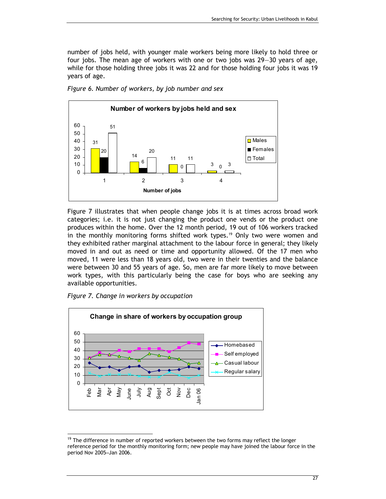number of jobs held, with younger male workers being more likely to hold three or four jobs. The mean age of workers with one or two jobs was 29—30 years of age, while for those holding three jobs it was 22 and for those holding four jobs it was 19 years of age.



Figure 6. Number of workers, by job number and sex

Figure 7 illustrates that when people change jobs it is at times across broad work categories; i.e. it is not just changing the product one vends or the product one produces within the home. Over the 12 month period, 19 out of 106 workers tracked in the monthly monitoring forms shifted work types.<sup>19</sup> Only two were women and they exhibited rather marginal attachment to the labour force in general; they likely moved in and out as need or time and opportunity allowed. Of the 17 men who moved, 11 were less than 18 years old, two were in their twenties and the balance were between 30 and 55 years of age. So, men are far more likely to move between work types, with this particularly being the case for boys who are seeking any available opportunities.





 $19$  The difference in number of reported workers between the two forms may reflect the longer reference period for the monthly monitoring form; new people may have joined the labour force in the period Nov 2005–Jan 2006.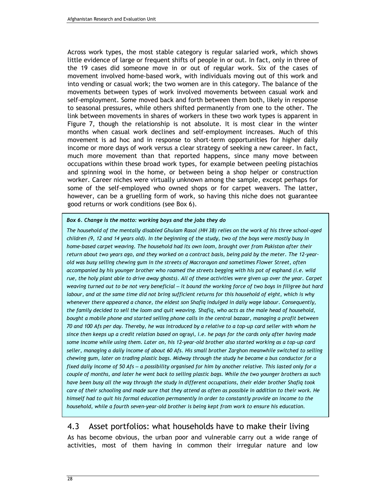Across work types, the most stable category is regular salaried work, which shows little evidence of large or frequent shifts of people in or out. In fact, only in three of the 19 cases did someone move in or out of regular work. Six of the cases of movement involved home-based work, with individuals moving out of this work and into vending or casual work; the two women are in this category. The balance of the movements between types of work involved movements between casual work and self-employment. Some moved back and forth between them both, likely in response to seasonal pressures, while others shifted permanently from one to the other. The link between movements in shares of workers in these two work types is apparent in Figure 7, though the relationship is not absolute. It is most clear in the winter months when casual work declines and self-employment increases. Much of this movement is ad hoc and in response to short-term opportunities for higher daily income or more days of work versus a clear strategy of seeking a new career. In fact, much more movement than that reported happens, since many move between occupations within these broad work types, for example between peeling pistachios and spinning wool in the home, or between being a shop helper or construction worker. Career niches were virtually unknown among the sample, except perhaps for some of the self-employed who owned shops or for carpet weavers. The latter, however, can be a gruelling form of work, so having this niche does not guarantee good returns or work conditions (see Box 6).

#### Box 6. Change is the motto: working boys and the jobs they do

The household of the mentally disabled Ghulam Rasol (HH 38) relies on the work of his three school-aged children (9, 12 and 14 years old). In the beginning of the study, two of the boys were mostly busy in home-based carpet weaving. The household had its own loom, brought over from Pakistan after their return about two years ago, and they worked on a contract basis, being paid by the meter. The 12-yearold was busy selling chewing gum in the streets of Macrorayon and sometimes Flower Street, often accompanied by his younger brother who roamed the streets begging with his pot of esphand (i.e. wild rue, the holy plant able to drive away ghosts). All of these activities were given up over the year. Carpet weaving turned out to be not very beneficial – it bound the working force of two boys in filigree but hard labour, and at the same time did not bring sufficient returns for this household of eight, which is why whenever there appeared a chance, the eldest son Shafiq indulged in daily wage labour. Consequently, the family decided to sell the loom and quit weaving. Shafiq, who acts as the male head of household, bought a mobile phone and started selling phone calls in the central bazaar, managing a profit between 70 and 100 Afs per day. Thereby, he was introduced by a relative to a top-up card seller with whom he since then keeps up a credit relation based on ograyi, i.e. he pays for the cards only after having made some income while using them. Later on, his 12-year-old brother also started working as a top-up card seller, managing a daily income of about 60 Afs. His small brother Zarghon meanwhile switched to selling chewing gum, later on trading plastic bags. Midway through the study he became a bus conductor for a fixed daily income of 50 Afs – a possibility organised for him by another relative. This lasted only for a couple of months, and later he went back to selling plastic bags. While the two younger brothers as such have been busy all the way through the study in different occupations, their elder brother Shafiq took care of their schooling and made sure that they attend as often as possible in addition to their work. He himself had to quit his formal education permanently in order to constantly provide an income to the household, while a fourth seven-year-old brother is being kept from work to ensure his education.

## 4.3 Asset portfolios: what households have to make their living

As has become obvious, the urban poor and vulnerable carry out a wide range of activities, most of them having in common their irregular nature and low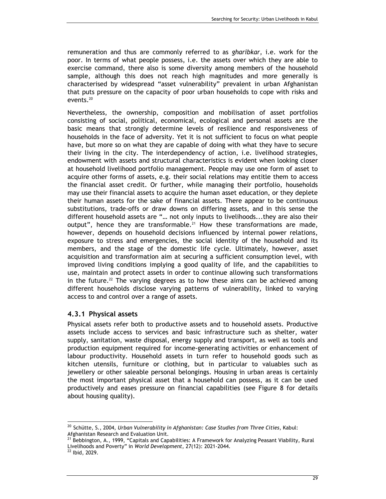remuneration and thus are commonly referred to as gharibkar, i.e. work for the poor. In terms of what people possess, i.e. the assets over which they are able to exercise command, there also is some diversity among members of the household sample, although this does not reach high magnitudes and more generally is characterised by widespread "asset vulnerability" prevalent in urban Afghanistan that puts pressure on the capacity of poor urban households to cope with risks and events.<sup>20</sup>

Nevertheless, the ownership, composition and mobilisation of asset portfolios consisting of social, political, economical, ecological and personal assets are the basic means that strongly determine levels of resilience and responsiveness of households in the face of adversity. Yet it is not sufficient to focus on what people have, but more so on what they are capable of doing with what they have to secure their living in the city. The interdependency of action, i.e. livelihood strategies, endowment with assets and structural characteristics is evident when looking closer at household livelihood portfolio management. People may use one form of asset to acquire other forms of assets, e.g. their social relations may entitle them to access the financial asset credit. Or further, while managing their portfolio, households may use their financial assets to acquire the human asset education, or they deplete their human assets for the sake of financial assets. There appear to be continuous substitutions, trade-offs or draw downs on differing assets, and in this sense the different household assets are "… not only inputs to livelihoods...they are also their output", hence they are transformable.<sup>21</sup> How these transformations are made, however, depends on household decisions influenced by internal power relations, exposure to stress and emergencies, the social identity of the household and its members, and the stage of the domestic life cycle. Ultimately, however, asset acquisition and transformation aim at securing a sufficient consumption level, with improved living conditions implying a good quality of life, and the capabilities to use, maintain and protect assets in order to continue allowing such transformations in the future.<sup>22</sup> The varying degrees as to how these aims can be achieved among different households disclose varying patterns of vulnerability, linked to varying access to and control over a range of assets.

#### 4.3.1 Physical assets

Physical assets refer both to productive assets and to household assets. Productive assets include access to services and basic infrastructure such as shelter, water supply, sanitation, waste disposal, energy supply and transport, as well as tools and production equipment required for income-generating activities or enhancement of labour productivity. Household assets in turn refer to household goods such as kitchen utensils, furniture or clothing, but in particular to valuables such as jewellery or other saleable personal belongings. Housing in urban areas is certainly the most important physical asset that a household can possess, as it can be used productively and eases pressure on financial capabilities (see Figure 8 for details about housing quality).

 $20$  Schütte, S., 2004, Urban Vulnerability in Afghanistan: Case Studies from Three Cities, Kabul: Afghanistan Research and Evaluation Unit.

<sup>&</sup>lt;sup>21</sup> Bebbington, A., 1999, "Capitals and Capabilities: A Framework for Analyzing Peasant Viability, Rural Livelihoods and Poverty" in World Development, 27(12): 2021-2044.

<sup>22</sup> Ibid, 2029.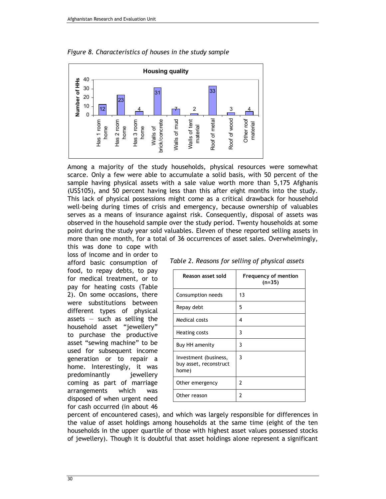

Figure 8. Characteristics of houses in the study sample

Among a majority of the study households, physical resources were somewhat scarce. Only a few were able to accumulate a solid basis, with 50 percent of the sample having physical assets with a sale value worth more than 5,175 Afghanis (US\$105), and 50 percent having less than this after eight months into the study. This lack of physical possessions might come as a critical drawback for household well-being during times of crisis and emergency, because ownership of valuables serves as a means of insurance against risk. Consequently, disposal of assets was observed in the household sample over the study period. Twenty households at some point during the study year sold valuables. Eleven of these reported selling assets in more than one month, for a total of 36 occurrences of asset sales. Overwhelmingly, this was done to cope with

loss of income and in order to afford basic consumption of food, to repay debts, to pay for medical treatment, or to pay for heating costs (Table 2). On some occasions, there were substitutions between different types of physical assets  $-$  such as selling the household asset "jewellery" to purchase the productive asset "sewing machine" to be used for subsequent income generation or to repair a home. Interestingly, it was predominantly jewellery coming as part of marriage arrangements which was disposed of when urgent need for cash occurred (in about 46

| Table 2. Reasons for selling of physical assets |  |  |  |  |
|-------------------------------------------------|--|--|--|--|
|-------------------------------------------------|--|--|--|--|

| Reason asset sold                                        | Frequency of mention<br>$(n=35)$ |
|----------------------------------------------------------|----------------------------------|
| Consumption needs                                        | 13                               |
| Repay debt                                               | 5                                |
| Medical costs                                            | 4                                |
| Heating costs                                            | 3                                |
| Buy HH amenity                                           | 3                                |
| Investment (business,<br>buy asset, reconstruct<br>home) | 3                                |
| Other emergency                                          | 2                                |
| Other reason                                             | 2                                |

percent of encountered cases), and which was largely responsible for differences in the value of asset holdings among households at the same time (eight of the ten households in the upper quartile of those with highest asset values possessed stocks of jewellery). Though it is doubtful that asset holdings alone represent a significant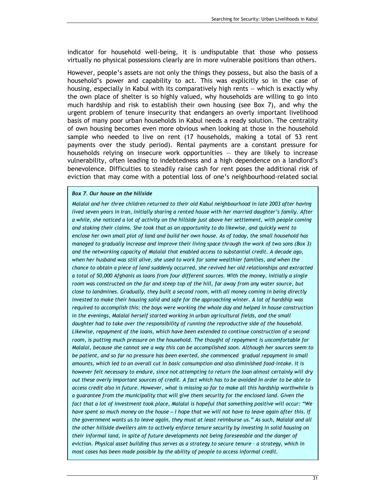indicator for household well-being, it is undisputable that those who possess virtually no physical possessions clearly are in more vulnerable positions than others.

However, people's assets are not only the things they possess, but also the basis of a household's power and capability to act. This was explicitly so in the case of housing, especially in Kabul with its comparatively high rents — which is exactly why the own place of shelter is so highly valued, why households are willing to go into much hardship and risk to establish their own housing (see Box 7), and why the urgent problem of tenure insecurity that endangers an overly important livelihood basis of many poor urban households in Kabul needs a ready solution. The centrality of own housing becomes even more obvious when looking at those in the household sample who needed to live on rent (17 households, making a total of 53 rent payments over the study period). Rental payments are a constant pressure for households relying on insecure work opportunities — they are likely to increase vulnerability, often leading to indebtedness and a high dependence on a landlord's benevolence. Difficulties to steadily raise cash for rent poses the additional risk of eviction that may come with a potential loss of one's neighbourhood-related social

#### Box 7. Our house on the hillside

Malalai and her three children returned to their old Kabul neighbourhood in late 2003 after having lived seven years in Iran, initially sharing a rented house with her married daughter's family. After a while, she noticed a lot of activity on the hillside just above her settlement, with people coming and staking their claims. She took that as an opportunity to do likewise, and quickly went to enclose her own small plot of land and build her own house. As of today, the small household has managed to gradually increase and improve their living space through the work of two sons (Box 3) and the networking capacity of Malalai that enabled access to substantial credit. A decade ago, when her husband was still alive, she used to work for some wealthier families, and when the chance to obtain a piece of land suddenly occurred, she revived her old relationships and extracted a total of 50,000 Afghanis as loans from four different sources. With the money, initially a single room was constructed on the far and steep top of the hill, far away from any water source, but close to landmines. Gradually, they built a second room, with all money coming in being directly invested to make their housing solid and safe for the approaching winter. A lot of hardship was required to accomplish this: the boys were working the whole day and helped in house construction in the evenings, Malalai herself started working in urban agricultural fields, and the small daughter had to take over the responsibility of running the reproductive side of the household. Likewise, repayment of the loans, which have been extended to continue construction of a second room, is putting much pressure on the household. The thought of repayment is uncomfortable for Malalai, because she cannot see a way this can be accomplished soon. Although her sources seem to be patient, and so far no pressure has been exerted, she commenced gradual repayment in small amounts, which led to an overall cut in basic consumption and also diminished food-intake. It is however felt necessary to endure, since not attempting to return the loan almost certainly will dry out these overly important sources of credit. A fact which has to be avoided in order to be able to access credit also in future. However, what is missing so far to make all this hardship worthwhile is a guarantee from the municipality that will give them security for the enclosed land. Given the fact that a lot of investment took place, Malalai is hopeful that something positive will occur: "We have spent so much money on the house - I hope that we will not have to leave again after this. If the government wants us to leave again, they must at least reimburse us." As such, Malalai and all the other hillside dwellers aim to actively enforce tenure security by investing in solid housing on their informal land, in spite of future developments not being foreseeable and the danger of eviction. Physical asset building thus serves as a strategy to secure tenure – a strategy, which in most cases has been made possible by the ability of people to access informal credit.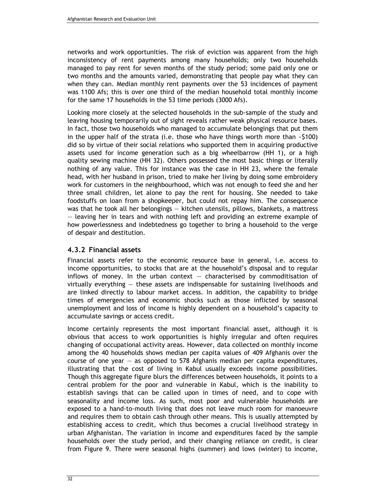networks and work opportunities. The risk of eviction was apparent from the high inconsistency of rent payments among many households; only two households managed to pay rent for seven months of the study period; some paid only one or two months and the amounts varied, demonstrating that people pay what they can when they can. Median monthly rent payments over the 53 incidences of payment was 1100 Afs; this is over one third of the median household total monthly income for the same 17 households in the 53 time periods (3000 Afs).

Looking more closely at the selected households in the sub-sample of the study and leaving housing temporarily out of sight reveals rather weak physical resource bases. In fact, those two households who managed to accumulate belongings that put them in the upper half of the strata (i.e. those who have things worth more than  $\sim$ \$100) did so by virtue of their social relations who supported them in acquiring productive assets used for income generation such as a big wheelbarrow (HH 1), or a high quality sewing machine (HH 32). Others possessed the most basic things or literally nothing of any value. This for instance was the case in HH 23, where the female head, with her husband in prison, tried to make her living by doing some embroidery work for customers in the neighbourhood, which was not enough to feed she and her three small children, let alone to pay the rent for housing. She needed to take foodstuffs on loan from a shopkeeper, but could not repay him. The consequence was that he took all her belongings — kitchen utensils, pillows, blankets, a mattress — leaving her in tears and with nothing left and providing an extreme example of how powerlessness and indebtedness go together to bring a household to the verge of despair and destitution.

### 4.3.2 Financial assets

Financial assets refer to the economic resource base in general, i.e. access to income opportunities, to stocks that are at the household's disposal and to regular inflows of money. In the urban context  $-$  characterised by commoditisation of virtually everything — these assets are indispensable for sustaining livelihoods and are linked directly to labour market access. In addition, the capability to bridge times of emergencies and economic shocks such as those inflicted by seasonal unemployment and loss of income is highly dependent on a household's capacity to accumulate savings or access credit.

Income certainly represents the most important financial asset, although it is obvious that access to work opportunities is highly irregular and often requires changing of occupational activity areas. However, data collected on monthly income among the 40 households shows median per capita values of 409 Afghanis over the course of one year  $-$  as opposed to 578 Afghanis median per capita expenditures, illustrating that the cost of living in Kabul usually exceeds income possibilities. Though this aggregate figure blurs the differences between households, it points to a central problem for the poor and vulnerable in Kabul, which is the inability to establish savings that can be called upon in times of need, and to cope with seasonality and income loss. As such, most poor and vulnerable households are exposed to a hand-to-mouth living that does not leave much room for manoeuvre and requires them to obtain cash through other means. This is usually attempted by establishing access to credit, which thus becomes a crucial livelihood strategy in urban Afghanistan. The variation in income and expenditures faced by the sample households over the study period, and their changing reliance on credit, is clear from Figure 9. There were seasonal highs (summer) and lows (winter) to income,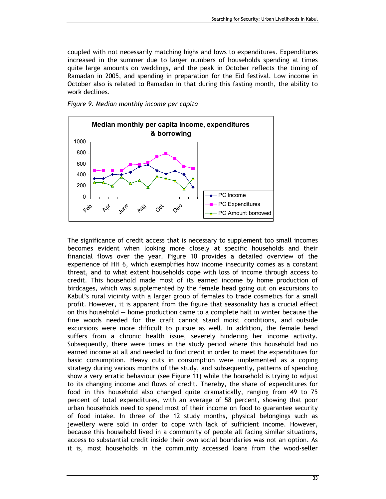coupled with not necessarily matching highs and lows to expenditures. Expenditures increased in the summer due to larger numbers of households spending at times quite large amounts on weddings, and the peak in October reflects the timing of Ramadan in 2005, and spending in preparation for the Eid festival. Low income in October also is related to Ramadan in that during this fasting month, the ability to work declines.

Figure 9. Median monthly income per capita



The significance of credit access that is necessary to supplement too small incomes becomes evident when looking more closely at specific households and their financial flows over the year. Figure 10 provides a detailed overview of the experience of HH 6, which exemplifies how income insecurity comes as a constant threat, and to what extent households cope with loss of income through access to credit. This household made most of its earned income by home production of birdcages, which was supplemented by the female head going out on excursions to Kabul's rural vicinity with a larger group of females to trade cosmetics for a small profit. However, it is apparent from the figure that seasonality has a crucial effect on this household  $-$  home production came to a complete halt in winter because the fine woods needed for the craft cannot stand moist conditions, and outside excursions were more difficult to pursue as well. In addition, the female head suffers from a chronic health issue, severely hindering her income activity. Subsequently, there were times in the study period where this household had no earned income at all and needed to find credit in order to meet the expenditures for basic consumption. Heavy cuts in consumption were implemented as a coping strategy during various months of the study, and subsequently, patterns of spending show a very erratic behaviour (see Figure 11) while the household is trying to adjust to its changing income and flows of credit. Thereby, the share of expenditures for food in this household also changed quite dramatically, ranging from 49 to 75 percent of total expenditures, with an average of 58 percent, showing that poor urban households need to spend most of their income on food to guarantee security of food intake. In three of the 12 study months, physical belongings such as jewellery were sold in order to cope with lack of sufficient income. However, because this household lived in a community of people all facing similar situations, access to substantial credit inside their own social boundaries was not an option. As it is, most households in the community accessed loans from the wood-seller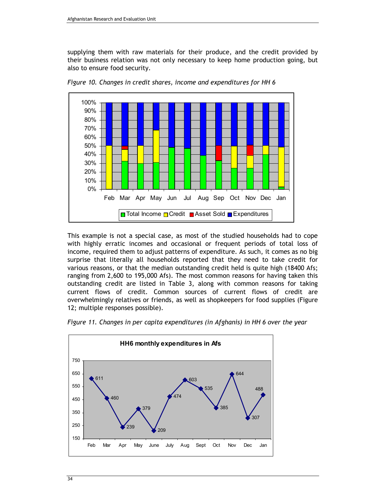supplying them with raw materials for their produce, and the credit provided by their business relation was not only necessary to keep home production going, but also to ensure food security.



Figure 10. Changes in credit shares, income and expenditures for HH 6

This example is not a special case, as most of the studied households had to cope with highly erratic incomes and occasional or frequent periods of total loss of income, required them to adjust patterns of expenditure. As such, it comes as no big surprise that literally all households reported that they need to take credit for various reasons, or that the median outstanding credit held is quite high (18400 Afs; ranging from 2,600 to 195,000 Afs). The most common reasons for having taken this outstanding credit are listed in Table 3, along with common reasons for taking current flows of credit. Common sources of current flows of credit are overwhelmingly relatives or friends, as well as shopkeepers for food supplies (Figure 12; multiple responses possible).



Figure 11. Changes in per capita expenditures (in Afghanis) in HH 6 over the year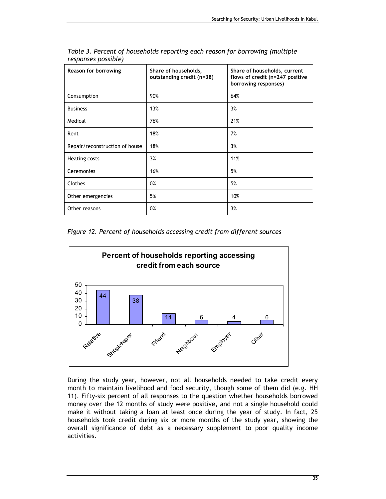| Reason for borrowing           | Share of households,<br>outstanding credit (n=38) | Share of households, current<br>flows of credit (n=247 positive<br>borrowing responses) |  |
|--------------------------------|---------------------------------------------------|-----------------------------------------------------------------------------------------|--|
| Consumption                    | 90%                                               | 64%                                                                                     |  |
| <b>Business</b>                | 13%                                               | 3%                                                                                      |  |
| Medical                        | 76%                                               | 21%                                                                                     |  |
| Rent                           | 18%                                               | 7%                                                                                      |  |
| Repair/reconstruction of house | 18%                                               | 3%                                                                                      |  |
| Heating costs                  | 3%                                                | 11%                                                                                     |  |
| Ceremonies                     | 16%                                               | 5%                                                                                      |  |
| Clothes                        | 0%                                                | 5%                                                                                      |  |
| Other emergencies              | 5%                                                | 10%                                                                                     |  |
| Other reasons                  | 0%                                                | 3%                                                                                      |  |

Table 3. Percent of households reporting each reason for borrowing (multiple responses possible)

Figure 12. Percent of households accessing credit from different sources



During the study year, however, not all households needed to take credit every month to maintain livelihood and food security, though some of them did (e.g. HH 11). Fifty-six percent of all responses to the question whether households borrowed money over the 12 months of study were positive, and not a single household could make it without taking a loan at least once during the year of study. In fact, 25 households took credit during six or more months of the study year, showing the overall significance of debt as a necessary supplement to poor quality income activities.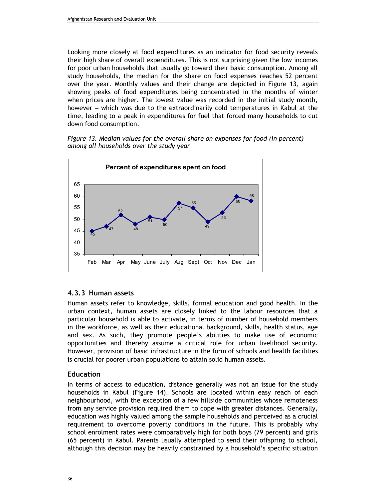Looking more closely at food expenditures as an indicator for food security reveals their high share of overall expenditures. This is not surprising given the low incomes for poor urban households that usually go toward their basic consumption. Among all study households, the median for the share on food expenses reaches 52 percent over the year. Monthly values and their change are depicted in Figure 13, again showing peaks of food expenditures being concentrated in the months of winter when prices are higher. The lowest value was recorded in the initial study month, however – which was due to the extraordinarily cold temperatures in Kabul at the time, leading to a peak in expenditures for fuel that forced many households to cut down food consumption.

Figure 13. Median values for the overall share on expenses for food (in percent) among all households over the study year



### 4.3.3 Human assets

Human assets refer to knowledge, skills, formal education and good health. In the urban context, human assets are closely linked to the labour resources that a particular household is able to activate, in terms of number of household members in the workforce, as well as their educational background, skills, health status, age and sex. As such, they promote people's abilities to make use of economic opportunities and thereby assume a critical role for urban livelihood security. However, provision of basic infrastructure in the form of schools and health facilities is crucial for poorer urban populations to attain solid human assets.

### **Education**

In terms of access to education, distance generally was not an issue for the study households in Kabul (Figure 14). Schools are located within easy reach of each neighbourhood, with the exception of a few hillside communities whose remoteness from any service provision required them to cope with greater distances. Generally, education was highly valued among the sample households and perceived as a crucial requirement to overcome poverty conditions in the future. This is probably why school enrolment rates were comparatively high for both boys (79 percent) and girls (65 percent) in Kabul. Parents usually attempted to send their offspring to school, although this decision may be heavily constrained by a household's specific situation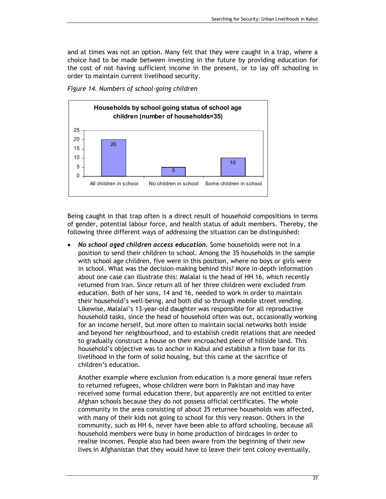and at times was not an option. Many felt that they were caught in a trap, where a choice had to be made between investing in the future by providing education for the cost of not having sufficient income in the present, or to lay off schooling in order to maintain current livelihood security.





Being caught in that trap often is a direct result of household compositions in terms of gender, potential labour force, and health status of adult members. Thereby, the following three different ways of addressing the situation can be distinguished:

• No school aged children access education. Some households were not in a position to send their children to school. Among the 35 households in the sample with school age children, five were in this position, where no boys or girls were in school. What was the decision-making behind this? More in-depth information about one case can illustrate this: Malalai is the head of HH 16, which recently returned from Iran. Since return all of her three children were excluded from education. Both of her sons, 14 and 16, needed to work in order to maintain their household's well-being, and both did so through mobile street vending. Likewise, Malalai's 13-year-old daughter was responsible for all reproductive household tasks, since the head of household often was out, occasionally working for an income herself, but more often to maintain social networks both inside and beyond her neighbourhood, and to establish credit relations that are needed to gradually construct a house on their encroached piece of hillside land. This household's objective was to anchor in Kabul and establish a firm base for its livelihood in the form of solid housing, but this came at the sacrifice of children's education.

Another example where exclusion from education is a more general issue refers to returned refugees, whose children were born in Pakistan and may have received some formal education there, but apparently are not entitled to enter Afghan schools because they do not possess official certificates. The whole community in the area consisting of about 35 returnee households was affected, with many of their kids not going to school for this very reason. Others in the community, such as HH 6, never have been able to afford schooling, because all household members were busy in home production of birdcages in order to realise incomes. People also had been aware from the beginning of their new lives in Afghanistan that they would have to leave their tent colony eventually,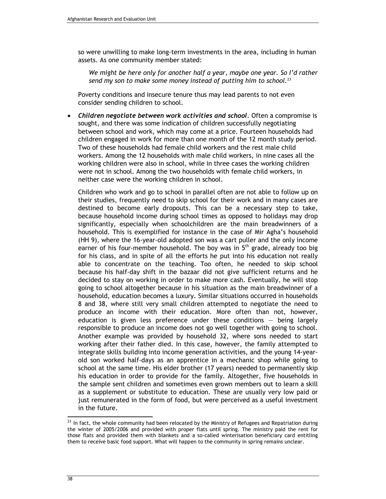so were unwilling to make long-term investments in the area, including in human assets. As one community member stated:

We might be here only for another half a year, maybe one year. So I'd rather send my son to make some money instead of putting him to school.<sup>23</sup>

Poverty conditions and insecure tenure thus may lead parents to not even consider sending children to school.

• Children negotiate between work activities and school. Often a compromise is sought, and there was some indication of children successfully negotiating between school and work, which may come at a price. Fourteen households had children engaged in work for more than one month of the 12 month study period. Two of these households had female child workers and the rest male child workers. Among the 12 households with male child workers, in nine cases all the working children were also in school, while in three cases the working children were not in school. Among the two households with female child workers, in neither case were the working children in school.

Children who work and go to school in parallel often are not able to follow up on their studies, frequently need to skip school for their work and in many cases are destined to become early dropouts. This can be a necessary step to take, because household income during school times as opposed to holidays may drop significantly, especially when schoolchildren are the main breadwinners of a household. This is exemplified for instance in the case of Mir Agha's household (HH 9), where the 16-year-old adopted son was a cart puller and the only income earner of his four-member household. The boy was in  $5<sup>th</sup>$  grade, already too big for his class, and in spite of all the efforts he put into his education not really able to concentrate on the teaching. Too often, he needed to skip school because his half-day shift in the bazaar did not give sufficient returns and he decided to stay on working in order to make more cash. Eventually, he will stop going to school altogether because in his situation as the main breadwinner of a household, education becomes a luxury. Similar situations occurred in households 8 and 38, where still very small children attempted to negotiate the need to produce an income with their education. More often than not, however, education is given less preference under these conditions  $-$  being largely responsible to produce an income does not go well together with going to school. Another example was provided by household 32, where sons needed to start working after their father died. In this case, however, the family attempted to integrate skills building into income generation activities, and the young 14-yearold son worked half-days as an apprentice in a mechanic shop while going to school at the same time. His elder brother (17 years) needed to permanently skip his education in order to provide for the family. Altogether, five households in the sample sent children and sometimes even grown members out to learn a skill as a supplement or substitute to education. These are usually very low paid or just remunerated in the form of food, but were perceived as a useful investment in the future.

 $\overline{a}$ 

 $^{23}$  In fact, the whole community had been relocated by the Ministry of Refugees and Repatriation during the winter of 2005/2006 and provided with proper flats until spring. The ministry paid the rent for those flats and provided them with blankets and a so-called winterisation beneficiary card entitling them to receive basic food support. What will happen to the community in spring remains unclear.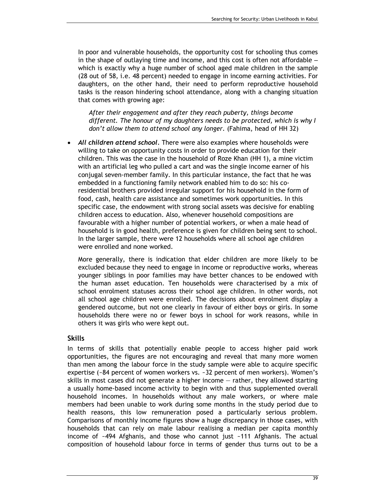In poor and vulnerable households, the opportunity cost for schooling thus comes in the shape of outlaying time and income, and this cost is often not affordable – which is exactly why a huge number of school aged male children in the sample (28 out of 58, i.e. 48 percent) needed to engage in income earning activities. For daughters, on the other hand, their need to perform reproductive household tasks is the reason hindering school attendance, along with a changing situation that comes with growing age:

After their engagement and after they reach puberty, things become different. The honour of my daughters needs to be protected, which is why I don't allow them to attend school any longer. (Fahima, head of HH 32)

All children attend school. There were also examples where households were willing to take on opportunity costs in order to provide education for their children. This was the case in the household of Roze Khan (HH 1), a mine victim with an artificial leg who pulled a cart and was the single income earner of his conjugal seven-member family. In this particular instance, the fact that he was embedded in a functioning family network enabled him to do so: his coresidential brothers provided irregular support for his household in the form of food, cash, health care assistance and sometimes work opportunities. In this specific case, the endowment with strong social assets was decisive for enabling children access to education. Also, whenever household compositions are favourable with a higher number of potential workers, or when a male head of household is in good health, preference is given for children being sent to school. In the larger sample, there were 12 households where all school age children were enrolled and none worked.

More generally, there is indication that elder children are more likely to be excluded because they need to engage in income or reproductive works, whereas younger siblings in poor families may have better chances to be endowed with the human asset education. Ten households were characterised by a mix of school enrolment statuses across their school age children. In other words, not all school age children were enrolled. The decisions about enrolment display a gendered outcome, but not one clearly in favour of either boys or girls. In some households there were no or fewer boys in school for work reasons, while in others it was girls who were kept out.

#### Skills

In terms of skills that potentially enable people to access higher paid work opportunities, the figures are not encouraging and reveal that many more women than men among the labour force in the study sample were able to acquire specific expertise (~84 percent of women workers vs. ~32 percent of men workers). Women's skills in most cases did not generate a higher income — rather, they allowed starting a usually home-based income activity to begin with and thus supplemented overall household incomes. In households without any male workers, or where male members had been unable to work during some months in the study period due to health reasons, this low remuneration posed a particularly serious problem. Comparisons of monthly income figures show a huge discrepancy in those cases, with households that can rely on male labour realising a median per capita monthly income of ~494 Afghanis, and those who cannot just ~111 Afghanis. The actual composition of household labour force in terms of gender thus turns out to be a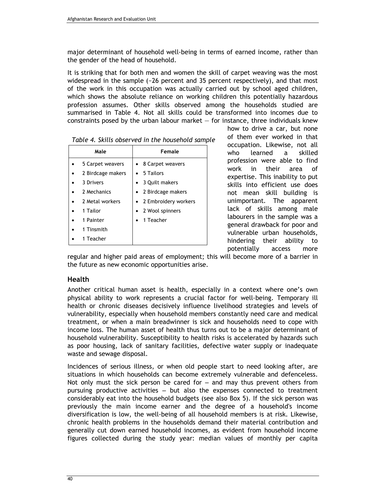major determinant of household well-being in terms of earned income, rather than the gender of the head of household.

It is striking that for both men and women the skill of carpet weaving was the most widespread in the sample  $(-26)$  percent and 35 percent respectively), and that most of the work in this occupation was actually carried out by school aged children, which shows the absolute reliance on working children this potentially hazardous profession assumes. Other skills observed among the households studied are summarised in Table 4. Not all skills could be transformed into incomes due to constraints posed by the urban labour market  $-$  for instance, three individuals knew

| Male              | Female                 |  |  |  |
|-------------------|------------------------|--|--|--|
| 5 Carpet weavers  | • 8 Carpet weavers     |  |  |  |
| 2 Birdcage makers | $\bullet$ 5 Tailors    |  |  |  |
| 3 Drivers         | 3 Quilt makers         |  |  |  |
| 2 Mechanics       | • 2 Birdcage makers    |  |  |  |
| 2 Metal workers   | • 2 Embroidery workers |  |  |  |
| 1 Tailor          | 2 Wool spinners        |  |  |  |
| 1 Painter         | 1 Teacher              |  |  |  |
| 1 Tinsmith        |                        |  |  |  |
| 1 Teacher         |                        |  |  |  |

how to drive a car, but none of them ever worked in that occupation. Likewise, not all who learned a skilled profession were able to find work in their area of expertise. This inability to put skills into efficient use does not mean skill building is unimportant. The apparent lack of skills among male labourers in the sample was a general drawback for poor and vulnerable urban households, hindering their ability to potentially access more

regular and higher paid areas of employment; this will become more of a barrier in the future as new economic opportunities arise.

### Health

Another critical human asset is health, especially in a context where one's own physical ability to work represents a crucial factor for well-being. Temporary ill health or chronic diseases decisively influence livelihood strategies and levels of vulnerability, especially when household members constantly need care and medical treatment, or when a main breadwinner is sick and households need to cope with income loss. The human asset of health thus turns out to be a major determinant of household vulnerability. Susceptibility to health risks is accelerated by hazards such as poor housing, lack of sanitary facilities, defective water supply or inadequate waste and sewage disposal.

Incidences of serious illness, or when old people start to need looking after, are situations in which households can become extremely vulnerable and defenceless. Not only must the sick person be cared for – and may thus prevent others from pursuing productive activities – but also the expenses connected to treatment considerably eat into the household budgets (see also Box 5). If the sick person was previously the main income earner and the degree of a household's income diversification is low, the well-being of all household members is at risk. Likewise, chronic health problems in the households demand their material contribution and generally cut down earned household incomes, as evident from household income figures collected during the study year: median values of monthly per capita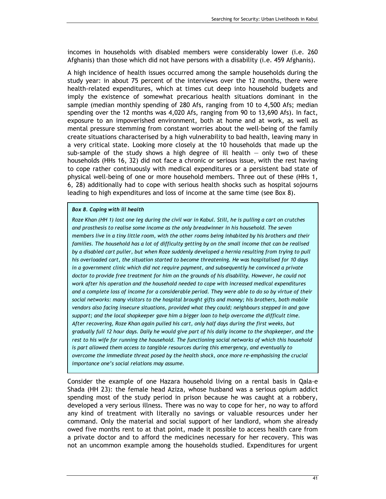incomes in households with disabled members were considerably lower (i.e. 260 Afghanis) than those which did not have persons with a disability (i.e. 459 Afghanis).

A high incidence of health issues occurred among the sample households during the study year: in about 75 percent of the interviews over the 12 months, there were health-related expenditures, which at times cut deep into household budgets and imply the existence of somewhat precarious health situations dominant in the sample (median monthly spending of 280 Afs, ranging from 10 to 4,500 Afs; median spending over the 12 months was 4,020 Afs, ranging from 90 to 13,690 Afs). In fact, exposure to an impoverished environment, both at home and at work, as well as mental pressure stemming from constant worries about the well-being of the family create situations characterised by a high vulnerability to bad health, leaving many in a very critical state. Looking more closely at the 10 households that made up the sub-sample of the study shows a high degree of ill health  $-$  only two of these households (HHs 16, 32) did not face a chronic or serious issue, with the rest having to cope rather continuously with medical expenditures or a persistent bad state of physical well-being of one or more household members. Three out of these (HHs 1, 6, 28) additionally had to cope with serious health shocks such as hospital sojourns leading to high expenditures and loss of income at the same time (see Box 8).

#### Box 8. Coping with ill health

Roze Khan (HH 1) lost one leg during the civil war in Kabul. Still, he is pulling a cart on crutches and prosthesis to realise some income as the only breadwinner in his household. The seven members live in a tiny little room, with the other rooms being inhabited by his brothers and their families. The household has a lot of difficulty getting by on the small income that can be realised by a disabled cart puller, but when Roze suddenly developed a hernia resulting from trying to pull his overloaded cart, the situation started to become threatening. He was hospitalised for 10 days in a government clinic which did not require payment, and subsequently he convinced a private doctor to provide free treatment for him on the grounds of his disability. However, he could not work after his operation and the household needed to cope with increased medical expenditures and a complete loss of income for a considerable period. They were able to do so by virtue of their social networks: many visitors to the hospital brought gifts and money; his brothers, both mobile vendors also facing insecure situations, provided what they could; neighbours stepped in and gave support; and the local shopkeeper gave him a bigger loan to help overcome the difficult time. After recovering, Roze Khan again pulled his cart, only half days during the first weeks, but gradually full 12 hour days. Daily he would give part of his daily income to the shopkeeper, and the rest to his wife for running the household. The functioning social networks of which this household is part allowed them access to tangible resources during this emergency, and eventually to overcome the immediate threat posed by the health shock, once more re-emphasising the crucial importance one's social relations may assume.

Consider the example of one Hazara household living on a rental basis in Qala-e Shada (HH 23): the female head Aziza, whose husband was a serious opium addict spending most of the study period in prison because he was caught at a robbery, developed a very serious illness. There was no way to cope for her, no way to afford any kind of treatment with literally no savings or valuable resources under her command. Only the material and social support of her landlord, whom she already owed five months rent to at that point, made it possible to access health care from a private doctor and to afford the medicines necessary for her recovery. This was not an uncommon example among the households studied. Expenditures for urgent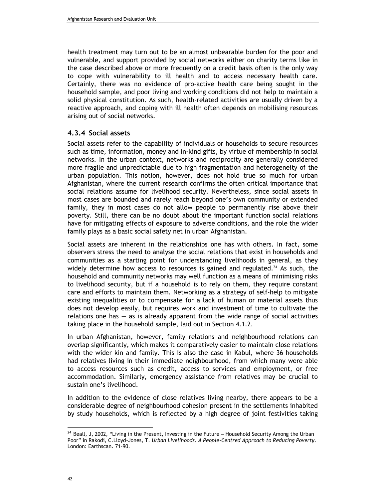health treatment may turn out to be an almost unbearable burden for the poor and vulnerable, and support provided by social networks either on charity terms like in the case described above or more frequently on a credit basis often is the only way to cope with vulnerability to ill health and to access necessary health care. Certainly, there was no evidence of pro-active health care being sought in the household sample, and poor living and working conditions did not help to maintain a solid physical constitution. As such, health-related activities are usually driven by a reactive approach, and coping with ill health often depends on mobilising resources arising out of social networks.

#### 4.3.4 Social assets

Social assets refer to the capability of individuals or households to secure resources such as time, information, money and in-kind gifts, by virtue of membership in social networks. In the urban context, networks and reciprocity are generally considered more fragile and unpredictable due to high fragmentation and heterogeneity of the urban population. This notion, however, does not hold true so much for urban Afghanistan, where the current research confirms the often critical importance that social relations assume for livelihood security. Nevertheless, since social assets in most cases are bounded and rarely reach beyond one's own community or extended family, they in most cases do not allow people to permanently rise above their poverty. Still, there can be no doubt about the important function social relations have for mitigating effects of exposure to adverse conditions, and the role the wider family plays as a basic social safety net in urban Afghanistan.

Social assets are inherent in the relationships one has with others. In fact, some observers stress the need to analyse the social relations that exist in households and communities as a starting point for understanding livelihoods in general, as they widely determine how access to resources is gained and regulated.<sup>24</sup> As such, the household and community networks may well function as a means of minimising risks to livelihood security, but if a household is to rely on them, they require constant care and efforts to maintain them. Networking as a strategy of self-help to mitigate existing inequalities or to compensate for a lack of human or material assets thus does not develop easily, but requires work and investment of time to cultivate the relations one has  $-$  as is already apparent from the wide range of social activities taking place in the household sample, laid out in Section 4.1.2.

In urban Afghanistan, however, family relations and neighbourhood relations can overlap significantly, which makes it comparatively easier to maintain close relations with the wider kin and family. This is also the case in Kabul, where 36 households had relatives living in their immediate neighbourhood, from which many were able to access resources such as credit, access to services and employment, or free accommodation. Similarly, emergency assistance from relatives may be crucial to sustain one's livelihood.

In addition to the evidence of close relatives living nearby, there appears to be a considerable degree of neighbourhood cohesion present in the settlements inhabited by study households, which is reflected by a high degree of joint festivities taking

 $\overline{a}$ 

<sup>&</sup>lt;sup>24</sup> Beall, J, 2002, "Living in the Present, Investing in the Future – Household Security Among the Urban Poor" in Rakodi, C.Lloyd-Jones, T. Urban Livelihoods. A People-Centred Approach to Reducing Poverty. London: Earthscan. 71–90.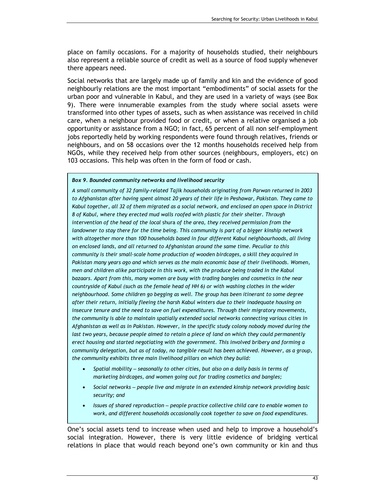place on family occasions. For a majority of households studied, their neighbours also represent a reliable source of credit as well as a source of food supply whenever there appears need.

Social networks that are largely made up of family and kin and the evidence of good neighbourly relations are the most important "embodiments" of social assets for the urban poor and vulnerable in Kabul, and they are used in a variety of ways (see Box 9). There were innumerable examples from the study where social assets were transformed into other types of assets, such as when assistance was received in child care, when a neighbour provided food or credit, or when a relative organised a job opportunity or assistance from a NGO; in fact, 65 percent of all non self-employment jobs reportedly held by working respondents were found through relatives, friends or neighbours, and on 58 occasions over the 12 months households received help from NGOs, while they received help from other sources (neighbours, employers, etc) on 103 occasions. This help was often in the form of food or cash.

#### Box 9. Bounded community networks and livelihood security

A small community of 32 family-related Tajik households originating from Parwan returned in 2003 to Afghanistan after having spent almost 20 years of their life in Peshawar, Pakistan. They came to Kabul together, all 32 of them migrated as a social network, and enclosed an open space in District 8 of Kabul, where they erected mud walls roofed with plastic for their shelter. Through intervention of the head of the local shura of the area, they received permission from the landowner to stay there for the time being. This community is part of a bigger kinship network with altogether more than 100 households based in four different Kabul neighbourhoods, all living on enclosed lands, and all returned to Afghanistan around the same time. Peculiar to this community is their small-scale home production of wooden birdcages, a skill they acquired in Pakistan many years ago and which serves as the main economic base of their livelihoods. Women, men and children alike participate in this work, with the produce being traded in the Kabul bazaars. Apart from this, many women are busy with trading bangles and cosmetics in the near countryside of Kabul (such as the female head of HH 6) or with washing clothes in the wider neighbourhood. Some children go begging as well. The group has been itinerant to some degree after their return, initially fleeing the harsh Kabul winters due to their inadequate housing on insecure tenure and the need to save on fuel expenditures. Through their migratory movements, the community is able to maintain spatially extended social networks connecting various cities in Afghanistan as well as in Pakistan. However, in the specific study colony nobody moved during the last two years, because people aimed to retain a piece of land on which they could permanently erect housing and started negotiating with the government. This involved bribery and forming a community delegation, but as of today, no tangible result has been achieved. However, as a group, the community exhibits three main livelihood pillars on which they build:

- Spatial mobility seasonally to other cities, but also on a daily basis in terms of marketing birdcages, and women going out for trading cosmetics and bangles;
- Social networks people live and migrate in an extended kinship network providing basic security; and
- Issues of shared reproduction people practice collective child care to enable women to work, and different households occasionally cook together to save on food expenditures.

One's social assets tend to increase when used and help to improve a household's social integration. However, there is very little evidence of bridging vertical relations in place that would reach beyond one's own community or kin and thus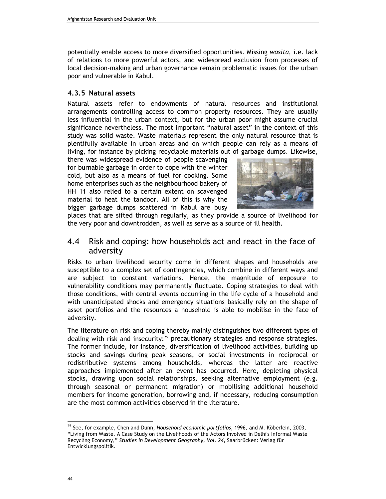potentially enable access to more diversified opportunities. Missing wasita, i.e. lack of relations to more powerful actors, and widespread exclusion from processes of local decision-making and urban governance remain problematic issues for the urban poor and vulnerable in Kabul.

### 4.3.5 Natural assets

Natural assets refer to endowments of natural resources and institutional arrangements controlling access to common property resources. They are usually less influential in the urban context, but for the urban poor might assume crucial significance nevertheless. The most important "natural asset" in the context of this study was solid waste. Waste materials represent the only natural resource that is plentifully available in urban areas and on which people can rely as a means of living, for instance by picking recyclable materials out of garbage dumps. Likewise,

there was widespread evidence of people scavenging for burnable garbage in order to cope with the winter cold, but also as a means of fuel for cooking. Some home enterprises such as the neighbourhood bakery of HH 11 also relied to a certain extent on scavenged material to heat the tandoor. All of this is why the bigger garbage dumps scattered in Kabul are busy



places that are sifted through regularly, as they provide a source of livelihood for the very poor and downtrodden, as well as serve as a source of ill health.

### 4.4 Risk and coping: how households act and react in the face of adversity

Risks to urban livelihood security come in different shapes and households are susceptible to a complex set of contingencies, which combine in different ways and are subject to constant variations. Hence, the magnitude of exposure to vulnerability conditions may permanently fluctuate. Coping strategies to deal with those conditions, with central events occurring in the life cycle of a household and with unanticipated shocks and emergency situations basically rely on the shape of asset portfolios and the resources a household is able to mobilise in the face of adversity.

The literature on risk and coping thereby mainly distinguishes two different types of dealing with risk and insecurity:<sup>25</sup> precautionary strategies and response strategies. The former include, for instance, diversification of livelihood activities, building up stocks and savings during peak seasons, or social investments in reciprocal or redistributive systems among households, whereas the latter are reactive approaches implemented after an event has occurred. Here, depleting physical stocks, drawing upon social relationships, seeking alternative employment (e.g. through seasonal or permanent migration) or mobilising additional household members for income generation, borrowing and, if necessary, reducing consumption are the most common activities observed in the literature.

 $\overline{a}$ 

<sup>&</sup>lt;sup>25</sup> See. for example, Chen and Dunn, Household economic portfolios, 1996, and M. Köberlein, 2003, "Living from Waste. A Case Study on the Livelihoods of the Actors Involved in Delhi's Informal Waste Recycling Economy," Studies in Development Geography, Vol. 24, Saarbrücken: Verlag für Entwicklungspolitik.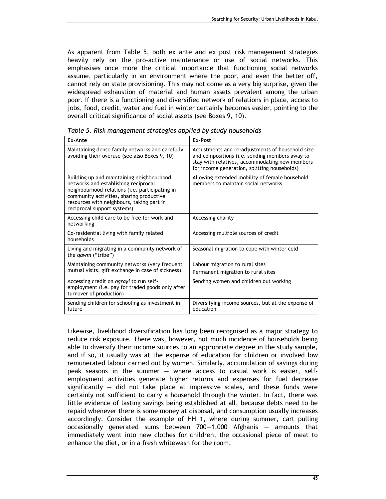As apparent from Table 5, both ex ante and ex post risk management strategies heavily rely on the pro-active maintenance or use of social networks. This emphasises once more the critical importance that functioning social networks assume, particularly in an environment where the poor, and even the better off, cannot rely on state provisioning. This may not come as a very big surprise, given the widespread exhaustion of material and human assets prevalent among the urban poor. If there is a functioning and diversified network of relations in place, access to jobs, food, credit, water and fuel in winter certainly becomes easier, pointing to the overall critical significance of social assets (see Boxes 9, 10).

| Ex-Ante                                                                                                                                                                                                                                                     | Ex-Post                                                                                                                                                                                              |
|-------------------------------------------------------------------------------------------------------------------------------------------------------------------------------------------------------------------------------------------------------------|------------------------------------------------------------------------------------------------------------------------------------------------------------------------------------------------------|
| Maintaining dense family networks and carefully<br>avoiding their overuse (see also Boxes 9, 10)                                                                                                                                                            | Adjustments and re-adjustments of household size<br>and compositions (i.e. sending members away to<br>stay with relatives, accommodating new members<br>for income generation, splitting households) |
| Building up and maintaining neighbourhood<br>networks and establishing reciprocal<br>neighbourhood-relations (i.e. participating in<br>community activities, sharing productive<br>resources with neighbours, taking part in<br>reciprocal support systems) | Allowing extended mobility of female household<br>members to maintain social networks                                                                                                                |
| Accessing child care to be free for work and<br>networking                                                                                                                                                                                                  | Accessing charity                                                                                                                                                                                    |
| Co-residential living with family related<br>households                                                                                                                                                                                                     | Accessing multiple sources of credit                                                                                                                                                                 |
| Living and migrating in a community network of<br>the <i>gawm</i> ("tribe")                                                                                                                                                                                 | Seasonal migration to cope with winter cold                                                                                                                                                          |
| Maintaining community networks (very frequent<br>mutual visits, gift exchange in case of sickness)                                                                                                                                                          | Labour migration to rural sites<br>Permanent migration to rural sites                                                                                                                                |
| Accessing credit on ograyi to run self-<br>employment (i.e. pay for traded goods only after<br>turnover of production)                                                                                                                                      | Sending women and children out working                                                                                                                                                               |
| Sending children for schooling as investment in<br>future                                                                                                                                                                                                   | Diversifying income sources, but at the expense of<br>education                                                                                                                                      |

Table 5. Risk management strategies applied by study households

Likewise, livelihood diversification has long been recognised as a major strategy to reduce risk exposure. There was, however, not much incidence of households being able to diversify their income sources to an appropriate degree in the study sample, and if so, it usually was at the expense of education for children or involved low remunerated labour carried out by women. Similarly, accumulation of savings during peak seasons in the summer — where access to casual work is easier, selfemployment activities generate higher returns and expenses for fuel decrease significantly  $-$  did not take place at impressive scales, and these funds were certainly not sufficient to carry a household through the winter. In fact, there was little evidence of lasting savings being established at all, because debts need to be repaid whenever there is some money at disposal, and consumption usually increases accordingly. Consider the example of HH 1, where during summer, cart pulling occasionally generated sums between 700—1,000 Afghanis — amounts that immediately went into new clothes for children, the occasional piece of meat to enhance the diet, or in a fresh whitewash for the room.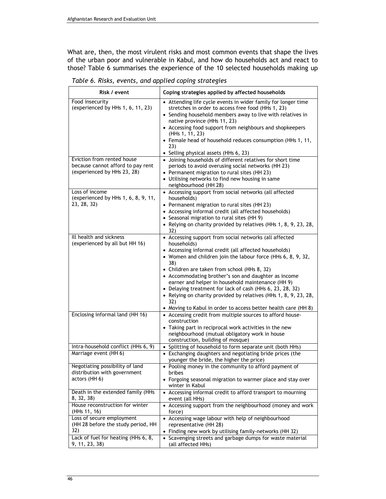What are, then, the most virulent risks and most common events that shape the lives of the urban poor and vulnerable in Kabul, and how do households act and react to those? Table 6 summarises the experience of the 10 selected households making up

| Risk / event                                                                     | Coping strategies applied by affected households                                                                                                                                                                                                                                                                                                                                                               |  |  |  |
|----------------------------------------------------------------------------------|----------------------------------------------------------------------------------------------------------------------------------------------------------------------------------------------------------------------------------------------------------------------------------------------------------------------------------------------------------------------------------------------------------------|--|--|--|
| Food insecurity<br>(experienced by HHs 1, 6, 11, 23)                             | • Attending life cycle events in wider family for longer time<br>stretches in order to access free food (HHs 1, 23)<br>• Sending household members away to live with relatives in<br>native province (HHs 11, 23)<br>• Accessing food support from neighbours and shopkeepers<br>(HHs 1, 11, 23)<br>• Female head of household reduces consumption (HHs 1, 11,<br>23)<br>• Selling physical assets (HHs 6, 23) |  |  |  |
| Eviction from rented house                                                       | • Joining households of different relatives for short time                                                                                                                                                                                                                                                                                                                                                     |  |  |  |
| because cannot afford to pay rent<br>(experienced by HHs 23, 28)                 | periods to avoid overusing social networks (HH 23)<br>• Permanent migration to rural sites (HH 23)<br>• Utilising networks to find new housing in same<br>neighbourhood (HH 28)                                                                                                                                                                                                                                |  |  |  |
| Loss of income<br>(experienced by HHs 1, 6, 8, 9, 11,                            | • Accessing support from social networks (all affected<br>households)                                                                                                                                                                                                                                                                                                                                          |  |  |  |
| 23, 28, 32)                                                                      | • Permanent migration to rural sites (HH 23)                                                                                                                                                                                                                                                                                                                                                                   |  |  |  |
|                                                                                  | • Accessing informal credit (all affected households)<br>• Seasonal migration to rural sites (HH 9)                                                                                                                                                                                                                                                                                                            |  |  |  |
|                                                                                  | • Relying on charity provided by relatives (HHs 1, 8, 9, 23, 28,<br>32)                                                                                                                                                                                                                                                                                                                                        |  |  |  |
| Ill health and sickness<br>(experienced by all but HH 16)                        | • Accessing support from social networks (all affected<br>households)                                                                                                                                                                                                                                                                                                                                          |  |  |  |
|                                                                                  | • Accessing informal credit (all affected households)<br>• Women and children join the labour force (HHs 6, 8, 9, 32,<br>38)                                                                                                                                                                                                                                                                                   |  |  |  |
|                                                                                  | • Children are taken from school (HHs 8, 32)<br>• Accommodating brother's son and daughter as income<br>earner and helper in household maintenance (HH 9)<br>• Delaying treatment for lack of cash (HHs 6, 23, 28, 32)<br>• Relying on charity provided by relatives (HHs 1, 8, 9, 23, 28,<br>32)<br>• Moving to Kabul in order to access better health care (HH 8)                                            |  |  |  |
| Enclosing informal land (HH 16)                                                  | • Accessing credit from multiple sources to afford house-<br>construction                                                                                                                                                                                                                                                                                                                                      |  |  |  |
|                                                                                  | • Taking part in reciprocal work activities in the new<br>neighbourhood (mutual obligatory work in house<br>construction, building of mosque)                                                                                                                                                                                                                                                                  |  |  |  |
| Intra-household conflict (HHs 6, 9)                                              | Splitting of household to form separate unit (both HHs)<br>$\bullet$                                                                                                                                                                                                                                                                                                                                           |  |  |  |
| Marriage event (HH 6)                                                            | • Exchanging daughters and negotiating bride prices (the<br>younger the bride, the higher the price)                                                                                                                                                                                                                                                                                                           |  |  |  |
| Negotiating possibility of land<br>distribution with government<br>actors (HH 6) | • Pooling money in the community to afford payment of<br>bribes<br>• Forgoing seasonal migration to warmer place and stay over                                                                                                                                                                                                                                                                                 |  |  |  |
| Death in the extended family (HHs<br>8, 32, 38)                                  | winter in Kabul<br>• Accessing informal credit to afford transport to mourning<br>event (all HHs)                                                                                                                                                                                                                                                                                                              |  |  |  |
| House reconstruction for winter<br>(HHs 11, 16)                                  | • Accessing support from the neighbourhood (money and work<br>force)                                                                                                                                                                                                                                                                                                                                           |  |  |  |
| Loss of secure employment<br>(HH 28 before the study period, HH                  | • Accessing wage labour with help of neighbourhood<br>representative (HH 28)                                                                                                                                                                                                                                                                                                                                   |  |  |  |
| 32)                                                                              | • Finding new work by utilising family-networks (HH 32)                                                                                                                                                                                                                                                                                                                                                        |  |  |  |
| Lack of fuel for heating (HHs 6, 8,<br>9, 11, 23, 38)                            | • Scavenging streets and garbage dumps for waste material<br>(all affected HHs)                                                                                                                                                                                                                                                                                                                                |  |  |  |

Table 6. Risks, events, and applied coping strategies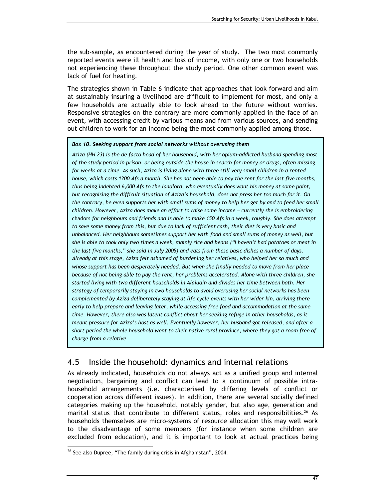the sub-sample, as encountered during the year of study. The two most commonly reported events were ill health and loss of income, with only one or two households not experiencing these throughout the study period. One other common event was lack of fuel for heating.

The strategies shown in Table 6 indicate that approaches that look forward and aim at sustainably insuring a livelihood are difficult to implement for most, and only a few households are actually able to look ahead to the future without worries. Responsive strategies on the contrary are more commonly applied in the face of an event, with accessing credit by various means and from various sources, and sending out children to work for an income being the most commonly applied among those.

#### Box 10. Seeking support from social networks without overusing them

Aziza (HH 23) is the de facto head of her household, with her opium-addicted husband spending most of the study period in prison, or being outside the house in search for money or drugs, often missing for weeks at a time. As such, Aziza is living alone with three still very small children in a rented house, which costs 1200 Afs a month. She has not been able to pay the rent for the last five months, thus being indebted 6,000 Afs to the landlord, who eventually does want his money at some point, but recognising the difficult situation of Aziza's household, does not press her too much for it. On the contrary, he even supports her with small sums of money to help her get by and to feed her small children. However, Aziza does make an effort to raise some income – currently she is embroidering chadors for neighbours and friends and is able to make 150 Afs in a week, roughly. She does attempt to save some money from this, but due to lack of sufficient cash, their diet is very basic and unbalanced. Her neighbours sometimes support her with food and small sums of money as well, but she is able to cook only two times a week, mainly rice and beans ("I haven't had potatoes or meat in the last five months," she said in July 2005) and eats from these basic dishes a number of days. Already at this stage, Aziza felt ashamed of burdening her relatives, who helped her so much and whose support has been desperately needed. But when she finally needed to move from her place because of not being able to pay the rent, her problems accelerated. Alone with three children, she started living with two different households in Alaiudin and divides her time between both. Her strategy of temporarily staying in two households to avoid overusing her social networks has been complemented by Aziza deliberately staying at life cycle events with her wider kin, arriving there early to help prepare and leaving later, while accessing free food and accommodation at the same time. However, there also was latent conflict about her seeking refuge in other households, as it meant pressure for Aziza's host as well. Eventually however, her husband got released, and after a short period the whole household went to their native rural province, where they got a room free of charge from a relative.

### 4.5 Inside the household: dynamics and internal relations

As already indicated, households do not always act as a unified group and internal negotiation, bargaining and conflict can lead to a continuum of possible intrahousehold arrangements (i.e. characterised by differing levels of conflict or cooperation across different issues). In addition, there are several socially defined categories making up the household, notably gender, but also age, generation and marital status that contribute to different status, roles and responsibilities.<sup>26</sup> As households themselves are micro-systems of resource allocation this may well work to the disadvantage of some members (for instance when some children are excluded from education), and it is important to look at actual practices being  $\overline{a}$ 

<sup>&</sup>lt;sup>26</sup> See also Dupree, "The family during crisis in Afghanistan", 2004.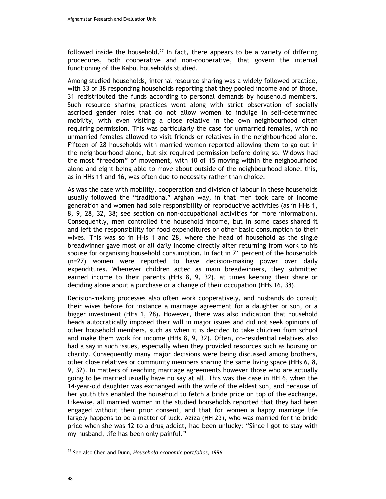followed inside the household.<sup>27</sup> In fact, there appears to be a variety of differing procedures, both cooperative and non-cooperative, that govern the internal functioning of the Kabul households studied.

Among studied households, internal resource sharing was a widely followed practice, with 33 of 38 responding households reporting that they pooled income and of those, 31 redistributed the funds according to personal demands by household members. Such resource sharing practices went along with strict observation of socially ascribed gender roles that do not allow women to indulge in self-determined mobility, with even visiting a close relative in the own neighbourhood often requiring permission. This was particularly the case for unmarried females, with no unmarried females allowed to visit friends or relatives in the neighbourhood alone. Fifteen of 28 households with married women reported allowing them to go out in the neighbourhood alone, but six required permission before doing so. Widows had the most "freedom" of movement, with 10 of 15 moving within the neighbourhood alone and eight being able to move about outside of the neighbourhood alone; this, as in HHs 11 and 16, was often due to necessity rather than choice.

As was the case with mobility, cooperation and division of labour in these households usually followed the "traditional" Afghan way, in that men took care of income generation and women had sole responsibility of reproductive activities (as in HHs 1, 8, 9, 28, 32, 38; see section on non-occupational activities for more information). Consequently, men controlled the household income, but in some cases shared it and left the responsibility for food expenditures or other basic consumption to their wives. This was so in HHs 1 and 28, where the head of household as the single breadwinner gave most or all daily income directly after returning from work to his spouse for organising household consumption. In fact in 71 percent of the households (n=27) women were reported to have decision-making power over daily expenditures. Whenever children acted as main breadwinners, they submitted earned income to their parents (HHs 8, 9, 32), at times keeping their share or deciding alone about a purchase or a change of their occupation (HHs 16, 38).

Decision-making processes also often work cooperatively, and husbands do consult their wives before for instance a marriage agreement for a daughter or son, or a bigger investment (HHs 1, 28). However, there was also indication that household heads autocratically imposed their will in major issues and did not seek opinions of other household members, such as when it is decided to take children from school and make them work for income (HHs 8, 9, 32). Often, co-residential relatives also had a say in such issues, especially when they provided resources such as housing on charity. Consequently many major decisions were being discussed among brothers, other close relatives or community members sharing the same living space (HHs 6, 8, 9, 32). In matters of reaching marriage agreements however those who are actually going to be married usually have no say at all. This was the case in HH 6, when the 14-year-old daughter was exchanged with the wife of the eldest son, and because of her youth this enabled the household to fetch a bride price on top of the exchange. Likewise, all married women in the studied households reported that they had been engaged without their prior consent, and that for women a happy marriage life largely happens to be a matter of luck. Aziza (HH 23), who was married for the bride price when she was 12 to a drug addict, had been unlucky: "Since I got to stay with my husband, life has been only painful."

 $\overline{a}$ 

 $27$  See also Chen and Dunn, Household economic portfolios, 1996.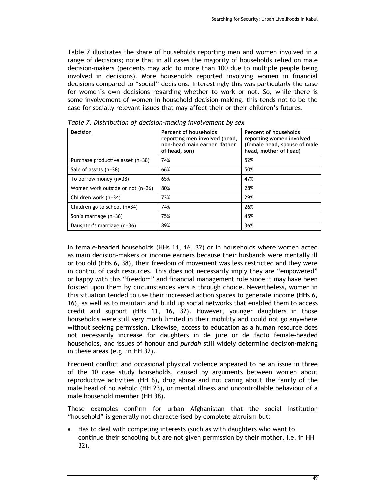Table 7 illustrates the share of households reporting men and women involved in a range of decisions; note that in all cases the majority of households relied on male decision-makers (percents may add to more than 100 due to multiple people being involved in decisions). More households reported involving women in financial decisions compared to "social" decisions. Interestingly this was particularly the case for women's own decisions regarding whether to work or not. So, while there is some involvement of women in household decision-making, this tends not to be the case for socially relevant issues that may affect their or their children's futures.

| Decision                         | Percent of households<br>reporting men involved (head,<br>non-head main earner, father<br>of head, son) | Percent of households<br>reporting women involved<br>(female head, spouse of male<br>head, mother of head) |  |
|----------------------------------|---------------------------------------------------------------------------------------------------------|------------------------------------------------------------------------------------------------------------|--|
| Purchase productive asset (n=38) | 74%                                                                                                     | 52%                                                                                                        |  |
| Sale of assets (n=38)            | 66%                                                                                                     | 50%                                                                                                        |  |
| To borrow money $(n=38)$         | 65%                                                                                                     | 47%                                                                                                        |  |
| Women work outside or not (n=36) | 80%                                                                                                     | 28%                                                                                                        |  |
| Children work (n=34)             | 73%                                                                                                     | 29%                                                                                                        |  |
| Children go to school $(n=34)$   | 74%                                                                                                     | 26%                                                                                                        |  |
| Son's marriage (n=36)            | 75%                                                                                                     | 45%                                                                                                        |  |
| Daughter's marriage (n=36)       | 89%                                                                                                     | 36%                                                                                                        |  |

Table 7. Distribution of decision-making involvement by sex

In female-headed households (HHs 11, 16, 32) or in households where women acted as main decision-makers or income earners because their husbands were mentally ill or too old (HHs 6, 38), their freedom of movement was less restricted and they were in control of cash resources. This does not necessarily imply they are "empowered" or happy with this "freedom" and financial management role since it may have been foisted upon them by circumstances versus through choice. Nevertheless, women in this situation tended to use their increased action spaces to generate income (HHs 6, 16), as well as to maintain and build up social networks that enabled them to access credit and support (HHs 11, 16, 32). However, younger daughters in those households were still very much limited in their mobility and could not go anywhere without seeking permission. Likewise, access to education as a human resource does not necessarily increase for daughters in de jure or de facto female-headed households, and issues of honour and purdah still widely determine decision-making in these areas (e.g. in HH 32).

Frequent conflict and occasional physical violence appeared to be an issue in three of the 10 case study households, caused by arguments between women about reproductive activities (HH 6), drug abuse and not caring about the family of the male head of household (HH 23), or mental illness and uncontrollable behaviour of a male household member (HH 38).

These examples confirm for urban Afghanistan that the social institution "household" is generally not characterised by complete altruism but:

• Has to deal with competing interests (such as with daughters who want to continue their schooling but are not given permission by their mother, i.e. in HH 32).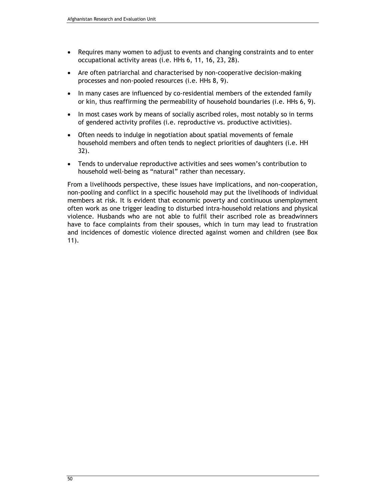- Requires many women to adjust to events and changing constraints and to enter occupational activity areas (i.e. HHs 6, 11, 16, 23, 28).
- Are often patriarchal and characterised by non-cooperative decision-making processes and non-pooled resources (i.e. HHs 8, 9).
- In many cases are influenced by co-residential members of the extended family or kin, thus reaffirming the permeability of household boundaries (i.e. HHs 6, 9).
- In most cases work by means of socially ascribed roles, most notably so in terms of gendered activity profiles (i.e. reproductive vs. productive activities).
- Often needs to indulge in negotiation about spatial movements of female household members and often tends to neglect priorities of daughters (i.e. HH 32).
- Tends to undervalue reproductive activities and sees women's contribution to household well-being as "natural" rather than necessary.

From a livelihoods perspective, these issues have implications, and non-cooperation, non-pooling and conflict in a specific household may put the livelihoods of individual members at risk. It is evident that economic poverty and continuous unemployment often work as one trigger leading to disturbed intra-household relations and physical violence. Husbands who are not able to fulfil their ascribed role as breadwinners have to face complaints from their spouses, which in turn may lead to frustration and incidences of domestic violence directed against women and children (see Box 11).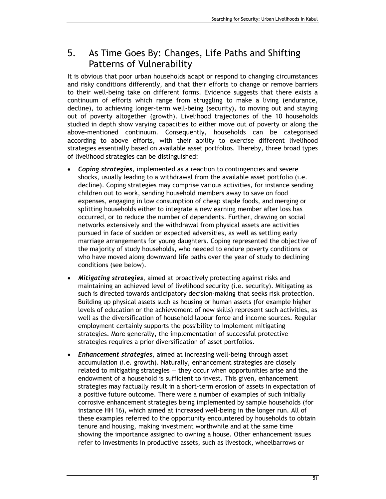## 5. As Time Goes By: Changes, Life Paths and Shifting Patterns of Vulnerability

It is obvious that poor urban households adapt or respond to changing circumstances and risky conditions differently, and that their efforts to change or remove barriers to their well-being take on different forms. Evidence suggests that there exists a continuum of efforts which range from struggling to make a living (endurance, decline), to achieving longer-term well-being (security), to moving out and staying out of poverty altogether (growth). Livelihood trajectories of the 10 households studied in depth show varying capacities to either move out of poverty or along the above-mentioned continuum. Consequently, households can be categorised according to above efforts, with their ability to exercise different livelihood strategies essentially based on available asset portfolios. Thereby, three broad types of livelihood strategies can be distinguished:

- Coping strategies, implemented as a reaction to contingencies and severe shocks, usually leading to a withdrawal from the available asset portfolio (i.e. decline). Coping strategies may comprise various activities, for instance sending children out to work, sending household members away to save on food expenses, engaging in low consumption of cheap staple foods, and merging or splitting households either to integrate a new earning member after loss has occurred, or to reduce the number of dependents. Further, drawing on social networks extensively and the withdrawal from physical assets are activities pursued in face of sudden or expected adversities, as well as settling early marriage arrangements for young daughters. Coping represented the objective of the majority of study households, who needed to endure poverty conditions or who have moved along downward life paths over the year of study to declining conditions (see below).
- Mitigating strategies, aimed at proactively protecting against risks and maintaining an achieved level of livelihood security (i.e. security). Mitigating as such is directed towards anticipatory decision-making that seeks risk protection. Building up physical assets such as housing or human assets (for example higher levels of education or the achievement of new skills) represent such activities, as well as the diversification of household labour force and income sources. Regular employment certainly supports the possibility to implement mitigating strategies. More generally, the implementation of successful protective strategies requires a prior diversification of asset portfolios.
- **Enhancement strategies, aimed at increasing well-being through asset** accumulation (i.e. growth). Naturally, enhancement strategies are closely related to mitigating strategies — they occur when opportunities arise and the endowment of a household is sufficient to invest. This given, enhancement strategies may factually result in a short-term erosion of assets in expectation of a positive future outcome. There were a number of examples of such initially corrosive enhancement strategies being implemented by sample households (for instance HH 16), which aimed at increased well-being in the longer run. All of these examples referred to the opportunity encountered by households to obtain tenure and housing, making investment worthwhile and at the same time showing the importance assigned to owning a house. Other enhancement issues refer to investments in productive assets, such as livestock, wheelbarrows or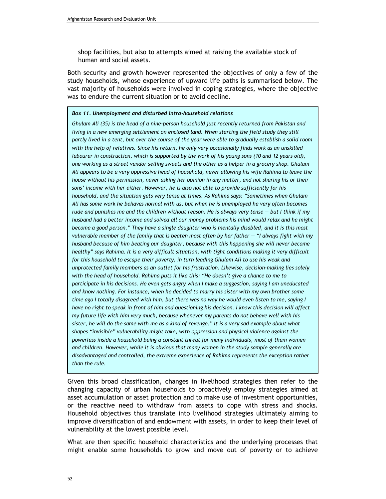shop facilities, but also to attempts aimed at raising the available stock of human and social assets.

Both security and growth however represented the objectives of only a few of the study households, whose experience of upward life paths is summarised below. The vast majority of households were involved in coping strategies, where the objective was to endure the current situation or to avoid decline.

#### Box 11. Unemployment and disturbed intra-household relations

Ghulam Ali (35) is the head of a nine-person household just recently returned from Pakistan and living in a new emerging settlement on enclosed land. When starting the field study they still partly lived in a tent, but over the course of the year were able to gradually establish a solid room with the help of relatives. Since his return, he only very occasionally finds work as an unskilled labourer in construction, which is supported by the work of his young sons (10 and 12 years old), one working as a street vendor selling sweets and the other as a helper in a grocery shop. Ghulam Ali appears to be a very oppressive head of household, never allowing his wife Rahima to leave the house without his permission, never asking her opinion in any matter, and not sharing his or their sons' income with her either. However, he is also not able to provide sufficiently for his household, and the situation gets very tense at times. As Rahima says: "Sometimes when Ghulam Ali has some work he behaves normal with us, but when he is unemployed he very often becomes rude and punishes me and the children without reason. He is always very tense — but I think if my husband had a better income and solved all our money problems his mind would relax and he might become a good person." They have a single daughter who is mentally disabled, and it is this most vulnerable member of the family that is beaten most often by her father — "I always fight with my husband because of him beating our daughter, because with this happening she will never become healthy" says Rahima. It is a very difficult situation, with tight conditions making it very difficult for this household to escape their poverty, in turn leading Ghulam Ali to use his weak and unprotected family members as an outlet for his frustration. Likewise, decision-making lies solely with the head of household. Rahima puts it like this: "He doesn't give a chance to me to participate in his decisions. He even gets angry when I make a suggestion, saying I am uneducated and know nothing. For instance, when he decided to marry his sister with my own brother some time ago I totally disagreed with him, but there was no way he would even listen to me, saying I have no right to speak in front of him and questioning his decision. I know this decision will affect my future life with him very much, because whenever my parents do not behave well with his sister, he will do the same with me as a kind of revenge." It is a very sad example about what shapes "invisible" vulnerability might take, with oppression and physical violence against the powerless inside a household being a constant threat for many individuals, most of them women and children. However, while it is obvious that many women in the study sample generally are disadvantaged and controlled, the extreme experience of Rahima represents the exception rather than the rule.

Given this broad classification, changes in livelihood strategies then refer to the changing capacity of urban households to proactively employ strategies aimed at asset accumulation or asset protection and to make use of investment opportunities, or the reactive need to withdraw from assets to cope with stress and shocks. Household objectives thus translate into livelihood strategies ultimately aiming to improve diversification of and endowment with assets, in order to keep their level of vulnerability at the lowest possible level.

What are then specific household characteristics and the underlying processes that might enable some households to grow and move out of poverty or to achieve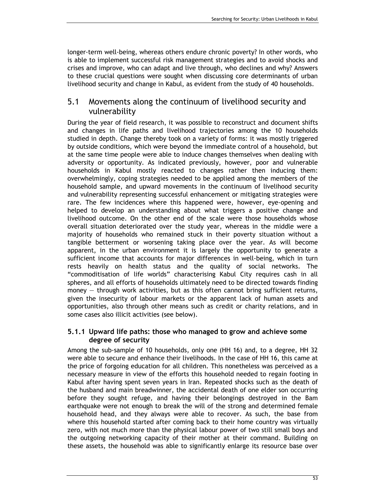longer-term well-being, whereas others endure chronic poverty? In other words, who is able to implement successful risk management strategies and to avoid shocks and crises and improve, who can adapt and live through, who declines and why? Answers to these crucial questions were sought when discussing core determinants of urban livelihood security and change in Kabul, as evident from the study of 40 households.

### 5.1 Movements along the continuum of livelihood security and vulnerability

During the year of field research, it was possible to reconstruct and document shifts and changes in life paths and livelihood trajectories among the 10 households studied in depth. Change thereby took on a variety of forms: it was mostly triggered by outside conditions, which were beyond the immediate control of a household, but at the same time people were able to induce changes themselves when dealing with adversity or opportunity. As indicated previously, however, poor and vulnerable households in Kabul mostly reacted to changes rather then inducing them: overwhelmingly, coping strategies needed to be applied among the members of the household sample, and upward movements in the continuum of livelihood security and vulnerability representing successful enhancement or mitigating strategies were rare. The few incidences where this happened were, however, eye-opening and helped to develop an understanding about what triggers a positive change and livelihood outcome. On the other end of the scale were those households whose overall situation deteriorated over the study year, whereas in the middle were a majority of households who remained stuck in their poverty situation without a tangible betterment or worsening taking place over the year. As will become apparent, in the urban environment it is largely the opportunity to generate a sufficient income that accounts for major differences in well-being, which in turn rests heavily on health status and the quality of social networks. The "commoditisation of life worlds" characterising Kabul City requires cash in all spheres, and all efforts of households ultimately need to be directed towards finding money — through work activities, but as this often cannot bring sufficient returns, given the insecurity of labour markets or the apparent lack of human assets and opportunities, also through other means such as credit or charity relations, and in some cases also illicit activities (see below).

### 5.1.1 Upward life paths: those who managed to grow and achieve some degree of security

Among the sub-sample of 10 households, only one (HH 16) and, to a degree, HH 32 were able to secure and enhance their livelihoods. In the case of HH 16, this came at the price of forgoing education for all children. This nonetheless was perceived as a necessary measure in view of the efforts this household needed to regain footing in Kabul after having spent seven years in Iran. Repeated shocks such as the death of the husband and main breadwinner, the accidental death of one elder son occurring before they sought refuge, and having their belongings destroyed in the Bam earthquake were not enough to break the will of the strong and determined female household head, and they always were able to recover. As such, the base from where this household started after coming back to their home country was virtually zero, with not much more than the physical labour power of two still small boys and the outgoing networking capacity of their mother at their command. Building on these assets, the household was able to significantly enlarge its resource base over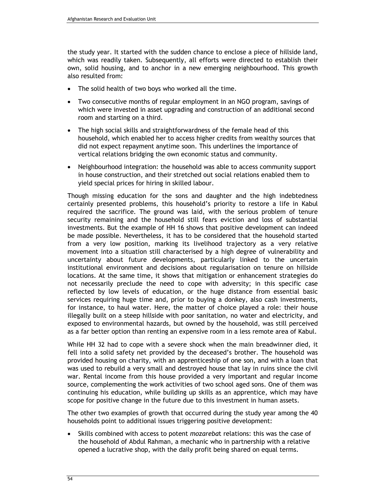the study year. It started with the sudden chance to enclose a piece of hillside land, which was readily taken. Subsequently, all efforts were directed to establish their own, solid housing, and to anchor in a new emerging neighbourhood. This growth also resulted from:

- The solid health of two boys who worked all the time.
- Two consecutive months of regular employment in an NGO program, savings of which were invested in asset upgrading and construction of an additional second room and starting on a third.
- The high social skills and straightforwardness of the female head of this household, which enabled her to access higher credits from wealthy sources that did not expect repayment anytime soon. This underlines the importance of vertical relations bridging the own economic status and community.
- Neighbourhood integration: the household was able to access community support in house construction, and their stretched out social relations enabled them to yield special prices for hiring in skilled labour.

Though missing education for the sons and daughter and the high indebtedness certainly presented problems, this household's priority to restore a life in Kabul required the sacrifice. The ground was laid, with the serious problem of tenure security remaining and the household still fears eviction and loss of substantial investments. But the example of HH 16 shows that positive development can indeed be made possible. Nevertheless, it has to be considered that the household started from a very low position, marking its livelihood trajectory as a very relative movement into a situation still characterised by a high degree of vulnerability and uncertainty about future developments, particularly linked to the uncertain institutional environment and decisions about regularisation on tenure on hillside locations. At the same time, it shows that mitigation or enhancement strategies do not necessarily preclude the need to cope with adversity; in this specific case reflected by low levels of education, or the huge distance from essential basic services requiring huge time and, prior to buying a donkey, also cash investments, for instance, to haul water. Here, the matter of choice played a role: their house illegally built on a steep hillside with poor sanitation, no water and electricity, and exposed to environmental hazards, but owned by the household, was still perceived as a far better option than renting an expensive room in a less remote area of Kabul.

While HH 32 had to cope with a severe shock when the main breadwinner died, it fell into a solid safety net provided by the deceased's brother. The household was provided housing on charity, with an apprenticeship of one son, and with a loan that was used to rebuild a very small and destroyed house that lay in ruins since the civil war. Rental income from this house provided a very important and regular income source, complementing the work activities of two school aged sons. One of them was continuing his education, while building up skills as an apprentice, which may have scope for positive change in the future due to this investment in human assets.

The other two examples of growth that occurred during the study year among the 40 households point to additional issues triggering positive development:

Skills combined with access to potent *mozarebat* relations: this was the case of the household of Abdul Rahman, a mechanic who in partnership with a relative opened a lucrative shop, with the daily profit being shared on equal terms.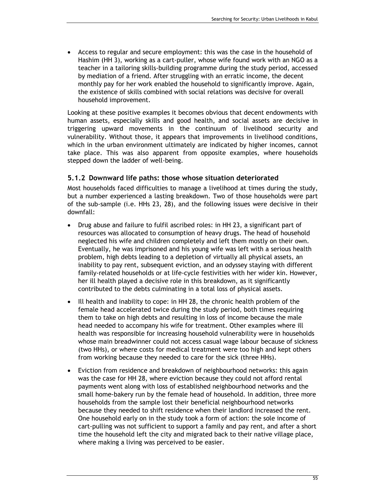• Access to regular and secure employment: this was the case in the household of Hashim (HH 3), working as a cart-puller, whose wife found work with an NGO as a teacher in a tailoring skills-building programme during the study period, accessed by mediation of a friend. After struggling with an erratic income, the decent monthly pay for her work enabled the household to significantly improve. Again, the existence of skills combined with social relations was decisive for overall household improvement.

Looking at these positive examples it becomes obvious that decent endowments with human assets, especially skills and good health, and social assets are decisive in triggering upward movements in the continuum of livelihood security and vulnerability. Without those, it appears that improvements in livelihood conditions, which in the urban environment ultimately are indicated by higher incomes, cannot take place. This was also apparent from opposite examples, where households stepped down the ladder of well-being.

### 5.1.2 Downward life paths: those whose situation deteriorated

Most households faced difficulties to manage a livelihood at times during the study, but a number experienced a lasting breakdown. Two of those households were part of the sub-sample (i.e. HHs 23, 28), and the following issues were decisive in their downfall:

- Drug abuse and failure to fulfil ascribed roles: in HH 23, a significant part of resources was allocated to consumption of heavy drugs. The head of household neglected his wife and children completely and left them mostly on their own. Eventually, he was imprisoned and his young wife was left with a serious health problem, high debts leading to a depletion of virtually all physical assets, an inability to pay rent, subsequent eviction, and an odyssey staying with different family-related households or at life-cycle festivities with her wider kin. However, her ill health played a decisive role in this breakdown, as it significantly contributed to the debts culminating in a total loss of physical assets.
- Ill health and inability to cope: in HH 28, the chronic health problem of the female head accelerated twice during the study period, both times requiring them to take on high debts and resulting in loss of income because the male head needed to accompany his wife for treatment. Other examples where ill health was responsible for increasing household vulnerability were in households whose main breadwinner could not access casual wage labour because of sickness (two HHs), or where costs for medical treatment were too high and kept others from working because they needed to care for the sick (three HHs).
- Eviction from residence and breakdown of neighbourhood networks: this again was the case for HH 28, where eviction because they could not afford rental payments went along with loss of established neighbourhood networks and the small home-bakery run by the female head of household. In addition, three more households from the sample lost their beneficial neighbourhood networks because they needed to shift residence when their landlord increased the rent. One household early on in the study took a form of action: the sole income of cart-pulling was not sufficient to support a family and pay rent, and after a short time the household left the city and migrated back to their native village place, where making a living was perceived to be easier.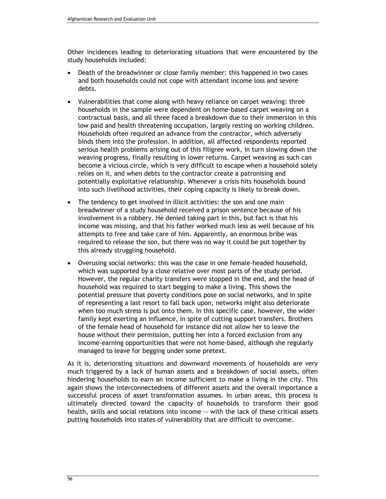Other incidences leading to deteriorating situations that were encountered by the study households included:

- Death of the breadwinner or close family member: this happened in two cases and both households could not cope with attendant income loss and severe debts.
- Vulnerabilities that come along with heavy reliance on carpet weaving: three households in the sample were dependent on home-based carpet weaving on a contractual basis, and all three faced a breakdown due to their immersion in this low paid and health threatening occupation, largely resting on working children. Households often required an advance from the contractor, which adversely binds them into the profession. In addition, all affected respondents reported serious health problems arising out of this filigree work, in turn slowing down the weaving progress, finally resulting in lower returns. Carpet weaving as such can become a vicious circle, which is very difficult to escape when a household solely relies on it, and when debts to the contractor create a patronising and potentially exploitative relationship. Whenever a crisis hits households bound into such livelihood activities, their coping capacity is likely to break down.
- The tendency to get involved in illicit activities: the son and one main breadwinner of a study household received a prison sentence because of his involvement in a robbery. He denied taking part in this, but fact is that his income was missing, and that his father worked much less as well because of his attempts to free and take care of him. Apparently, an enormous bribe was required to release the son, but there was no way it could be put together by this already struggling household.
- Overusing social networks: this was the case in one female-headed household, which was supported by a close relative over most parts of the study period. However, the regular charity transfers were stopped in the end, and the head of household was required to start begging to make a living. This shows the potential pressure that poverty conditions pose on social networks, and in spite of representing a last resort to fall back upon, networks might also deteriorate when too much stress is put onto them. In this specific case, however, the wider family kept exerting an influence, in spite of cutting support transfers. Brothers of the female head of household for instance did not allow her to leave the house without their permission, putting her into a forced exclusion from any income-earning opportunities that were not home-based, although she regularly managed to leave for begging under some pretext.

As it is, deteriorating situations and downward movements of households are very much triggered by a lack of human assets and a breakdown of social assets, often hindering households to earn an income sufficient to make a living in the city. This again shows the interconnectedness of different assets and the overall importance a successful process of asset transformation assumes. In urban areas, this process is ultimately directed toward the capacity of households to transform their good health, skills and social relations into income — with the lack of these critical assets putting households into states of vulnerability that are difficult to overcome.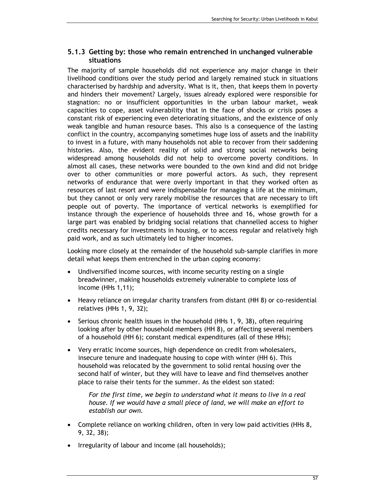### 5.1.3 Getting by: those who remain entrenched in unchanged vulnerable situations

The majority of sample households did not experience any major change in their livelihood conditions over the study period and largely remained stuck in situations characterised by hardship and adversity. What is it, then, that keeps them in poverty and hinders their movement? Largely, issues already explored were responsible for stagnation: no or insufficient opportunities in the urban labour market, weak capacities to cope, asset vulnerability that in the face of shocks or crisis poses a constant risk of experiencing even deteriorating situations, and the existence of only weak tangible and human resource bases. This also is a consequence of the lasting conflict in the country, accompanying sometimes huge loss of assets and the inability to invest in a future, with many households not able to recover from their saddening histories. Also, the evident reality of solid and strong social networks being widespread among households did not help to overcome poverty conditions. In almost all cases, these networks were bounded to the own kind and did not bridge over to other communities or more powerful actors. As such, they represent networks of endurance that were overly important in that they worked often as resources of last resort and were indispensable for managing a life at the minimum, but they cannot or only very rarely mobilise the resources that are necessary to lift people out of poverty. The importance of vertical networks is exemplified for instance through the experience of households three and 16, whose growth for a large part was enabled by bridging social relations that channelled access to higher credits necessary for investments in housing, or to access regular and relatively high paid work, and as such ultimately led to higher incomes.

Looking more closely at the remainder of the household sub-sample clarifies in more detail what keeps them entrenched in the urban coping economy:

- Undiversified income sources, with income security resting on a single breadwinner, making households extremely vulnerable to complete loss of income (HHs 1,11);
- Heavy reliance on irregular charity transfers from distant (HH 8) or co-residential relatives (HHs 1, 9, 32);
- Serious chronic health issues in the household (HHs 1, 9, 38), often requiring looking after by other household members (HH 8), or affecting several members of a household (HH 6); constant medical expenditures (all of these HHs);
- Very erratic income sources, high dependence on credit from wholesalers, insecure tenure and inadequate housing to cope with winter (HH 6). This household was relocated by the government to solid rental housing over the second half of winter, but they will have to leave and find themselves another place to raise their tents for the summer. As the eldest son stated:

For the first time, we begin to understand what it means to live in a real house. If we would have a small piece of land, we will make an effort to establish our own.

- Complete reliance on working children, often in very low paid activities (HHs 8, 9, 32, 38);
- Irregularity of labour and income (all households);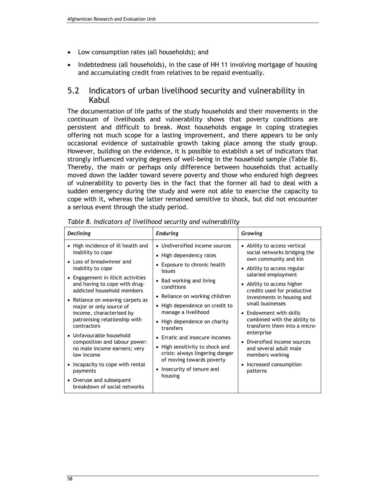- Low consumption rates (all households); and
- Indebtedness (all households), in the case of HH 11 involving mortgage of housing and accumulating credit from relatives to be repaid eventually.

### 5.2 Indicators of urban livelihood security and vulnerability in Kabul

The documentation of life paths of the study households and their movements in the continuum of livelihoods and vulnerability shows that poverty conditions are persistent and difficult to break. Most households engage in coping strategies offering not much scope for a lasting improvement, and there appears to be only occasional evidence of sustainable growth taking place among the study group. However, building on the evidence, it is possible to establish a set of indicators that strongly influenced varying degrees of well-being in the household sample (Table 8). Thereby, the main or perhaps only difference between households that actually moved down the ladder toward severe poverty and those who endured high degrees of vulnerability to poverty lies in the fact that the former all had to deal with a sudden emergency during the study and were not able to exercise the capacity to cope with it, whereas the latter remained sensitive to shock, but did not encounter a serious event through the study period.

| Declining                                                                                                                                                                                                                                                                                                                                                                                                                                                                                                                                                                        | <b>Enduring</b>                                                                                                                                                                                                                                                                                                                                                                                                                                                     | Growing                                                                                                                                                                                                                                                                                                                                                                                                                                                                                    |  |  |
|----------------------------------------------------------------------------------------------------------------------------------------------------------------------------------------------------------------------------------------------------------------------------------------------------------------------------------------------------------------------------------------------------------------------------------------------------------------------------------------------------------------------------------------------------------------------------------|---------------------------------------------------------------------------------------------------------------------------------------------------------------------------------------------------------------------------------------------------------------------------------------------------------------------------------------------------------------------------------------------------------------------------------------------------------------------|--------------------------------------------------------------------------------------------------------------------------------------------------------------------------------------------------------------------------------------------------------------------------------------------------------------------------------------------------------------------------------------------------------------------------------------------------------------------------------------------|--|--|
| • High incidence of ill health and<br>inability to cope<br>• Loss of breadwinner and<br>inability to cope<br>• Engagement in illicit activities<br>and having to cope with drug-<br>addicted household members<br>• Reliance on weaving carpets as<br>major or only source of<br>income, characterised by<br>patronising relationship with<br>contractors<br>• Unfavourable household<br>composition and labour power:<br>no male income earners; very<br>low income<br>• Incapacity to cope with rental<br>payments<br>• Overuse and subsequent<br>breakdown of social networks | • Undiversified income sources<br>• High dependency rates<br>• Exposure to chronic health<br>issues<br>• Bad working and living<br>conditions<br>• Reliance on working children<br>• High dependence on credit to<br>manage a livelihood<br>• High dependence on charity<br>transfers<br>• Erratic and insecure incomes<br>• High sensitivity to shock and<br>crisis: always lingering danger<br>of moving towards poverty<br>• Insecurity of tenure and<br>housing | • Ability to access vertical<br>social networks bridging the<br>own community and kin<br>• Ability to access regular<br>salaried employment<br>• Ability to access higher<br>credits used for productive<br>investments in housing and<br>small businesses<br>• Endowment with skills<br>combined with the ability to<br>transform them into a micro-<br>enterprise<br>• Diversified income sources<br>and several adult male<br>members working<br>Increased consumption<br>٠<br>patterns |  |  |

Table 8. Indicators of livelihood security and vulnerability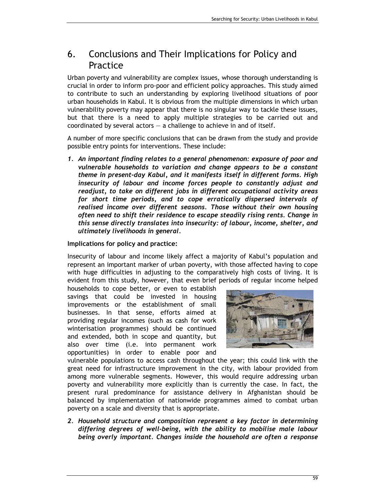## 6. Conclusions and Their Implications for Policy and Practice

Urban poverty and vulnerability are complex issues, whose thorough understanding is crucial in order to inform pro-poor and efficient policy approaches. This study aimed to contribute to such an understanding by exploring livelihood situations of poor urban households in Kabul. It is obvious from the multiple dimensions in which urban vulnerability poverty may appear that there is no singular way to tackle these issues, but that there is a need to apply multiple strategies to be carried out and coordinated by several actors  $-$  a challenge to achieve in and of itself.

A number of more specific conclusions that can be drawn from the study and provide possible entry points for interventions. These include:

1. An important finding relates to a general phenomenon: exposure of poor and vulnerable households to variation and change appears to be a constant theme in present-day Kabul, and it manifests itself in different forms. High insecurity of labour and income forces people to constantly adjust and readjust, to take on different jobs in different occupational activity areas for short time periods, and to cope erratically dispersed intervals of realised income over different seasons. Those without their own housing often need to shift their residence to escape steadily rising rents. Change in this sense directly translates into insecurity: of labour, income, shelter, and ultimately livelihoods in general.

### Implications for policy and practice:

Insecurity of labour and income likely affect a majority of Kabul's population and represent an important marker of urban poverty, with those affected having to cope with huge difficulties in adjusting to the comparatively high costs of living. It is evident from this study, however, that even brief periods of regular income helped

households to cope better, or even to establish savings that could be invested in housing improvements or the establishment of small businesses. In that sense, efforts aimed at providing regular incomes (such as cash for work winterisation programmes) should be continued and extended, both in scope and quantity, but also over time (i.e. into permanent work opportunities) in order to enable poor and



vulnerable populations to access cash throughout the year; this could link with the great need for infrastructure improvement in the city, with labour provided from among more vulnerable segments. However, this would require addressing urban poverty and vulnerability more explicitly than is currently the case. In fact, the present rural predominance for assistance delivery in Afghanistan should be balanced by implementation of nationwide programmes aimed to combat urban poverty on a scale and diversity that is appropriate.

2. Household structure and composition represent a key factor in determining differing degrees of well-being, with the ability to mobilise male labour being overly important. Changes inside the household are often a response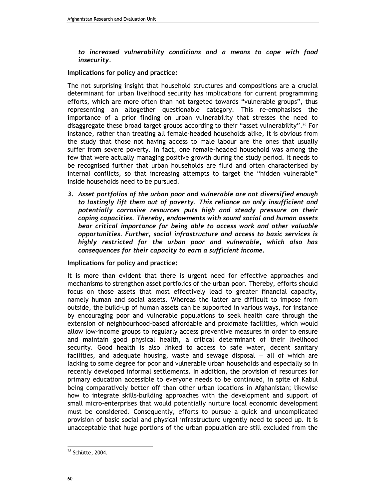to increased vulnerability conditions and a means to cope with food insecurity.

#### Implications for policy and practice:

The not surprising insight that household structures and compositions are a crucial determinant for urban livelihood security has implications for current programming efforts, which are more often than not targeted towards "vulnerable groups", thus representing an altogether questionable category. This re-emphasises the importance of a prior finding on urban vulnerability that stresses the need to disaggregate these broad target groups according to their "asset vulnerability".<sup>28</sup> For instance, rather than treating all female-headed households alike, it is obvious from the study that those not having access to male labour are the ones that usually suffer from severe poverty. In fact, one female-headed household was among the few that were actually managing positive growth during the study period. It needs to be recognised further that urban households are fluid and often characterised by internal conflicts, so that increasing attempts to target the "hidden vulnerable" inside households need to be pursued.

3. Asset portfolios of the urban poor and vulnerable are not diversified enough to lastingly lift them out of poverty. This reliance on only insufficient and potentially corrosive resources puts high and steady pressure on their coping capacities. Thereby, endowments with sound social and human assets bear critical importance for being able to access work and other valuable opportunities. Further, social infrastructure and access to basic services is highly restricted for the urban poor and vulnerable, which also has consequences for their capacity to earn a sufficient income.

Implications for policy and practice:

It is more than evident that there is urgent need for effective approaches and mechanisms to strengthen asset portfolios of the urban poor. Thereby, efforts should focus on those assets that most effectively lead to greater financial capacity, namely human and social assets. Whereas the latter are difficult to impose from outside, the build-up of human assets can be supported in various ways, for instance by encouraging poor and vulnerable populations to seek health care through the extension of neighbourhood-based affordable and proximate facilities, which would allow low-income groups to regularly access preventive measures in order to ensure and maintain good physical health, a critical determinant of their livelihood security. Good health is also linked to access to safe water, decent sanitary facilities, and adequate housing, waste and sewage disposal — all of which are lacking to some degree for poor and vulnerable urban households and especially so in recently developed informal settlements. In addition, the provision of resources for primary education accessible to everyone needs to be continued, in spite of Kabul being comparatively better off than other urban locations in Afghanistan; likewise how to integrate skills-building approaches with the development and support of small micro-enterprises that would potentially nurture local economic development must be considered. Consequently, efforts to pursue a quick and uncomplicated provision of basic social and physical infrastructure urgently need to speed up. It is unacceptable that huge portions of the urban population are still excluded from the

 $\overline{a}$ 

<sup>28</sup> Schütte, 2004.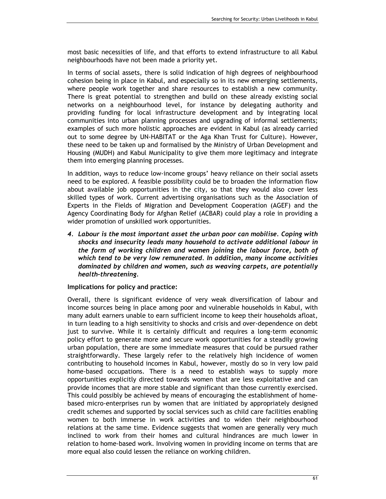most basic necessities of life, and that efforts to extend infrastructure to all Kabul neighbourhoods have not been made a priority yet.

In terms of social assets, there is solid indication of high degrees of neighbourhood cohesion being in place in Kabul, and especially so in its new emerging settlements, where people work together and share resources to establish a new community. There is great potential to strengthen and build on these already existing social networks on a neighbourhood level, for instance by delegating authority and providing funding for local infrastructure development and by integrating local communities into urban planning processes and upgrading of informal settlements; examples of such more holistic approaches are evident in Kabul (as already carried out to some degree by UN-HABITAT or the Aga Khan Trust for Culture). However, these need to be taken up and formalised by the Ministry of Urban Development and Housing (MUDH) and Kabul Municipality to give them more legitimacy and integrate them into emerging planning processes.

In addition, ways to reduce low-income groups' heavy reliance on their social assets need to be explored. A feasible possibility could be to broaden the information flow about available job opportunities in the city, so that they would also cover less skilled types of work. Current advertising organisations such as the Association of Experts in the Fields of Migration and Development Cooperation (AGEF) and the Agency Coordinating Body for Afghan Relief (ACBAR) could play a role in providing a wider promotion of unskilled work opportunities.

4. Labour is the most important asset the urban poor can mobilise. Coping with shocks and insecurity leads many household to activate additional labour in the form of working children and women joining the labour force, both of which tend to be very low remunerated. In addition, many income activities dominated by children and women, such as weaving carpets, are potentially health-threatening.

Implications for policy and practice:

Overall, there is significant evidence of very weak diversification of labour and income sources being in place among poor and vulnerable households in Kabul, with many adult earners unable to earn sufficient income to keep their households afloat, in turn leading to a high sensitivity to shocks and crisis and over-dependence on debt just to survive. While it is certainly difficult and requires a long-term economic policy effort to generate more and secure work opportunities for a steadily growing urban population, there are some immediate measures that could be pursued rather straightforwardly. These largely refer to the relatively high incidence of women contributing to household incomes in Kabul, however, mostly do so in very low paid home-based occupations. There is a need to establish ways to supply more opportunities explicitly directed towards women that are less exploitative and can provide incomes that are more stable and significant than those currently exercised. This could possibly be achieved by means of encouraging the establishment of homebased micro-enterprises run by women that are initiated by appropriately designed credit schemes and supported by social services such as child care facilities enabling women to both immerse in work activities and to widen their neighbourhood relations at the same time. Evidence suggests that women are generally very much inclined to work from their homes and cultural hindrances are much lower in relation to home-based work. Involving women in providing income on terms that are more equal also could lessen the reliance on working children.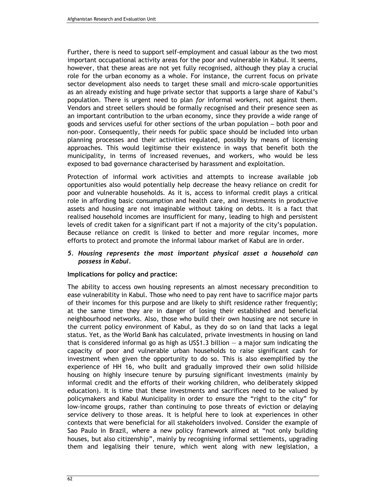Further, there is need to support self-employment and casual labour as the two most important occupational activity areas for the poor and vulnerable in Kabul. It seems, however, that these areas are not yet fully recognised, although they play a crucial role for the urban economy as a whole. For instance, the current focus on private sector development also needs to target these small and micro-scale opportunities as an already existing and huge private sector that supports a large share of Kabul's population. There is urgent need to plan for informal workers, not against them. Vendors and street sellers should be formally recognised and their presence seen as an important contribution to the urban economy, since they provide a wide range of goods and services useful for other sections of the urban population – both poor and non-poor. Consequently, their needs for public space should be included into urban planning processes and their activities regulated, possibly by means of licensing approaches. This would legitimise their existence in ways that benefit both the municipality, in terms of increased revenues, and workers, who would be less exposed to bad governance characterised by harassment and exploitation.

Protection of informal work activities and attempts to increase available job opportunities also would potentially help decrease the heavy reliance on credit for poor and vulnerable households. As it is, access to informal credit plays a critical role in affording basic consumption and health care, and investments in productive assets and housing are not imaginable without taking on debts. It is a fact that realised household incomes are insufficient for many, leading to high and persistent levels of credit taken for a significant part if not a majority of the city's population. Because reliance on credit is linked to better and more regular incomes, more efforts to protect and promote the informal labour market of Kabul are in order.

#### 5. Housing represents the most important physical asset a household can possess in Kabul.

#### Implications for policy and practice:

The ability to access own housing represents an almost necessary precondition to ease vulnerability in Kabul. Those who need to pay rent have to sacrifice major parts of their incomes for this purpose and are likely to shift residence rather frequently; at the same time they are in danger of losing their established and beneficial neighbourhood networks. Also, those who build their own housing are not secure in the current policy environment of Kabul, as they do so on land that lacks a legal status. Yet, as the World Bank has calculated, private investments in housing on land that is considered informal go as high as  $US$1.3$  billion  $-$  a major sum indicating the capacity of poor and vulnerable urban households to raise significant cash for investment when given the opportunity to do so. This is also exemplified by the experience of HH 16, who built and gradually improved their own solid hillside housing on highly insecure tenure by pursuing significant investments (mainly by informal credit and the efforts of their working children, who deliberately skipped education). It is time that these investments and sacrifices need to be valued by policymakers and Kabul Municipality in order to ensure the "right to the city" for low-income groups, rather than continuing to pose threats of eviction or delaying service delivery to those areas. It is helpful here to look at experiences in other contexts that were beneficial for all stakeholders involved. Consider the example of Sao Paulo in Brazil, where a new policy framework aimed at "not only building houses, but also citizenship", mainly by recognising informal settlements, upgrading them and legalising their tenure, which went along with new legislation, a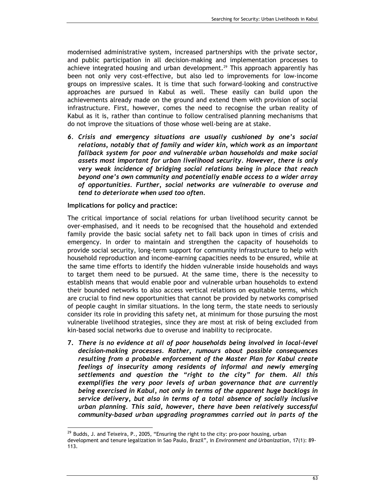modernised administrative system, increased partnerships with the private sector, and public participation in all decision-making and implementation processes to achieve integrated housing and urban development.<sup>29</sup> This approach apparently has been not only very cost-effective, but also led to improvements for low-income groups on impressive scales. It is time that such forward-looking and constructive approaches are pursued in Kabul as well. These easily can build upon the achievements already made on the ground and extend them with provision of social infrastructure. First, however, comes the need to recognise the urban reality of Kabul as it is, rather than continue to follow centralised planning mechanisms that do not improve the situations of those whose well-being are at stake.

6. Crisis and emergency situations are usually cushioned by one's social relations, notably that of family and wider kin, which work as an important fallback system for poor and vulnerable urban households and make social assets most important for urban livelihood security. However, there is only very weak incidence of bridging social relations being in place that reach beyond one's own community and potentially enable access to a wider array of opportunities. Further, social networks are vulnerable to overuse and tend to deteriorate when used too often.

Implications for policy and practice:

 $\overline{a}$ 

The critical importance of social relations for urban livelihood security cannot be over-emphasised, and it needs to be recognised that the household and extended family provide the basic social safety net to fall back upon in times of crisis and emergency. In order to maintain and strengthen the capacity of households to provide social security, long-term support for community infrastructure to help with household reproduction and income-earning capacities needs to be ensured, while at the same time efforts to identify the hidden vulnerable inside households and ways to target them need to be pursued. At the same time, there is the necessity to establish means that would enable poor and vulnerable urban households to extend their bounded networks to also access vertical relations on equitable terms, which are crucial to find new opportunities that cannot be provided by networks comprised of people caught in similar situations. In the long term, the state needs to seriously consider its role in providing this safety net, at minimum for those pursuing the most vulnerable livelihood strategies, since they are most at risk of being excluded from kin-based social networks due to overuse and inability to reciprocate.

7. There is no evidence at all of poor households being involved in local-level decision-making processes. Rather, rumours about possible consequences resulting from a probable enforcement of the Master Plan for Kabul create feelings of insecurity among residents of informal and newly emerging settlements and question the "right to the city" for them. All this exemplifies the very poor levels of urban governance that are currently being exercised in Kabul, not only in terms of the apparent huge backlogs in service delivery, but also in terms of a total absence of socially inclusive urban planning. This said, however, there have been relatively successful community-based urban upgrading programmes carried out in parts of the

<sup>&</sup>lt;sup>29</sup> Budds, J. and Teixeira, P., 2005, "Ensuring the right to the city: pro-poor housing, urban development and tenure legalization in Sao Paulo, Brazil", in Environment and Urbanization, 17(1): 89- 113.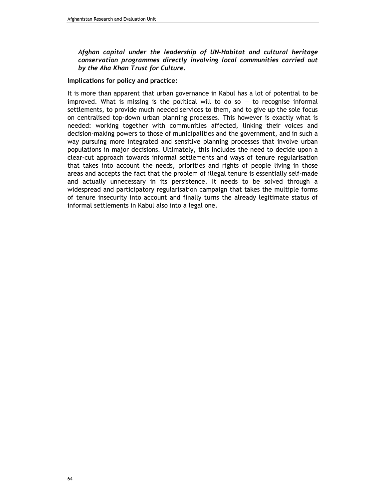#### Afghan capital under the leadership of UN-Habitat and cultural heritage conservation programmes directly involving local communities carried out by the Aha Khan Trust for Culture.

#### Implications for policy and practice:

It is more than apparent that urban governance in Kabul has a lot of potential to be improved. What is missing is the political will to do so  $-$  to recognise informal settlements, to provide much needed services to them, and to give up the sole focus on centralised top-down urban planning processes. This however is exactly what is needed: working together with communities affected, linking their voices and decision-making powers to those of municipalities and the government, and in such a way pursuing more integrated and sensitive planning processes that involve urban populations in major decisions. Ultimately, this includes the need to decide upon a clear-cut approach towards informal settlements and ways of tenure regularisation that takes into account the needs, priorities and rights of people living in those areas and accepts the fact that the problem of illegal tenure is essentially self-made and actually unnecessary in its persistence. It needs to be solved through a widespread and participatory regularisation campaign that takes the multiple forms of tenure insecurity into account and finally turns the already legitimate status of informal settlements in Kabul also into a legal one.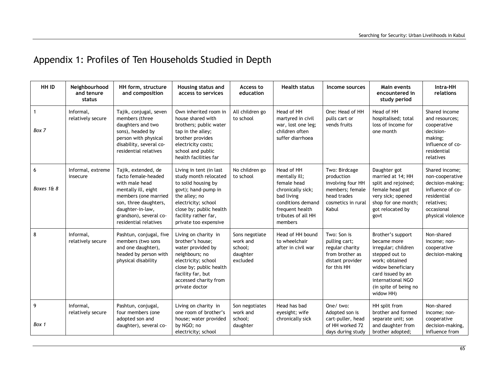# Appendix 1: Profiles of Ten Households Studied in Depth

| HH ID           | Neighbourhood<br>and tenure<br>status | HH form, structure<br>and composition                                                                                                                                                                       | Housing status and<br>access to services                                                                                                                                                                           | Access to<br>education                                        | <b>Health status</b>                                                                                                                                   | Income sources                                                                                                    | Main events<br>encountered in<br>study period                                                                                                                                                    | Intra-HH<br>relations                                                                                                                     |
|-----------------|---------------------------------------|-------------------------------------------------------------------------------------------------------------------------------------------------------------------------------------------------------------|--------------------------------------------------------------------------------------------------------------------------------------------------------------------------------------------------------------------|---------------------------------------------------------------|--------------------------------------------------------------------------------------------------------------------------------------------------------|-------------------------------------------------------------------------------------------------------------------|--------------------------------------------------------------------------------------------------------------------------------------------------------------------------------------------------|-------------------------------------------------------------------------------------------------------------------------------------------|
| Box 7           | Informal,<br>relatively secure        | Tajik, conjugal, seven<br>members (three<br>daughters and two<br>sons), headed by<br>person with physical<br>disability, several co-<br>residential relatives                                               | Own inherited room in<br>house shared with<br>brothers; public water<br>tap in the alley;<br>brother provides<br>electricity costs;<br>school and public<br>health facilities far                                  | All children go<br>to school                                  | Head of HH<br>martyred in civil<br>war, lost one leg;<br>children often<br>suffer diarrhoea                                                            | One: Head of HH<br>pulls cart or<br>vends fruits                                                                  | Head of HH<br>hospitalised; total<br>loss of income for<br>one month                                                                                                                             | Shared income<br>and resources;<br>cooperative<br>decision-<br>making;<br>influence of co-<br>residential<br>relatives                    |
| 6<br>Boxes 1& 8 | Informal, extreme<br>insecure         | Tajik, extended, de<br>facto female-headed<br>with male head<br>mentally ill, eight<br>members (one married<br>son, three daughters,<br>daughter-in-law,<br>grandson), several co-<br>residential relatives | Living in tent (in last<br>study month relocated<br>to solid housing by<br>govt); hand-pump in<br>the alley; no<br>electricity; school<br>close by; public health<br>facility rather far,<br>private too expensive | No children go<br>to school                                   | Head of HH<br>mentally ill;<br>female head<br>chronically sick;<br>bad living<br>conditions demand<br>frequent health<br>tributes of all HH<br>members | Two: Birdcage<br>production<br>involving four HH<br>members; female<br>head trades<br>cosmetics in rural<br>Kabul | Daughter got<br>married at 14; HH<br>split and rejoined;<br>female head got<br>very sick; opened<br>shop for one month;<br>got relocated by<br>govt                                              | Shared income:<br>non-cooperative<br>decision-making;<br>influence of co-<br>residential<br>relatives;<br>occasional<br>physical violence |
| 8               | Informal.<br>relatively secure        | Pashtun, conjugal, five<br>members (two sons<br>and one daughter),<br>headed by person with<br>physical disability                                                                                          | Living on charity in<br>brother's house;<br>water provided by<br>neighbours; no<br>electricity; school<br>close by; public health<br>facility far, but<br>accessed charity from<br>private doctor                  | Sons negotiate<br>work and<br>school;<br>daughter<br>excluded | Head of HH bound<br>to wheelchair<br>after in civil war                                                                                                | Two: Son is<br>pulling cart;<br>regular charity<br>from brother as<br>distant provider<br>for this HH             | Brother's support<br>became more<br>irregular; children<br>stepped out to<br>work; obtained<br>widow beneficiary<br>card issued by an<br>international NGO<br>(in spite of being no<br>widow HH) | Non-shared<br>income; non-<br>cooperative<br>decision-making                                                                              |
| 9<br>Box 1      | Informal,<br>relatively secure        | Pashtun, conjugal,<br>four members (one<br>adopted son and<br>daughter), several co-                                                                                                                        | Living on charity in<br>one room of brother's<br>house; water provided<br>by NGO; no<br>electricity; school                                                                                                        | Son negotiates<br>work and<br>school:<br>daughter             | Head has bad<br>eyesight; wife<br>chronically sick                                                                                                     | One/two:<br>Adopted son is<br>cart-puller, head<br>of HH worked 72<br>days during study                           | HH split from<br>brother and formed<br>separate unit; son<br>and daughter from<br>brother adopted;                                                                                               | Non-shared<br>income; non-<br>cooperative<br>decision-making,<br>influence from                                                           |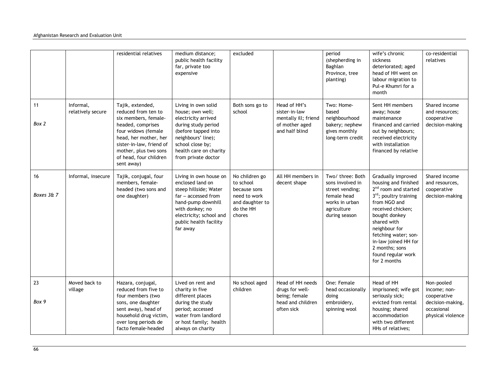|                  |                                | residential relatives                                                                                                                                                                                                             | medium distance;<br>public health facility<br>far, private too<br>expensive                                                                                                                             | excluded                                                                                              |                                                                                           | period<br>(shepherding in<br>Baghlan<br>Province, tree<br>planting)                                                      | wife's chronic<br>sickness<br>deteriorated; aged<br>head of HH went on<br>labour migration to<br>Pul-e Khumri for a<br>month                                                                                                                                                                          | co-residential<br>relatives                                                                      |
|------------------|--------------------------------|-----------------------------------------------------------------------------------------------------------------------------------------------------------------------------------------------------------------------------------|---------------------------------------------------------------------------------------------------------------------------------------------------------------------------------------------------------|-------------------------------------------------------------------------------------------------------|-------------------------------------------------------------------------------------------|--------------------------------------------------------------------------------------------------------------------------|-------------------------------------------------------------------------------------------------------------------------------------------------------------------------------------------------------------------------------------------------------------------------------------------------------|--------------------------------------------------------------------------------------------------|
| 11<br>Box 2      | Informal,<br>relatively secure | Tajik, extended,<br>reduced from ten to<br>six members, female-<br>headed, comprises<br>four widows (female<br>head, her mother, her<br>sister-in-law, friend of<br>mother, plus two sons<br>of head, four children<br>sent away) | Living in own solid<br>house; own well;<br>electricity arrived<br>during study period<br>(before tapped into<br>neighbours' line);<br>school close by;<br>health care on charity<br>from private doctor | Both sons go to<br>school                                                                             | Head of HH's<br>sister-in-law<br>mentally ill; friend<br>of mother aged<br>and half blind | Two: Home-<br>based<br>neighbourhood<br>bakery; nephew<br>gives monthly<br>long-term credit                              | Sent HH members<br>away; house<br>maintenance<br>financed and carried<br>out by neighbours;<br>received electricity<br>with installation<br>financed by relative                                                                                                                                      | Shared income<br>and resources;<br>cooperative<br>decision-making                                |
| 16<br>Boxes 3& 7 | Informal, insecure             | Tajik, conjugal, four<br>members, female-<br>headed (two sons and<br>one daughter)                                                                                                                                                | Living in own house on<br>enclosed land on<br>steep hillside; Water<br>far - accessed from<br>hand-pump downhill<br>with donkey; no<br>electricity; school and<br>public health facility<br>far away    | No children go<br>to school<br>because sons<br>need to work<br>and daughter to<br>do the HH<br>chores | All HH members in<br>decent shape                                                         | Two/ three: Both<br>sons involved in<br>street vending;<br>female head<br>works in urban<br>agriculture<br>during season | Gradually improved<br>housing and finished<br>2 <sup>nd</sup> room and started<br>3rd; poultry training<br>from NGO and<br>received chicken;<br>bought donkey<br>shared with<br>neighbour for<br>fetching water; son-<br>in-law joined HH for<br>2 months; sons<br>found regular work<br>for 2 months | Shared income<br>and resources,<br>cooperative<br>decision-making                                |
| 23<br>Box 9      | Moved back to<br>village       | Hazara, conjugal,<br>reduced from five to<br>four members (two<br>sons, one daughter<br>sent away), head of<br>household drug victim,<br>over long periods de<br>facto female-headed                                              | Lived on rent and<br>charity in five<br>different places<br>during the study<br>period; accessed<br>water from landlord<br>or host family; health<br>always on charity                                  | No school aged<br>children                                                                            | Head of HH needs<br>drugs for well-<br>being; female<br>head and children<br>often sick   | One: Female<br>head occasionally<br>doing<br>embroidery,<br>spinning wool                                                | Head of HH<br>imprisoned; wife got<br>seriously sick;<br>evicted from rental<br>housing; shared<br>accommodation<br>with two different<br>HHs of relatives;                                                                                                                                           | Non-pooled<br>income; non-<br>cooperative<br>decision-making,<br>occasional<br>physical violence |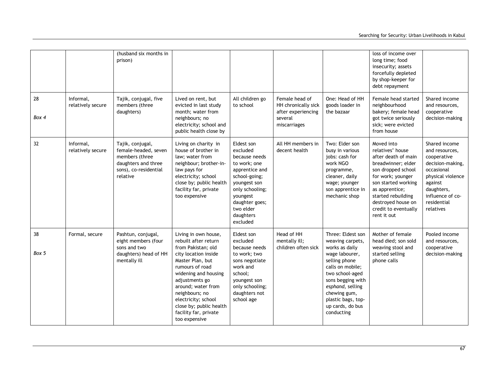|             |                                | (husband six months in<br>prison)                                                                                      |                                                                                                                                                                                                                                                                                                                 |                                                                                                                                                                                                   |                                                                                        |                                                                                                                                                                                                                                                    | loss of income over<br>long time; food<br>insecurity; assets<br>forcefully depleted<br>by shop-keeper for<br>debt repayment                                                                                                                        |                                                                                                                                                                                |
|-------------|--------------------------------|------------------------------------------------------------------------------------------------------------------------|-----------------------------------------------------------------------------------------------------------------------------------------------------------------------------------------------------------------------------------------------------------------------------------------------------------------|---------------------------------------------------------------------------------------------------------------------------------------------------------------------------------------------------|----------------------------------------------------------------------------------------|----------------------------------------------------------------------------------------------------------------------------------------------------------------------------------------------------------------------------------------------------|----------------------------------------------------------------------------------------------------------------------------------------------------------------------------------------------------------------------------------------------------|--------------------------------------------------------------------------------------------------------------------------------------------------------------------------------|
| 28<br>Box 4 | Informal,<br>relatively secure | Tajik, conjugal, five<br>members (three<br>daughters)                                                                  | Lived on rent, but<br>evicted in last study<br>month; water from<br>neighbours; no<br>electricity; school and<br>public health close by                                                                                                                                                                         | All children go<br>to school                                                                                                                                                                      | Female head of<br>HH chronically sick<br>after experiencing<br>several<br>miscarriages | One: Head of HH<br>goods loader in<br>the bazaar                                                                                                                                                                                                   | Female head started<br>neighbourhood<br>bakery; female head<br>got twice seriously<br>sick; were evicted<br>from house                                                                                                                             | Shared income<br>and resources,<br>cooperative<br>decision-making                                                                                                              |
| 32          | Informal,<br>relatively secure | Tajik, conjugal,<br>female-headed, seven<br>members (three<br>daughters and three<br>sons), co-residential<br>relative | Living on charity in<br>house of brother in<br>law; water from<br>neighbour; brother-in-<br>law pays for<br>electricity; school<br>close by; public health<br>facility far, private<br>too expensive                                                                                                            | Eldest son<br>excluded<br>because needs<br>to work; one<br>apprentice and<br>school-going;<br>youngest son<br>only schooling;<br>youngest<br>daughter goes;<br>two elder<br>daughters<br>excluded | All HH members in<br>decent health                                                     | Two: Elder son<br>busy in various<br>jobs: cash for<br>work NGO<br>programme,<br>cleaner, daily<br>wage; younger<br>son apprentice in<br>mechanic shop                                                                                             | Moved into<br>relatives' house<br>after death of main<br>breadwinner; elder<br>son dropped school<br>for work; younger<br>son started working<br>as apprentice;<br>started rebuilding<br>destroyed house on<br>credit to eventually<br>rent it out | Shared income<br>and resources,<br>cooperative<br>decision-making,<br>occasional<br>physical violence<br>against<br>daughters,<br>influence of co-<br>residential<br>relatives |
| 38<br>Box 5 | Formal, secure                 | Pashtun, conjugal,<br>eight members (four<br>sons and two<br>daughters) head of HH<br>mentally ill                     | Living in own house,<br>rebuilt after return<br>from Pakistan; old<br>city location inside<br>Master Plan, but<br>rumours of road<br>widening and housing<br>adjustments go<br>around; water from<br>neighbours; no<br>electricity; school<br>close by; public health<br>facility far, private<br>too expensive | Eldest son<br>excluded<br>because needs<br>to work; two<br>sons negotiate<br>work and<br>school:<br>youngest son<br>only schooling;<br>daughters not<br>school age                                | Head of HH<br>mentally ill;<br>children often sick                                     | Three: Eldest son<br>weaving carpets,<br>works as daily<br>wage labourer,<br>selling phone<br>calls on mobile;<br>two school-aged<br>sons begging with<br>esphand, selling<br>chewing gum,<br>plastic bags, top-<br>up cards, do bus<br>conducting | Mother of female<br>head died; son sold<br>weaving stool and<br>started selling<br>phone calls                                                                                                                                                     | Pooled income<br>and resources,<br>cooperative<br>decision-making                                                                                                              |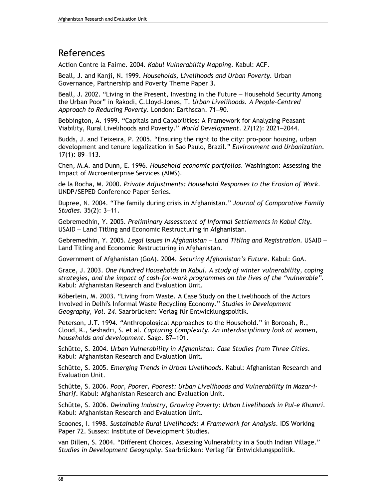## References

Action Contre la Faime. 2004. Kabul Vulnerability Mapping. Kabul: ACF.

Beall, J. and Kanji, N. 1999. Households, Livelihoods and Urban Poverty. Urban Governance, Partnership and Poverty Theme Paper 3.

Beall, J. 2002. "Living in the Present, Investing in the Future – Household Security Among the Urban Poor" in Rakodi, C.Lloyd-Jones, T. Urban Livelihoods. A People-Centred Approach to Reducing Poverty. London: Earthscan. 71–90.

Bebbington, A. 1999. "Capitals and Capabilities: A Framework for Analyzing Peasant Viability, Rural Livelihoods and Poverty." World Development. 27(12): 2021–2044.

Budds, J. and Teixeira, P. 2005. "Ensuring the right to the city: pro-poor housing, urban development and tenure legalization in Sao Paulo, Brazil." Environment and Urbanization. 17(1): 89–113.

Chen, M.A. and Dunn, E. 1996. Household economic portfolios. Washington: Assessing the Impact of Microenterprise Services (AIMS).

de la Rocha, M. 2000. Private Adjustments: Household Responses to the Erosion of Work. UNDP/SEPED Conference Paper Series.

Dupree, N. 2004. "The family during crisis in Afghanistan." Journal of Comparative Family Studies. 35(2): 3–11.

Gebremedhin, Y. 2005. Preliminary Assessment of Informal Settlements in Kabul City. USAID – Land Titling and Economic Restructuring in Afghanistan.

Gebremedhin, Y. 2005. Legal Issues in Afghanistan – Land Titling and Registration. USAID – Land Titling and Economic Restructuring in Afghanistan.

Government of Afghanistan (GoA). 2004. Securing Afghanistan's Future. Kabul: GoA.

Grace, J. 2003. One Hundred Households in Kabul. A study of winter vulnerability, coping strategies, and the impact of cash-for-work programmes on the lives of the "vulnerable". Kabul: Afghanistan Research and Evaluation Unit.

Köberlein, M. 2003. "Living from Waste. A Case Study on the Livelihoods of the Actors Involved in Delhi's Informal Waste Recycling Economy." Studies in Development Geography, Vol. 24. Saarbrücken: Verlag für Entwicklungspolitik.

Peterson, J.T. 1994. "Anthropological Approaches to the Household." in Borooah, R., Cloud, K., Seshadri, S. et al. Capturing Complexity. An interdisciplinary look at women, households and development. Sage. 87–101.

Schütte, S. 2004. Urban Vulnerability in Afghanistan: Case Studies from Three Cities. Kabul: Afghanistan Research and Evaluation Unit.

Schütte, S. 2005. Emerging Trends in Urban Livelihoods. Kabul: Afghanistan Research and Evaluation Unit.

Schütte, S. 2006. Poor, Poorer, Poorest: Urban Livelihoods and Vulnerability in Mazar-i-Sharif. Kabul: Afghanistan Research and Evaluation Unit.

Schütte, S. 2006. Dwindling Industry, Growing Poverty: Urban Livelihoods in Pul-e Khumri. Kabul: Afghanistan Research and Evaluation Unit.

Scoones, I. 1998. Sustainable Rural Livelihoods: A Framework for Analysis. IDS Working Paper 72. Sussex: Institute of Development Studies.

van Dillen, S. 2004. "Different Choices. Assessing Vulnerability in a South Indian Village." Studies in Development Geography. Saarbrücken: Verlag für Entwicklungspolitik.